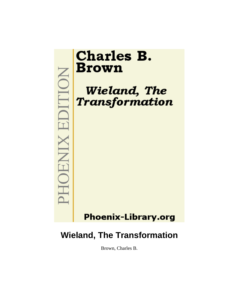

# **Wieland, The Transformation**

Brown, Charles B.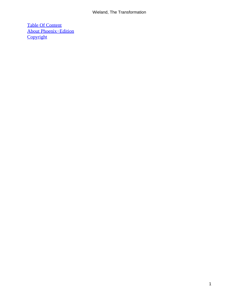#### Wieland, The Transformation

[Table Of Content](#page-172-0) [About Phoenix−Edition](#page-174-0) **[Copyright](#page-175-0)**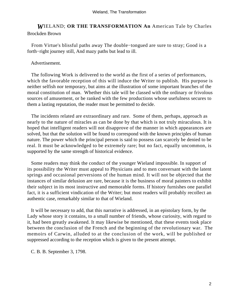#### *W*IELAND; **OR THE TRANSFORMATION An** American Tale by Charles Brockden Brown

 From Virtue's blissful paths away The double−tongued are sure to stray; Good is a forth−right journey still, And mazy paths but lead to ill.

#### Advertisement.

 The following Work is delivered to the world as the first of a series of performances, which the favorable reception of this will induce the Writer to publish. His purpose is neither selfish nor temporary, but aims at the illustration of some important branches of the moral constitution of man. Whether this tale will be classed with the ordinary or frivolous sources of amusement, or be ranked with the few productions whose usefulness secures to them a lasting reputation, the reader must be permitted to decide.

 The incidents related are extraordinary and rare. Some of them, perhaps, approach as nearly to the nature of miracles as can be done by that which is not truly miraculous. It is hoped that intelligent readers will not disapprove of the manner in which appearances are solved, but that the solution will be found to correspond with the known principles of human nature. The power which the principal person is said to possess can scarcely be denied to be real. It must be acknowledged to be extremely rare; but no fact, equally uncommon, is supported by the same strength of historical evidence.

 Some readers may think the conduct of the younger Wieland impossible. In support of its possibility the Writer must appeal to Physicians and to men conversant with the latent springs and occasional perversions of the human mind. It will not be objected that the instances of similar delusion are rare, because it is the business of moral painters to exhibit their subject in its most instructive and memorable forms. If history furnishes one parallel fact, it is a sufficient vindication of the Writer; but most readers will probably recollect an authentic case, remarkably similar to that of Wieland.

 It will be necessary to add, that this narrative is addressed, in an epistolary form, by the Lady whose story it contains, to a small number of friends, whose curiosity, with regard to it, had been greatly awakened. It may likewise be mentioned, that these events took place between the conclusion of the French and the beginning of the revolutionary war. The memoirs of Carwin, alluded to at the conclusion of the work, will be published or suppressed according to the reception which is given to the present attempt.

C. B. B. September 3, 1798.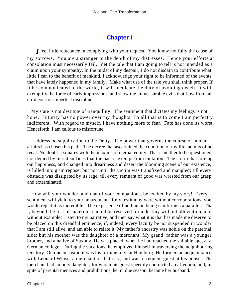## **[Chapter I](#page-172-0)**

*I* feel little reluctance in complying with your request. You know not fully the cause of my sorrows. You are a stranger to the depth of my distresses. Hence your efforts at consolation must necessarily fail. Yet the tale that I am going to tell is not intended as a claim upon your sympathy. In the midst of my despair, I do not disdain to contribute what little I can to the benefit of mankind. I acknowledge your right to be informed of the events that have lately happened in my family. Make what use of the tale you shall think proper. If it be communicated to the world, it will inculcate the duty of avoiding deceit. It will exemplify the force of early impressions, and show the immeasurable evils that flow from an erroneous or imperfect discipline.

 My state is not destitute of tranquillity. The sentiment that dictates my feelings is not hope. Futurity has no power over my thoughts. To all that is to come I am perfectly indifferent. With regard to myself, I have nothing more to fear. Fate has done its worst. Henceforth, I am callous to misfortune.

 I address no supplication to the Deity. The power that governs the course of human affairs has chosen his path. The decree that ascertained the condition of my life, admits of no recal. No doubt it squares with the maxims of eternal equity. That is neither to be questioned nor denied by me. It suffices that the past is exempt from mutation. The storm that tore up our happiness, and changed into dreariness and desert the blooming scene of our existence, is lulled into grim repose; but not until the victim was transfixed and mangled; till every obstacle was dissipated by its rage; till every remnant of good was wrested from our grasp and exterminated.

 How will your wonder, and that of your companions, be excited by my story! Every sentiment will yield to your amazement. If my testimony were without corroborations, you would reject it as incredible. The experience of no human being can furnish a parallel: That I, beyond the rest of mankind, should be reserved for a destiny without alleviation, and without example! Listen to my narrative, and then say what it is that has made me deserve to be placed on this dreadful eminence, if, indeed, every faculty be not suspended in wonder that I am still alive, and am able to relate it. My father's ancestry was noble on the paternal side; but his mother was the daughter of a merchant. My grand−father was a younger brother, and a native of Saxony. He was placed, when he had reached the suitable age, at a German college. During the vacations, he employed himself in traversing the neighbouring territory. On one occasion it was his fortune to visit Hamburg. He formed an acquaintance with Leonard Weise, a merchant of that city, and was a frequent guest at his house. The merchant had an only daughter, for whom his guest speedily contracted an affection; and, in spite of parental menaces and prohibitions, he, in due season, became her husband.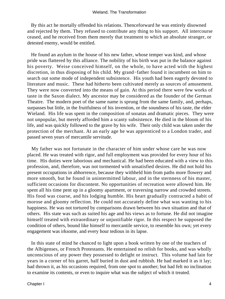By this act he mortally offended his relations. Thenceforward he was entirely disowned and rejected by them. They refused to contribute any thing to his support. All intercourse ceased, and he received from them merely that treatment to which an absolute stranger, or detested enemy, would be entitled.

 He found an asylum in the house of his new father, whose temper was kind, and whose pride was flattered by this alliance. The nobility of his birth was put in the balance against his poverty. Weise conceived himself, on the whole, to have acted with the highest discretion, in thus disposing of his child. My grand−father found it incumbent on him to search out some mode of independent subsistence. His youth had been eagerly devoted to literature and music. These had hitherto been cultivated merely as sources of amusement. They were now converted into the means of gain. At this period there were few works of taste in the Saxon dialect. My ancestor may be considered as the founder of the German Theatre. The modern poet of the same name is sprung from the same family, and, perhaps, surpasses but little, in the fruitfulness of his invention, or the soundness of his taste, the elder Wieland. His life was spent in the composition of sonatas and dramatic pieces. They were not unpopular, but merely afforded him a scanty subsistence. He died in the bloom of his life, and was quickly followed to the grave by his wife. Their only child was taken under the protection of the merchant. At an early age he was apprenticed to a London trader, and passed seven years of mercantile servitude.

 My father was not fortunate in the character of him under whose care he was now placed. He was treated with rigor, and full employment was provided for every hour of his time. His duties were laborious and mechanical. He had been educated with a view to this profession, and, therefore, was not tormented with unsatisfied desires. He did not hold his present occupations in abhorrence, because they withheld him from paths more flowery and more smooth, but he found in unintermitted labour, and in the sternness of his master, sufficient occasions for discontent. No opportunities of recreation were allowed him. He spent all his time pent up in a gloomy apartment, or traversing narrow and crowded streets. His food was coarse, and his lodging humble. His heart gradually contracted a habit of morose and gloomy reflection. He could not accurately define what was wanting to his happiness. He was not tortured by comparisons drawn between his own situation and that of others. His state was such as suited his age and his views as to fortune. He did not imagine himself treated with extraordinary or unjustifiable rigor. In this respect he supposed the condition of others, bound like himself to mercantile service, to resemble his own; yet every engagement was irksome, and every hour tedious in its lapse.

 In this state of mind he chanced to light upon a book written by one of the teachers of the Albigenses, or French Protestants. He entertained no relish for books, and was wholly unconscious of any power they possessed to delight or instruct. This volume had lain for years in a corner of his garret, half buried in dust and rubbish. He had marked it as it lay; had thrown it, as his occasions required, from one spot to another; but had felt no inclination to examine its contents, or even to inquire what was the subject of which it treated.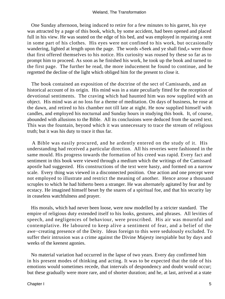One Sunday afternoon, being induced to retire for a few minutes to his garret, his eye was attracted by a page of this book, which, by some accident, had been opened and placed full in his view. He was seated on the edge of his bed, and was employed in repairing a rent in some part of his clothes. His eyes were not confined to his work, but occasionally wandering, lighted at length upon the page. The words «Seek and ye shall find,» were those that first offered themselves to his notice. His curiosity was roused by these so far as to prompt him to proceed. As soon as he finished his work, he took up the book and turned to the first page. The further he read, the more inducement he found to continue, and he regretted the decline of the light which obliged him for the present to close it.

 The book contained an exposition of the doctrine of the sect of Camissards, and an historical account of its origin. His mind was in a state peculiarly fitted for the reception of devotional sentiments. The craving which had haunted him was now supplied with an object. His mind was at no loss for a theme of meditation. On days of business, he rose at the dawn, and retired to his chamber not till late at night. He now supplied himself with candles, and employed his nocturnal and Sunday hours in studying this book. It, of course, abounded with allusions to the Bible. All its conclusions were deduced from the sacred text. This was the fountain, beyond which it was unnecessary to trace the stream of religious truth; but it was his duty to trace it thus far.

 A Bible was easily procured, and he ardently entered on the study of it. His understanding had received a particular direction. All his reveries were fashioned in the same mould. His progress towards the formation of his creed was rapid. Every fact and sentiment in this book were viewed through a medium which the writings of the Camissard apostle had suggested. His constructions of the text were hasty, and formed on a narrow scale. Every thing was viewed in a disconnected position. One action and one precept were not employed to illustrate and restrict the meaning of another. Hence arose a thousand scruples to which he had hitherto been a stranger. He was alternately agitated by fear and by ecstacy. He imagined himself beset by the snares of a spiritual foe, and that his security lay in ceaseless watchfulness and prayer.

 His morals, which had never been loose, were now modelled by a stricter standard. The empire of religious duty extended itself to his looks, gestures, and phrases. All levities of speech, and negligences of behaviour, were proscribed. His air was mournful and contemplative. He laboured to keep alive a sentiment of fear, and a belief of the awe−creating presence of the Deity. Ideas foreign to this were sedulously excluded. To suffer their intrusion was a crime against the Divine Majesty inexpiable but by days and weeks of the keenest agonies.

 No material variation had occurred in the lapse of two years. Every day confirmed him in his present modes of thinking and acting. It was to be expected that the tide of his emotions would sometimes recede, that intervals of despondency and doubt would occur; but these gradually were more rare, and of shorter duration; and he, at last, arrived at a state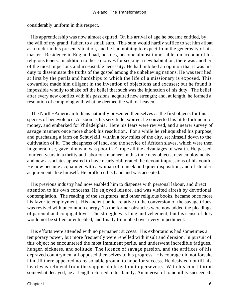considerably uniform in this respect.

 His apprenticeship was now almost expired. On his arrival of age he became entitled, by the will of my grand−father, to a small sum. This sum would hardly suffice to set him afloat as a trader in his present situation, and he had nothing to expect from the generosity of his master. Residence in England had, besides, become almost impossible, on account of his religious tenets. In addition to these motives for seeking a new habitation, there was another of the most imperious and irresistable necessity. He had imbibed an opinion that it was his duty to disseminate the truths of the gospel among the unbelieving nations. He was terrified at first by the perils and hardships to which the life of a missionary is exposed. This cowardice made him diligent in the invention of objections and excuses; but he found it impossible wholly to shake off the belief that such was the injunction of his duty. The belief, after every new conflict with his passions, acquired new strength; and, at length, he formed a resolution of complying with what he deemed the will of heaven.

 The North−American Indians naturally presented themselves as the first objects for this species of benevolence. As soon as his servitude expired, he converted his little fortune into money, and embarked for Philadelphia. Here his fears were revived, and a nearer survey of savage manners once more shook his resolution. For a while he relinquished his purpose, and purchasing a farm on Schuylkill, within a few miles of the city, set himself down to the cultivation of it. The cheapness of land, and the service of African slaves, which were then in general use, gave him who was poor in Europe all the advantages of wealth. He passed fourteen years in a thrifty and laborious manner. In this time new objects, new employments, and new associates appeared to have nearly obliterated the devout impressions of his youth. He now became acquainted with a woman of a meek and quiet disposition, and of slender acquirements like himself. He proffered his hand and was accepted.

 His previous industry had now enabled him to dispense with personal labour, and direct attention to his own concerns. He enjoyed leisure, and was visited afresh by devotional contemplation. The reading of the scriptures, and other religious books, became once more his favorite employment. His ancient belief relative to the conversion of the savage tribes, was revived with uncommon energy. To the former obstacles were now added the pleadings of parental and conjugal love. The struggle was long and vehement; but his sense of duty would not be stifled or enfeebled, and finally triumphed over every impediment.

 His efforts were attended with no permanent success. His exhortations had sometimes a temporary power, but more frequently were repelled with insult and derision. In pursuit of this object he encountered the most imminent perils, and underwent incredible fatigues, hunger, sickness, and solitude. The licence of savage passion, and the artifices of his depraved countrymen, all opposed themselves to his progress. His courage did not forsake him till there appeared no reasonable ground to hope for success. He desisted not till his heart was relieved from the supposed obligation to persevere. With his constitution somewhat decayed, he at length returned to his family. An interval of tranquillity succeeded.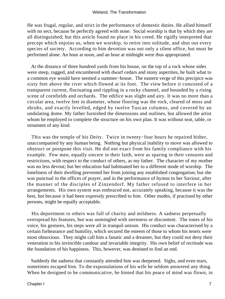He was frugal, regular, and strict in the performance of domestic duties. He allied himself with no sect, because he perfectly agreed with none. Social worship is that by which they are all distinguished; but this article found no place in his creed. He rigidly interpreted that precept which enjoins us, when we worship, to retire into solitude, and shut out every species of society. According to him devotion was not only a silent office, but must be performed alone. An hour at noon, and an hour at midnight were thus appropriated.

 At the distance of three hundred yards from his house, on the top of a rock whose sides were steep, rugged, and encumbered with dwarf cedars and stony asperities, he built what to a common eye would have seemed a summer−house. The eastern verge of this precipice was sixty feet above the river which flowed at its foot. The view before it consisted of a transparent current, fluctuating and rippling in a rocky channel, and bounded by a rising scene of cornfields and orchards. The edifice was slight and airy. It was no more than a circular area, twelve feet in diameter, whose flooring was the rock, cleared of moss and shrubs, and exactly levelled, edged by twelve Tuscan columns, and covered by an undulating dome. My father furnished the dimensions and outlines, but allowed the artist whom he employed to complete the structure on his own plan. It was without seat, table, or ornament of any kind.

 This was the temple of his Deity. Twice in twenty−four hours he repaired hither, unaccompanied by any human being. Nothing but physical inability to move was allowed to obstruct or postpone this visit. He did not exact from his family compliance with his example. Few men, equally sincere in their faith, were as sparing in their censures and restrictions, with respect to the conduct of others, as my father. The character of my mother was no less devout; but her education had habituated her to a different mode of worship. The loneliness of their dwelling prevented her from joining any established congregation; but she was punctual in the offices of prayer, and in the performance of hymns to her Saviour, after the manner of the disciples of Zinzendorf. My father refused to interfere in her arrangements. His own system was embraced not, accurately speaking, because it was the best, but because it had been expressly prescribed to him. Other modes, if practised by other persons, might be equally acceptable.

 His deportment to others was full of charity and mildness. A sadness perpetually overspread his features, but was unmingled with sternness or discontent. The tones of his voice, his gestures, his steps were all in tranquil unison. His conduct was characterised by a certain forbearance and humility, which secured the esteem of those to whom his tenets were most obnoxious. They might call him a fanatic and a dreamer, but they could not deny their veneration to his invincible candour and invariable integrity. His own belief of rectitude was the foundation of his happiness. This, however, was destined to find an end.

 Suddenly the sadness that constantly attended him was deepened. Sighs, and even tears, sometimes escaped him. To the expostulations of his wife he seldom answered any thing. When he designed to be communicative, he hinted that his peace of mind was flown, in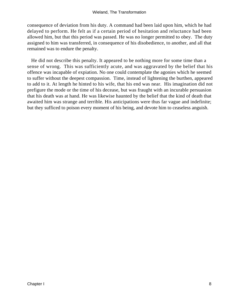consequence of deviation from his duty. A command had been laid upon him, which he had delayed to perform. He felt as if a certain period of hesitation and reluctance had been allowed him, but that this period was passed. He was no longer permitted to obey. The duty assigned to him was transferred, in consequence of his disobedience, to another, and all that remained was to endure the penalty.

 He did not describe this penalty. It appeared to be nothing more for some time than a sense of wrong. This was sufficiently acute, and was aggravated by the belief that his offence was incapable of expiation. No one could contemplate the agonies which he seemed to suffer without the deepest compassion. Time, instead of lightening the burthen, appeared to add to it. At length he hinted to his wife, that his end was near. His imagination did not prefigure the mode or the time of his decease, but was fraught with an incurable persuasion that his death was at hand. He was likewise haunted by the belief that the kind of death that awaited him was strange and terrible. His anticipations were thus far vague and indefinite; but they sufficed to poison every moment of his being, and devote him to ceaseless anguish.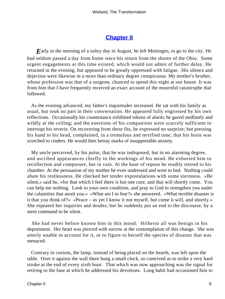### **[Chapter II](#page-172-0)**

*E*arly in the morning of a sultry day in August, he left Mettingen, to go to the city. He had seldom passed a day from home since his return from the shores of the Ohio. Some urgent engagements at this time existed, which would not admit of further delay. He returned in the evening, but appeared to be greatly oppressed with fatigue. His silence and dejection were likewise in a more than ordinary degree conspicuous. My mother's brother, whose profession was that of a surgeon, chanced to spend this night at our house. It was from him that I have frequently received an exact account of the mournful catastrophe that followed.

 As the evening advanced, my father's inquietudes increased. He sat with his family as usual, but took no part in their conversation. He appeared fully engrossed by his own reflections. Occasionally his countenance exhibited tokens of alarm; he gazed stedfastly and wildly at the ceiling; and the exertions of his companions were scarcely sufficient to interrupt his reverie. On recovering from these fits, he expressed no surprize; but pressing his hand to his head, complained, in a tremulous and terrified tone, that his brain was scorched to cinders. He would then betray marks of insupportable anxiety.

 My uncle perceived, by his pulse, that he was indisposed, but in no alarming degree, and ascribed appearances chiefly to the workings of his mind. He exhorted him to recollection and composure, but in vain. At the hour of repose he readily retired to his chamber. At the persuasion of my mother he even undressed and went to bed. Nothing could abate his restlessness. He checked her tender expostulations with some sternness. «Be silent,» said he, «for that which I feel there is but one cure, and that will shortly come. You can help me nothing. Look to your own condition, and pray to God to strengthen you under the calamities that await you.» «What am I to fear?» she answered. «What terrible disaster is it that you think of?» «Peace – as yet I know it not myself, but come it will, and shortly.» She repeated her inquiries and doubts; but he suddenly put an end to the discourse, by a stern command to be silent.

 She had never before known him in this mood. Hitherto all was benign in his deportment. Her heart was pierced with sorrow at the contemplation of this change. She was utterly unable to account for it, or to figure to herself the species of disaster that was menaced.

 Contrary to custom, the lamp, instead of being placed on the hearth, was left upon the table. Over it against the wall there hung a small clock, so contrived as to strike a very hard stroke at the end of every sixth hour. That which was now approaching was the signal for retiring to the fane at which he addressed his devotions. Long habit had occasioned him to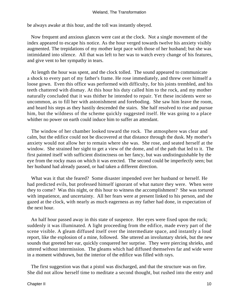be always awake at this hour, and the toll was instantly obeyed.

 Now frequent and anxious glances were cast at the clock. Not a single movement of the index appeared to escape his notice. As the hour verged towards twelve his anxiety visibly augmented. The trepidations of my mother kept pace with those of her husband; but she was intimidated into silence. All that was left to her was to watch every change of his features, and give vent to her sympathy in tears.

 At length the hour was spent, and the clock tolled. The sound appeared to communicate a shock to every part of my father's frame. He rose immediately, and threw over himself a loose gown. Even this office was performed with difficulty, for his joints trembled, and his teeth chattered with dismay. At this hour his duty called him to the rock, and my mother naturally concluded that it was thither he intended to repair. Yet these incidents were so uncommon, as to fill her with astonishment and foreboding. She saw him leave the room, and heard his steps as they hastily descended the stairs. She half resolved to rise and pursue him, but the wildness of the scheme quickly suggested itself. He was going to a place whither no power on earth could induce him to suffer an attendant.

 The window of her chamber looked toward the rock. The atmosphere was clear and calm, but the edifice could not be discovered at that distance through the dusk. My mother's anxiety would not allow her to remain where she was. She rose, and seated herself at the window. She strained her sight to get a view of the dome, and of the path that led to it. The first painted itself with sufficient distinctness on her fancy, but was undistinguishable by the eye from the rocky mass on which it was erected. The second could be imperfectly seen; but her husband had already passed, or had taken a different direction.

 What was it that she feared? Some disaster impended over her husband or herself. He had predicted evils, but professed himself ignorant of what nature they were. When were they to come? Was this night, or this hour to witness the accomplishment? She was tortured with impatience, and uncertainty. All her fears were at present linked to his person, and she gazed at the clock, with nearly as much eagerness as my father had done, in expectation of the next hour.

 An half hour passed away in this state of suspence. Her eyes were fixed upon the rock; suddenly it was illuminated. A light proceeding from the edifice, made every part of the scene visible. A gleam diffused itself over the intermediate space, and instantly a loud report, like the explosion of a mine, followed. She uttered an involuntary shriek, but the new sounds that greeted her ear, quickly conquered her surprise. They were piercing shrieks, and uttered without intermission. The gleams which had diffused themselves far and wide were in a moment withdrawn, but the interior of the edifice was filled with rays.

 The first suggestion was that a pistol was discharged, and that the structure was on fire. She did not allow herself time to meditate a second thought, but rushed into the entry and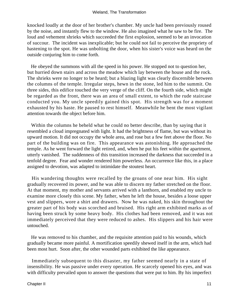knocked loudly at the door of her brother's chamber. My uncle had been previously roused by the noise, and instantly flew to the window. He also imagined what he saw to be fire. The loud and vehement shrieks which succeeded the first explosion, seemed to be an invocation of succour. The incident was inexplicable; but he could not fail to perceive the propriety of hastening to the spot. He was unbolting the door, when his sister's voice was heard on the outside conjuring him to come forth.

 He obeyed the summons with all the speed in his power. He stopped not to question her, but hurried down stairs and across the meadow which lay between the house and the rock. The shrieks were no longer to be heard; but a blazing light was clearly discernible between the columns of the temple. Irregular steps, hewn in the stone, led him to the summit. On three sides, this edifice touched the very verge of the cliff. On the fourth side, which might be regarded as the front, there was an area of small extent, to which the rude staircase conducted you. My uncle speedily gained this spot. His strength was for a moment exhausted by his haste. He paused to rest himself. Meanwhile he bent the most vigilant attention towards the object before him.

 Within the columns he beheld what he could no better describe, than by saying that it resembled a cloud impregnated with light. It had the brightness of flame, but was without its upward motion. It did not occupy the whole area, and rose but a few feet above the floor. No part of the building was on fire. This appearance was astonishing. He approached the temple. As he went forward the light retired, and, when he put his feet within the apartment, utterly vanished. The suddenness of this transition increased the darkness that succeeded in a tenfold degree. Fear and wonder rendered him powerless. An occurrence like this, in a place assigned to devotion, was adapted to intimidate the stoutest heart.

 His wandering thoughts were recalled by the groans of one near him. His sight gradually recovered its power, and he was able to discern my father stretched on the floor. At that moment, my mother and servants arrived with a lanthorn, and enabled my uncle to examine more closely this scene. My father, when he left the house, besides a loose upper vest and slippers, wore a shirt and drawers. Now he was naked, his skin throughout the greater part of his body was scorched and bruised. His right arm exhibited marks as of having been struck by some heavy body. His clothes had been removed, and it was not immediately perceived that they were reduced to ashes. His slippers and his hair were untouched.

 He was removed to his chamber, and the requisite attention paid to his wounds, which gradually became more painful. A mortification speedily shewed itself in the arm, which had been most hurt. Soon after, the other wounded parts exhibited the like appearance.

 Immediately subsequent to this disaster, my father seemed nearly in a state of insensibility. He was passive under every operation. He scarcely opened his eyes, and was with difficulty prevailed upon to answer the questions that were put to him. By his imperfect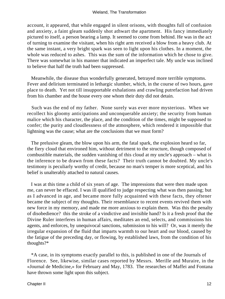account, it appeared, that while engaged in silent orisons, with thoughts full of confusion and anxiety, a faint gleam suddenly shot athwart the apartment. His fancy immediately pictured to itself, a person bearing a lamp. It seemed to come from behind. He was in the act of turning to examine the visitant, when his right arm received a blow from a heavy club. At the same instant, a very bright spark was seen to light upon his clothes. In a moment, the whole was reduced to ashes. This was the sum of the information which he chose to give. There was somewhat in his manner that indicated an imperfect tale. My uncle was inclined to believe that half the truth had been suppressed.

 Meanwhile, the disease thus wonderfully generated, betrayed more terrible symptoms. Fever and delirium terminated in lethargic slumber, which, in the course of two hours, gave place to death. Yet not till insupportable exhalations and crawling putrefaction had driven from his chamber and the house every one whom their duty did not detain.

 Such was the end of my father. None surely was ever more mysterious. When we recollect his gloomy anticipations and unconquerable anxiety; the security from human malice which his character, the place, and the condition of the times, might be supposed to confer; the purity and cloudlessness of the atmosphere, which rendered it impossible that lightning was the cause; what are the conclusions that we must form?

 The prelusive gleam, the blow upon his arm, the fatal spark, the explosion heard so far, the fiery cloud that environed him, without detriment to the structure, though composed of combustible materials, the sudden vanishing of this cloud at my uncle's approach – what is the inference to be drawn from these facts? Their truth cannot be doubted. My uncle's testimony is peculiarly worthy of credit, because no man's temper is more sceptical, and his belief is unalterably attached to natural causes.

 I was at this time a child of six years of age. The impressions that were then made upon me, can never be effaced. I was ill qualified to judge respecting what was then passing; but as I advanced in age, and became more fully acquainted with these facts, they oftener became the subject of my thoughts. Their resemblance to recent events revived them with new force in my memory, and made me more anxious to explain them. Was this the penalty of disobedience? this the stroke of a vindictive and invisible hand? Is it a fresh proof that the Divine Ruler interferes in human affairs, meditates an end, selects, and commissions his agents, and enforces, by unequivocal sanctions, submission to his will? Or, was it merely the irregular expansion of the fluid that imparts warmth to our heart and our blood, caused by the fatigue of the preceding day, or flowing, by established laws, from the condition of his thoughts?\*

 \*A case, in its symptoms exactly parallel to this, is published in one of the Journals of Florence. See, likewise, similar cases reported by Messrs. Merille and Muraire, in the «Journal de Medicine,» for February and May, 1783. The researches of Maffei and Fontana have thrown some light upon this subject.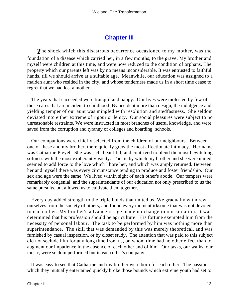## **[Chapter III](#page-172-0)**

The shock which this disastrous occurrence occasioned to my mother, was the foundation of a disease which carried her, in a few months, to the grave. My brother and myself were children at this time, and were now reduced to the condition of orphans. The property which our parents left was by no means inconsiderable. It was entrusted to faithful hands, till we should arrive at a suitable age. Meanwhile, our education was assigned to a maiden aunt who resided in the city, and whose tenderness made us in a short time cease to regret that we had lost a mother.

 The years that succeeded were tranquil and happy. Our lives were molested by few of those cares that are incident to childhood. By accident more than design, the indulgence and yielding temper of our aunt was mingled with resolution and stedfastness. She seldom deviated into either extreme of rigour or lenity. Our social pleasures were subject to no unreasonable restraints. We were instructed in most branches of useful knowledge, and were saved from the corruption and tyranny of colleges and boarding−schools.

 Our companions were chiefly selected from the children of our neighbours. Between one of these and my brother, there quickly grew the most affectionate intimacy. Her name was Catharine Pleyel. She was rich, beautiful, and contrived to blend the most bewitching softness with the most exuberant vivacity. The tie by which my brother and she were united, seemed to add force to the love which I bore her, and which was amply returned. Between her and myself there was every circumstance tending to produce and foster friendship. Our sex and age were the same. We lived within sight of each other's abode. Our tempers were remarkably congenial, and the superintendants of our education not only prescribed to us the same pursuits, but allowed us to cultivate them together.

 Every day added strength to the triple bonds that united us. We gradually withdrew ourselves from the society of others, and found every moment irksome that was not devoted to each other. My brother's advance in age made no change in our situation. It was determined that his profession should be agriculture. His fortune exempted him from the necessity of personal labour. The task to be performed by him was nothing more than superintendance. The skill that was demanded by this was merely theoretical, and was furnished by casual inspection, or by closet study. The attention that was paid to this subject did not seclude him for any long time from us, on whom time had no other effect than to augment our impatience in the absence of each other and of him. Our tasks, our walks, our music, were seldom performed but in each other's company.

 It was easy to see that Catharine and my brother were born for each other. The passion which they mutually entertained quickly broke those bounds which extreme youth had set to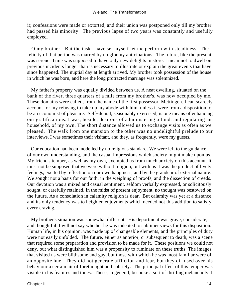it; confessions were made or extorted, and their union was postponed only till my brother had passed his minority. The previous lapse of two years was constantly and usefully employed.

 O my brother! But the task I have set myself let me perform with steadiness. The felicity of that period was marred by no gloomy anticipations. The future, like the present, was serene. Time was supposed to have only new delights in store. I mean not to dwell on previous incidents longer than is necessary to illustrate or explain the great events that have since happened. The nuptial day at length arrived. My brother took possession of the house in which he was born, and here the long protracted marriage was solemnized.

 My father's property was equally divided between us. A neat dwelling, situated on the bank of the river, three quarters of a mile from my brother's, was now occupied by me. These domains were called, from the name of the first possessor, Mettingen. I can scarcely account for my refusing to take up my abode with him, unless it were from a disposition to be an economist of pleasure. Self−denial, seasonably exercised, is one means of enhancing our gratifications. I was, beside, desirous of administering a fund, and regulating an household, of my own. The short distance allowed us to exchange visits as often as we pleased. The walk from one mansion to the other was no undelightful prelude to our interviews. I was sometimes their visitant, and they, as frequently, were my guests.

 Our education had been modelled by no religious standard. We were left to the guidance of our own understanding, and the casual impressions which society might make upon us. My friend's temper, as well as my own, exempted us from much anxiety on this account. It must not be supposed that we were without religion, but with us it was the product of lively feelings, excited by reflection on our own happiness, and by the grandeur of external nature. We sought not a basis for our faith, in the weighing of proofs, and the dissection of creeds. Our devotion was a mixed and casual sentiment, seldom verbally expressed, or solicitously sought, or carefully retained. In the midst of present enjoyment, no thought was bestowed on the future. As a consolation in calamity religion is dear. But calamity was yet at a distance, and its only tendency was to heighten enjoyments which needed not this addition to satisfy every craving.

 My brother's situation was somewhat different. His deportment was grave, considerate, and thoughtful. I will not say whether he was indebted to sublimer views for this disposition. Human life, in his opinion, was made up of changeable elements, and the principles of duty were not easily unfolded. The future, either as anterior, or subsequent to death, was a scene that required some preparation and provision to be made for it. These positions we could not deny, but what distinguished him was a propensity to ruminate on these truths. The images that visited us were blithsome and gay, but those with which he was most familiar were of an opposite hue. They did not generate affliction and fear, but they diffused over his behaviour a certain air of forethought and sobriety. The principal effect of this temper was visible in his features and tones. These, in general, bespoke a sort of thrilling melancholy. I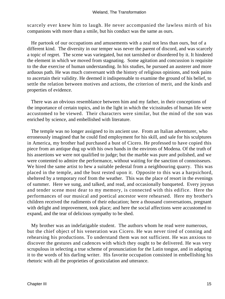scarcely ever knew him to laugh. He never accompanied the lawless mirth of his companions with more than a smile, but his conduct was the same as ours.

 He partook of our occupations and amusements with a zeal not less than ours, but of a different kind. The diversity in our temper was never the parent of discord, and was scarcely a topic of regret. The scene was variegated, but not tarnished or disordered by it. It hindered the element in which we moved from stagnating. Some agitation and concussion is requisite to the due exercise of human understanding. In his studies, he pursued an austerer and more arduous path. He was much conversant with the history of religious opinions, and took pains to ascertain their validity. He deemed it indispensable to examine the ground of his belief, to settle the relation between motives and actions, the criterion of merit, and the kinds and properties of evidence.

 There was an obvious resemblance between him and my father, in their conceptions of the importance of certain topics, and in the light in which the vicissitudes of human life were accustomed to be viewed. Their characters were similar, but the mind of the son was enriched by science, and embellished with literature.

 The temple was no longer assigned to its ancient use. From an Italian adventurer, who erroneously imagined that he could find employment for his skill, and sale for his sculptures in America, my brother had purchased a bust of Cicero. He professed to have copied this piece from an antique dug up with his own hands in the environs of Modena. Of the truth of his assertions we were not qualified to judge; but the marble was pure and polished, and we were contented to admire the performance, without waiting for the sanction of connoisseurs. We hired the same artist to hew a suitable pedestal from a neighbouring quarry. This was placed in the temple, and the bust rested upon it. Opposite to this was a harpsichord, sheltered by a temporary roof from the weather. This was the place of resort in the evenings of summer. Here we sung, and talked, and read, and occasionally banqueted. Every joyous and tender scene most dear to my memory, is connected with this edifice. Here the performances of our musical and poetical ancestor were rehearsed. Here my brother's children received the rudiments of their education; here a thousand conversations, pregnant with delight and improvement, took place; and here the social affections were accustomed to expand, and the tear of delicious sympathy to be shed.

 My brother was an indefatigable student. The authors whom he read were numerous, but the chief object of his veneration was Cicero. He was never tired of conning and rehearsing his productions. To understand them was not sufficient. He was anxious to discover the gestures and cadences with which they ought to be delivered. He was very scrupulous in selecting a true scheme of pronunciation for the Latin tongue, and in adapting it to the words of his darling writer. His favorite occupation consisted in embellishing his rhetoric with all the proprieties of gesticulation and utterance.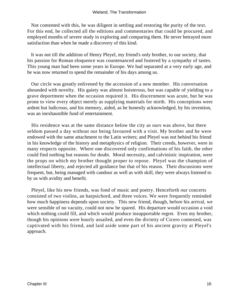Not contented with this, he was diligent in settling and restoring the purity of the text. For this end, he collected all the editions and commentaries that could be procured, and employed months of severe study in exploring and comparing them. He never betrayed more satisfaction than when he made a discovery of this kind.

 It was not till the addition of Henry Pleyel, my friend's only brother, to our society, that his passion for Roman eloquence was countenanced and fostered by a sympathy of tastes. This young man had been some years in Europe. We had separated at a very early age, and he was now returned to spend the remainder of his days among us.

 Our circle was greatly enlivened by the accession of a new member. His conversation abounded with novelty. His gaiety was almost boisterous, but was capable of yielding to a grave deportment when the occasion required it. His discernment was acute, but he was prone to view every object merely as supplying materials for mirth. His conceptions were ardent but ludicrous, and his memory, aided, as he honestly acknowledged, by his invention, was an inexhaustible fund of entertainment.

 His residence was at the same distance below the city as ours was above, but there seldom passed a day without our being favoured with a visit. My brother and he were endowed with the same attachment to the Latin writers; and Pleyel was not behind his friend in his knowledge of the history and metaphysics of religion. Their creeds, however, were in many respects opposite. Where one discovered only confirmations of his faith, the other could find nothing but reasons for doubt. Moral necessity, and calvinistic inspiration, were the props on which my brother thought proper to repose. Pleyel was the champion of intellectual liberty, and rejected all guidance but that of his reason. Their discussions were frequent, but, being managed with candour as well as with skill, they were always listened to by us with avidity and benefit.

 Pleyel, like his new friends, was fond of music and poetry. Henceforth our concerts consisted of two violins, an harpsichord, and three voices. We were frequently reminded how much happiness depends upon society. This new friend, though, before his arrival, we were sensible of no vacuity, could not now be spared. His departure would occasion a void which nothing could fill, and which would produce insupportable regret. Even my brother, though his opinions were hourly assailed, and even the divinity of Cicero contested, was captivated with his friend, and laid aside some part of his ancient gravity at Pleyel's approach.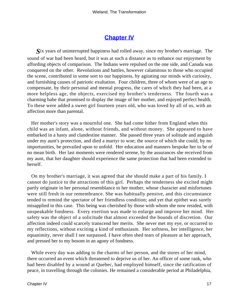## **[Chapter IV](#page-172-0)**

*S*ix years of uninterrupted happiness had rolled away, since my brother's marriage. The sound of war had been heard, but it was at such a distance as to enhance our enjoyment by affording objects of comparison. The Indians were repulsed on the one side, and Canada was conquered on the other. Revolutions and battles, however calamitous to those who occupied the scene, contributed in some sort to our happiness, by agitating our minds with curiosity, and furnishing causes of patriotic exultation. Four children, three of whom were of an age to compensate, by their personal and mental progress, the cares of which they had been, at a more helpless age, the objects, exercised my brother's tenderness. The fourth was a charming babe that promised to display the image of her mother, and enjoyed perfect health. To these were added a sweet girl fourteen years old, who was loved by all of us, with an affection more than parental.

 Her mother's story was a mournful one. She had come hither from England when this child was an infant, alone, without friends, and without money. She appeared to have embarked in a hasty and clandestine manner. She passed three years of solitude and anguish under my aunt's protection, and died a martyr to woe; the source of which she could, by no importunities, be prevailed upon to unfold. Her education and manners bespoke her to be of no mean birth. Her last moments were rendered serene, by the assurances she received from my aunt, that her daughter should experience the same protection that had been extended to herself.

 On my brother's marriage, it was agreed that she should make a part of his family. I cannot do justice to the attractions of this girl. Perhaps the tenderness she excited might partly originate in her personal resemblance to her mother, whose character and misfortunes were still fresh in our remembrance. She was habitually pensive, and this circumstance tended to remind the spectator of her friendless condition; and yet that epithet was surely misapplied in this case. This being was cherished by those with whom she now resided, with unspeakable fondness. Every exertion was made to enlarge and improve her mind. Her safety was the object of a solicitude that almost exceeded the bounds of discretion. Our affection indeed could scarcely transcend her merits. She never met my eye, or occurred to my reflections, without exciting a kind of enthusiasm. Her softness, her intelligence, her equanimity, never shall I see surpassed. I have often shed tears of pleasure at her approach, and pressed her to my bosom in an agony of fondness.

 While every day was adding to the charms of her person, and the stores of her mind, there occurred an event which threatened to deprive us of her. An officer of some rank, who had been disabled by a wound at Quebec, had employed himself, since the ratification of peace, in travelling through the colonies. He remained a considerable period at Philadelphia,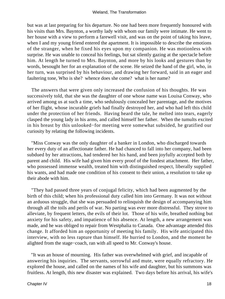#### Wieland, The Transformation

but was at last preparing for his departure. No one had been more frequently honoured with his visits than Mrs. Baynton, a worthy lady with whom our family were intimate. He went to her house with a view to perform a farewell visit, and was on the point of taking his leave, when I and my young friend entered the apartment. It is impossible to describe the emotions of the stranger, when he fixed his eyes upon my companion. He was motionless with surprise. He was unable to conceal his feelings, but sat silently gazing at the spectacle before him. At length he turned to Mrs. Baynton, and more by his looks and gestures than by words, besought her for an explanation of the scene. He seized the hand of the girl, who, in her turn, was surprised by his behaviour, and drawing her forward, said in an eager and faultering tone, Who is she? whence does she come? what is her name?

 The answers that were given only increased the confusion of his thoughts. He was successively told, that she was the daughter of one whose name was Louisa Conway, who arrived among us at such a time, who sedulously concealed her parentage, and the motives of her flight, whose incurable griefs had finally destroyed her, and who had left this child under the protection of her friends. Having heard the tale, he melted into tears, eagerly clasped the young lady in his arms, and called himself her father. When the tumults excited in his breast by this unlooked−for meeting were somewhat subsided, he gratified our curiosity by relating the following incidents.

 "Miss Conway was the only daughter of a banker in London, who discharged towards her every duty of an affectionate father. He had chanced to fall into her company, had been subdued by her attractions, had tendered her his hand, and been joyfully accepted both by parent and child. His wife had given him every proof of the fondest attachment. Her father, who possessed immense wealth, treated him with distinguished respect, liberally supplied his wants, and had made one condition of his consent to their union, a resolution to take up their abode with him.

 "They had passed three years of conjugal felicity, which had been augmented by the birth of this child; when his professional duty called him into Germany. It was not without an arduous struggle, that she was persuaded to relinquish the design of accompanying him through all the toils and perils of war. No parting was ever more distressful. They strove to alleviate, by frequent letters, the evils of their lot. Those of his wife, breathed nothing but anxiety for his safety, and impatience of his absence. At length, a new arrangement was made, and he was obliged to repair from Westphalia to Canada. One advantage attended this change. It afforded him an opportunity of meeting his family. His wife anticipated this interview, with no less rapture than himself. He hurried to London, and the moment he alighted from the stage−coach, ran with all speed to Mr. Conway's house.

 "It was an house of mourning. His father was overwhelmed with grief, and incapable of answering his inquiries. The servants, sorrowful and mute, were equally refractory. He explored the house, and called on the names of his wife and daughter, but his summons was fruitless. At length, this new disaster was explained. Two days before his arrival, his wife's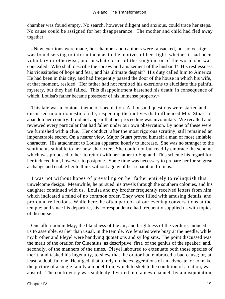chamber was found empty. No search, however diligent and anxious, could trace her steps. No cause could be assigned for her disappearance. The mother and child had fled away together.

 «New exertions were made, her chamber and cabinets were ransacked, but no vestige was found serving to inform them as to the motives of her flight, whether it had been voluntary or otherwise, and in what corner of the kingdom or of the world she was concealed. Who shall describe the sorrow and amazement of the husband? His restlessness, his vicissitudes of hope and fear, and his ultimate despair? His duty called him to America. He had been in this city, and had frequently passed the door of the house in which his wife, at that moment, resided. Her father had not remitted his exertions to elucidate this painful mystery, but they had failed. This disappointment hastened his death; in consequence of which, Louisa's father became possessor of his immense property.»

 This tale was a copious theme of speculation. A thousand questions were started and discussed in our domestic circle, respecting the motives that influenced Mrs. Stuart to abandon her country. It did not appear that her proceeding was involuntary. We recalled and reviewed every particular that had fallen under our own observation. By none of these were we furnished with a clue. Her conduct, after the most rigorous scrutiny, still remained an impenetrable secret. On a nearer view, Major Stuart proved himself a man of most amiable character. His attachment to Louisa appeared hourly to increase. She was no stranger to the sentiments suitable to her new character. She could not but readily embrace the scheme which was proposed to her, to return with her father to England. This scheme his regard for her induced him, however, to postpone. Some time was necessary to prepare her for so great a change and enable her to think without agony of her separation from us.

 I was not without hopes of prevailing on her father entirely to relinquish this unwelcome design. Meanwhile, he pursued his travels through the southern colonies, and his daughter continued with us. Louisa and my brother frequently received letters from him, which indicated a mind of no common order. They were filled with amusing details, and profound reflections. While here, he often partook of our evening conversations at the temple; and since his departure, his correspondence had frequently supplied us with topics of discourse.

 One afternoon in May, the blandness of the air, and brightness of the verdure, induced us to assemble, earlier than usual, in the temple. We females were busy at the needle, while my brother and Pleyel were bandying quotations and syllogisms. The point discussed was the merit of the oration for Cluentius, as descriptive, first, of the genius of the speaker; and, secondly, of the manners of the times. Pleyel laboured to extenuate both these species of merit, and tasked his ingenuity, to shew that the orator had embraced a bad cause; or, at least, a doubtful one. He urged, that to rely on the exaggerations of an advocate, or to make the picture of a single family a model from which to sketch the condition of a nation, was absurd. The controversy was suddenly diverted into a new channel, by a misquotation.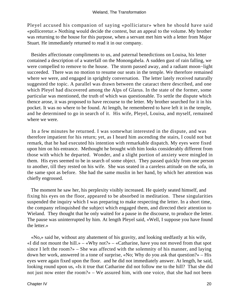Pleyel accused his companion of saying «polliciatur» when he should have said «polliceretur.» Nothing would decide the contest, but an appeal to the volume. My brother was returning to the house for this purpose, when a servant met him with a letter from Major Stuart. He immediately returned to read it in our company.

 Besides affectionate compliments to us, and paternal benedictions on Louisa, his letter contained a description of a waterfall on the Monongahela. A sudden gust of rain falling, we were compelled to remove to the house. The storm passed away, and a radiant moon−light succeeded. There was no motion to resume our seats in the temple. We therefore remained where we were, and engaged in sprightly conversation. The letter lately received naturally suggested the topic. A parallel was drawn between the cataract there described, and one which Pleyel had discovered among the Alps of Glarus. In the state of the former, some particular was mentioned, the truth of which was questionable. To settle the dispute which thence arose, it was proposed to have recourse to the letter. My brother searched for it in his pocket. It was no where to be found. At length, he remembered to have left it in the temple, and he determined to go in search of it. His wife, Pleyel, Louisa, and myself, remained where we were.

 In a few minutes he returned. I was somewhat interested in the dispute, and was therefore impatient for his return; yet, as I heard him ascending the stairs, I could not but remark, that he had executed his intention with remarkable dispatch. My eyes were fixed upon him on his entrance. Methought he brought with him looks considerably different from those with which he departed. Wonder, and a slight portion of anxiety were mingled in them. His eyes seemed to be in search of some object. They passed quickly from one person to another, till they rested on his wife. She was seated in a careless attitude on the sofa, in the same spot as before. She had the same muslin in her hand, by which her attention was chiefly engrossed.

 The moment he saw her, his perplexity visibly increased. He quietly seated himself, and fixing his eyes on the floor, appeared to be absorbed in meditation. These singularities suspended the inquiry which I was preparing to make respecting the letter. In a short time, the company relinquished the subject which engaged them, and directed their attention to Wieland. They thought that he only waited for a pause in the discourse, to produce the letter. The pause was uninterrupted by him. At length Pleyel said, «Well, I suppose you have found the letter.»

 «No,» said he, without any abatement of his gravity, and looking stedfastly at his wife, «I did not mount the hill.» – «Why not?» – «Catharine, have you not moved from that spot since I left the room?» – She was affected with the solemnity of his manner, and laying down her work, answered in a tone of surprise, «No; Why do you ask that question?» – His eyes were again fixed upon the floor. and he did not immediately answer. At length, he said, looking round upon us, «Is it true that Catharine did not follow me to the hill? That she did not just now enter the room?» – We assured him, with one voice, that she had not been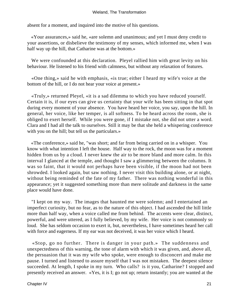absent for a moment, and inquired into the motive of his questions.

 «Your assurances,» said he, «are solemn and unanimous; and yet I must deny credit to your assertions, or disbelieve the testimony of my senses, which informed me, when I was half way up the hill, that Catharine was at the bottom.»

 We were confounded at this declaration. Pleyel rallied him with great levity on his behaviour. He listened to his friend with calmness, but without any relaxation of features.

 «One thing,» said he with emphasis, «is true; either I heard my wife's voice at the bottom of the hill, or I do not hear your voice at present.»

 «Truly,» returned Pleyel, «it is a sad dilemma to which you have reduced yourself. Certain it is, if our eyes can give us certainty that your wife has been sitting in that spot during every moment of your absence. You have heard her voice, you say, upon the hill. In general, her voice, like her temper, is all softness. To be heard across the room, she is obliged to exert herself. While you were gone, if I mistake not, she did not utter a word. Clara and I had all the talk to ourselves. Still it may be that she held a whispering conference with you on the hill; but tell us the particulars.»

 «The conference,» said he, "was short; and far from being carried on in a whisper. You know with what intention I left the house. Half way to the rock, the moon was for a moment hidden from us by a cloud. I never knew the air to be more bland and more calm. In this interval I glanced at the temple, and thought I saw a glimmering between the columns. It was so faint, that it would not perhaps have been visible, if the moon had not been shrowded. I looked again, but saw nothing. I never visit this building alone, or at night, without being reminded of the fate of my father. There was nothing wonderful in this appearance; yet it suggested something more than mere solitude and darkness in the same place would have done.

 "I kept on my way. The images that haunted me were solemn; and I entertained an imperfect curiosity, but no fear, as to the nature of this object. I had ascended the hill little more than half way, when a voice called me from behind. The accents were clear, distinct, powerful, and were uttered, as I fully believed, by my wife. Her voice is not commonly so loud. She has seldom occasion to exert it, but, nevertheless, I have sometimes heard her call with force and eagerness. If my ear was not deceived, it was her voice which I heard.

 «Stop, go no further. There is danger in your path.» The suddenness and unexpectedness of this warning, the tone of alarm with which it was given, and, above all, the persuasion that it was my wife who spoke, were enough to disconcert and make me pause. I turned and listened to assure myself that I was not mistaken. The deepest silence succeeded. At length, I spoke in my turn. Who calls? is it you, Catharine? I stopped and presently received an answer. «Yes, it is I; go not up; return instantly; you are wanted at the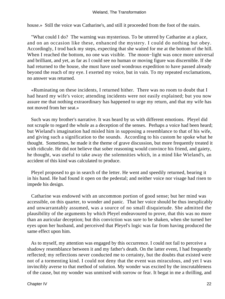house.» Still the voice was Catharine's, and still it proceeded from the foot of the stairs.

 "What could I do? The warning was mysterious. To be uttered by Catharine at a place, and on an occasion like these, enhanced the mystery. I could do nothing but obey. Accordingly, I trod back my steps, expecting that she waited for me at the bottom of the hill. When I reached the bottom, no one was visible. The moon−light was once more universal and brilliant, and yet, as far as I could see no human or moving figure was discernible. If she had returned to the house, she must have used wondrous expedition to have passed already beyond the reach of my eye. I exerted my voice, but in vain. To my repeated exclamations, no answer was returned.

 «Ruminating on these incidents, I returned hither. There was no room to doubt that I had heard my wife's voice; attending incidents were not easily explained; but you now assure me that nothing extraordinary has happened to urge my return, and that my wife has not moved from her seat.»

 Such was my brother's narrative. It was heard by us with different emotions. Pleyel did not scruple to regard the whole as a deception of the senses. Perhaps a voice had been heard; but Wieland's imagination had misled him in supposing a resemblance to that of his wife, and giving such a signification to the sounds. According to his custom he spoke what he thought. Sometimes, he made it the theme of grave discussion, but more frequently treated it with ridicule. He did not believe that sober reasoning would convince his friend, and gaiety, he thought, was useful to take away the solemnities which, in a mind like Wieland's, an accident of this kind was calculated to produce.

 Pleyel proposed to go in search of the letter. He went and speedily returned, bearing it in his hand. He had found it open on the pedestal; and neither voice nor visage had risen to impede his design.

 Catharine was endowed with an uncommon portion of good sense; but her mind was accessible, on this quarter, to wonder and panic. That her voice should be thus inexplicably and unwarrantably assumed, was a source of no small disquietude. She admitted the plausibility of the arguments by which Pleyel endeavoured to prove, that this was no more than an auricular deception; but this conviction was sure to be shaken, when she turned her eyes upon her husband, and perceived that Pleyel's logic was far from having produced the same effect upon him.

 As to myself, my attention was engaged by this occurrence. I could not fail to perceive a shadowy resemblance between it and my father's death. On the latter event, I had frequently reflected; my reflections never conducted me to certainty, but the doubts that existed were not of a tormenting kind. I could not deny that the event was miraculous, and yet I was invincibly averse to that method of solution. My wonder was excited by the inscrutableness of the cause, but my wonder was unmixed with sorrow or fear. It begat in me a thrilling, and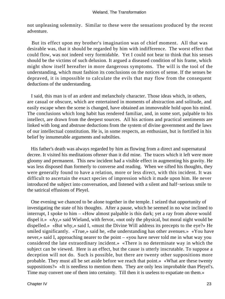not unpleasing solemnity. Similar to these were the sensations produced by the recent adventure.

 But its effect upon my brother's imagination was of chief moment. All that was desirable was, that it should be regarded by him with indifference. The worst effect that could flow, was not indeed very formidable. Yet I could not bear to think that his senses should be the victims of such delusion. It argued a diseased condition of his frame, which might show itself hereafter in more dangerous symptoms. The will is the tool of the understanding, which must fashion its conclusions on the notices of sense. If the senses be depraved, it is impossible to calculate the evils that may flow from the consequent deductions of the understanding.

 I said, this man is of an ardent and melancholy character. Those ideas which, in others, are casual or obscure, which are entertained in moments of abstraction and solitude, and easily escape when the scene is changed, have obtained an immoveable hold upon his mind. The conclusions which long habit has rendered familiar, and, in some sort, palpable to his intellect, are drawn from the deepest sources. All his actions and practical sentiments are linked with long and abstruse deductions from the system of divine government and the laws of our intellectual constitution. He is, in some respects, an enthusiast, but is fortified in his belief by innumerable arguments and subtilties.

 His father's death was always regarded by him as flowing from a direct and supernatural decree. It visited his meditations oftener than it did mine. The traces which it left were more gloomy and permanent. This new incident had a visible effect in augmenting his gravity. He was less disposed than formerly to converse and reading. When we sifted his thoughts, they were generally found to have a relation, more or less direct, with this incident. It was difficult to ascertain the exact species of impression which it made upon him. He never introduced the subject into conversation, and listened with a silent and half−serious smile to the satirical effusions of Pleyel.

 One evening we chanced to be alone together in the temple. I seized that opportunity of investigating the state of his thoughts. After a pause, which he seemed in no wise inclined to interrupt, I spoke to him – «How almost palpable is this dark; yet a ray from above would dispel it.» «Ay,» said Wieland, with fervor, «not only the physical, but moral night would be dispelled.» «But why,» said I, «must the Divine Will address its precepts to the eye?» He smiled significantly. «True,» said he, «the understanding has other avenues.» «You have never,» said I, approaching nearer to the point – «you have never told me in what way you considered the late extraordinary incident.» «There is no determinate way in which the subject can be viewed. Here is an effect, but the cause is utterly inscrutable. To suppose a deception will not do. Such is possible, but there are twenty other suppositions more probable. They must all be set aside before we reach that point.» «What are these twenty suppositions?» «It is needless to mention them. They are only less improbable than Pleyel's. Time may convert one of them into certainty. Till then it is useless to expatiate on them.»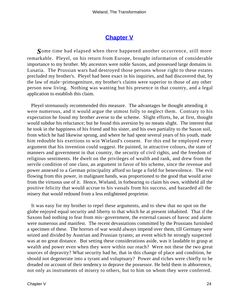## **[Chapter V](#page-172-0)**

*S*ome time had elapsed when there happened another occurrence, still more remarkable. Pleyel, on his return from Europe, brought information of considerable importance to my brother. My ancestors were noble Saxons, and possessed large domains in Lusatia. The Prussian wars had destroyed those persons whose right to these estates precluded my brother's. Pleyel had been exact in his inquiries, and had discovered that, by the law of male−primogeniture, my brother's claims were superior to those of any other person now living. Nothing was wanting but his presence in that country, and a legal application to establish this claim.

 Pleyel strenuously recommended this measure. The advantages he thought attending it were numerous, and it would argue the utmost folly to neglect them. Contrary to his expectation he found my brother averse to the scheme. Slight efforts, he, at first, thought would subdue his reluctance; but he found this aversion by no means slight. The interest that he took in the happiness of his friend and his sister, and his own partiality to the Saxon soil, from which he had likewise sprung, and where he had spent several years of his youth, made him redouble his exertions to win Wieland's consent. For this end he employed every argument that his invention could suggest. He painted, in attractive colours, the state of manners and government in that country, the security of civil rights, and the freedom of religious sentiments. He dwelt on the privileges of wealth and rank, and drew from the servile condition of one class, an argument in favor of his scheme, since the revenue and power annexed to a German principality afford so large a field for benevolence. The evil flowing from this power, in malignant hands, was proportioned to the good that would arise from the virtuous use of it. Hence, Wieland, in forbearing to claim his own, withheld all the positive felicity that would accrue to his vassals from his success, and hazarded all the misery that would redound from a less enlightened proprietor.

 It was easy for my brother to repel these arguments, and to shew that no spot on the globe enjoyed equal security and liberty to that which he at present inhabited. That if the Saxons had nothing to fear from mis−government, the external causes of havoc and alarm were numerous and manifest. The recent devastations committed by the Prussians furnished a specimen of these. The horrors of war would always impend over them, till Germany were seized and divided by Austrian and Prussian tyrants; an event which he strongly suspected was at no great distance. But setting these considerations aside, was it laudable to grasp at wealth and power even when they were within our reach? Were not these the two great sources of depravity? What security had he, that in this change of place and condition, he should not degenerate into a tyrant and voluptuary? Power and riches were chiefly to be dreaded on account of their tendency to deprave the possessor. He held them in abhorrence, not only as instruments of misery to others, but to him on whom they were conferred.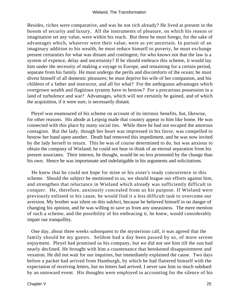Besides, riches were comparative, and was he not rich already? He lived at present in the bosom of security and luxury. All the instruments of pleasure, on which his reason or imagination set any value, were within his reach. But these he must forego, for the sake of advantages which, whatever were their value, were as yet uncertain. In pursuit of an imaginary addition to his wealth, he must reduce himself to poverty, he must exchange present certainties for what was distant and contingent; for who knows not that the law is a system of expence, delay and uncertainty? If he should embrace this scheme, it would lay him under the necessity of making a voyage to Europe, and remaining for a certain period, separate from his family. He must undergo the perils and discomforts of the ocean; he must divest himself of all domestic pleasures; he must deprive his wife of her companion, and his children of a father and instructor, and all for what? For the ambiguous advantages which overgrown wealth and flagitious tyranny have to bestow? For a precarious possession in a land of turbulence and war? Advantages, which will not certainly be gained, and of which the acquisition, if it were sure, is necessarily distant.

 Pleyel was enamoured of his scheme on account of its intrinsic benefits, but, likewise, for other reasons. His abode at Leipsig made that country appear to him like home. He was connected with this place by many social ties. While there he had not escaped the amorous contagion. But the lady, though her heart was impressed in his favor, was compelled to bestow her hand upon another. Death had removed this impediment, and he was now invited by the lady herself to return. This he was of course determined to do, but was anxious to obtain the company of Wieland; he could not bear to think of an eternal separation from his present associates. Their interest, he thought, would be no less promoted by the change than his own. Hence he was importunate and indefatigable in his arguments and solicitations.

 He knew that he could not hope for mine or his sister's ready concurrence in this scheme. Should the subject be mentioned to us, we should league our efforts against him, and strengthen that reluctance in Wieland which already was sufficiently difficult to conquer. He, therefore, anxiously concealed from us his purpose. If Wieland were previously enlisted in his cause, he would find it a less difficult task to overcome our aversion. My brother was silent on this subJect, because he believed himself in no danger of changing his opinion, and he was willing to save us from any uneasiness. The mere mention of such a scheme, and the possibility of his embracing it, he knew, would considerably impair our tranquillity.

 One day, about three weeks subsequent to the mysterious call, it was agreed that the family should be my guests. Seldom had a day been passed by us, of more serene enjoyment. Pleyel had promised us his company, but we did not see him till the sun had nearly declined. He brought with him a countenance that betokened disappointment and vexation. He did not wait for our inquiries, but immediately explained the cause. Two days before a packet had arrived from Hamburgh, by which he had flattered himself with the expectation of receiving letters, but no letters had arrived. I never saw him so much subdued by an untoward event. His thoughts were employed in accounting for the silence of his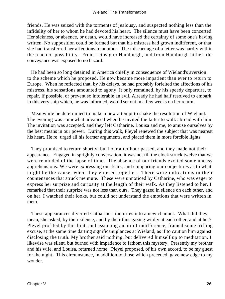friends. He was seized with the torments of jealousy, and suspected nothing less than the infidelity of her to whom he had devoted his heart. The silence must have been concerted. Her sickness, or absence, or death, would have increased the certainty of some one's having written. No supposition could be formed but that his mistress had grown indifferent, or that she had transferred her affections to another. The miscarriage of a letter was hardly within the reach of possibility. From Leipsig to Hamburgh, and from Hamburgh hither, the conveyance was exposed to no hazard.

 He had been so long detained in America chiefly in consequence of Wieland's aversion to the scheme which he proposed. He now became more impatient than ever to return to Europe. When he reflected that, by his delays, he had probably forfeited the affections of his mistress, his sensations amounted to agony. It only remained, by his speedy departure, to repair, if possible, or prevent so intolerable an evil. Already he had half resolved to embark in this very ship which, he was informed, would set out in a few weeks on her return.

 Meanwhile he determined to make a new attempt to shake the resolution of Wieland. The evening was somewhat advanced when he invited the latter to walk abroad with him. The invitation was accepted, and they left Catharine, Louisa and me, to amuse ourselves by the best means in our power. During this walk, Pleyel renewed the subject that was nearest his heart. He re−urged all his former arguments, and placed them in more forcible lights.

 They promised to return shortly; but hour after hour passed, and they made not their appearance. Engaged in sprightly conversation, it was not till the clock struck twelve that we were reminded of the lapse of time. The absence of our friends excited some uneasy apprehensions. We were expressing our fears, and comparing our conjectures as to what might be the cause, when they entered together. There were indications in their countenances that struck me mute. These were unnoticed by Catharine, who was eager to express her surprize and curiosity at the length of their walk. As they listened to her, I remarked that their surprize was not less than ours. They gazed in silence on each other, and on her. I watched their looks, but could not understand the emotions that were written in them.

 These appearances diverted Catharine's inquiries into a new channel. What did they mean, she asked, by their silence, and by their thus gazing wildly at each other, and at her? Pleyel profited by this hint, and assuming an air of indifference, framed some trifling excuse, at the same time darting significant glances at Wieland, as if to caution him against disclosing the truth. My brother said nothing, but delivered himself up to meditation. I likewise was silent, but burned with impatience to fathom this mystery. Presently my brother and his wife, and Louisa, returned home. Pleyel proposed, of his own accord, to be my guest for the night. This circumstance, in addition to those which preceded, gave new edge to my wonder.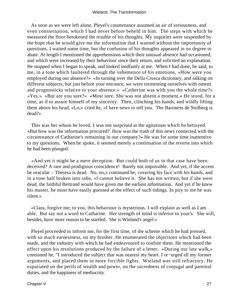As soon as we were left alone, Pleyel's countenance assumed an air of seriousness, and even consternation, which I had never before beheld in him. The steps with which he measured the floor betokened the trouble of his thoughts. My inquiries were suspended by the hope that he would give me the information that I wanted without the importunity of questions. I waited some time, but the confusion of his thoughts appeared in no degree to abate. At length I mentioned the apprehensions which their unusual absence had occasioned, and which were increased by their behaviour since their return, and solicited an explanation. He stopped when I began to speak, and looked stedfastly at me. When I had done, he said, to me, in a tone which faultered through the vehemence of his emotions, «How were you employed during our absence?» «In turning over the Della Crusca dictionary, and talking on different subjects; but just before your entrance, we were tormenting ourselves with omens and prognosticks relative to your absence.» «Catherine was with you the whole time?» «Yes.» «But are you sure?» «Most sure. She was not absent a moment.» He stood, for a time, as if to assure himself of my sincerity. Then, clinching his hands, and wildly lifting them above his head, «Lo,» cried he, «I have news to tell you. The Baroness de Stolberg is dead?»

 This was her whom he loved. I was not surprised at the agitations which he betrayed. «But how was the information procured? How was the truth of this news connected with the circumstance of Catharine's remaining in our company?» He was for some time inattentive to my questions. When he spoke, it seemed merely a continuation of the reverie into which he had been plunged.

 «And yet it might be a mere deception. But could both of us in that case have been deceived? A rare and prodigious coincidence! Barely not impossible. And yet, if the accent be oracular – Theresa is dead. No, no,» continued he, covering his face with his hands, and in a tone half broken into sobs, «I cannot believe it. She has not written, but if she were dead, the faithful Bertrand would have given me the earliest information. And yet if he knew his master, he must have easily guessed at the effect of such tidings. In pity to me he was silent.»

 «Clara, forgive me; to you, this behaviour is mysterious. I will explain as well as I am able. But say not a word to Catharine. Her strength of mind is inferior to your's. She will, besides, have more reason to be startled. She is Wieland's angel.»

 Pleyel proceeded to inform me, for the first time, of the scheme which he had pressed, with so much earnestness, on my brother. He enumerated the objections which had been made, and the industry with which he had endeavoured to confute them. He mentioned the effect upon his resolutions produced by the failure of a letter. «During our late walk,» continued he, "I introduced the subject that was nearest my heart. I re−urged all my former arguments, and placed them in more forcible lights. Wieland was still refractory. He expatiated on the perils of wealth and power, on the sacredness of conjugal and parental duties, and the happiness of mediocrity.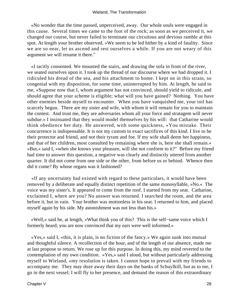«No wonder that the time passed, unperceived, away. Our whole souls were engaged in this cause. Several times we came to the foot of the rock; as soon as we perceived it, we changed our course, but never failed to terminate our circuitous and devious ramble at this spot. At length your brother observed, »We seem to be led hither by a kind of fatality. Since we are so near, let us ascend and rest ourselves a while. If you are not weary of this argument we will resume it there."

 «I tacitly consented. We mounted the stairs, and drawing the sofa in front of the river, we seated ourselves upon it. I took up the thread of our discourse where we had dropped it. I ridiculed his dread of the sea, and his attachment to home. I kept on in this strain, so congenial with my disposition, for some time, uninterrupted by him. At length, he said to me, »Suppose now that I, whom argument has not convinced, should yield to ridicule, and should agree that your scheme is eligible; what will you have gained? Nothing. You have other enemies beside myself to encounter. When you have vanquished me, your toil has scarcely begun. There are my sister and wife, with whom it will remain for you to maintain the contest. And trust me, they are adversaries whom all your force and stratagem will never subdue.« I insinuated that they would model themselves by his will: that Catharine would think obedience her duty. He answered, with some quickness, »You mistake. Their concurrence is indispensable. It is not my custom to exact sacrifices of this kind. I live to be their protector and friend, and not their tyrant and foe. If my wife shall deem her happiness, and that of her children, most consulted by remaining where she is, here she shall remain.« »But,« said I, »when she knows your pleasure, will she not conform to it?" Before my friend had time to answer this question, a negative was clearly and distinctly uttered from another quarter. It did not come from one side or the other, from before us or behind. Whence then did it come? By whose organs was it fashioned?

 «If any uncertainty had existed with regard to these particulars, it would have been removed by a deliberate and equally distinct repetition of the same monosyllable, »No.« The voice was my sister's. It appeared to come from the roof. I started from my seat. Catharine, exclaimed I, where are you? No answer was returned. I searched the room, and the area before it, but in vain. Your brother was motionless in his seat. I returned to him, and placed myself again by his side. My astonishment was not less than his.»

 «Well,» said he, at length, «What think you of this? This is the self−same voice which I formerly heard; you are now convinced that my ears were well informed.»

 «Yes,» said I, «this, it is plain, is no fiction of the fancy.» We again sunk into mutual and thoughtful silence. A recollection of the hour, and of the length of our absence, made me at last propose to return. We rose up for this purpose. In doing this, my mind reverted to the contemplation of my own condition. «Yes,» said I aloud, but without particularly addressing myself to Wieland, «my resolution is taken. I cannot hope to prevail with my friends to accompany me. They may doze away their days on the banks of Schuylkill, but as to me, I go in the next vessel; I will fly to her presence, and demand the reason of this extraordinary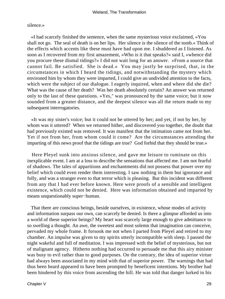silence.»

 «I had scarcely finished the sentence, when the same mysterious voice exclaimed, »You shall not go. The seal of death is on her lips. Her silence is the silence of the tomb.« Think of the effects which accents like these must have had upon me. I shuddered as I listened. As soon as I recovered from my first amazement, »Who is it that speaks?« said I, »whence did you procure these dismal tidings?« I did not wait long for an answer. »From a source that cannot fail. Be satisfied. She is dead.« You may justly be surprised, that, in the circumstances in which I heard the tidings, and notwithstanding the mystery which environed him by whom they were imparted, I could give an undivided attention to the facts, which were the subject of our dialogue. I eagerly inquired, when and where did she die? What was the cause of her death? Was her death absolutely certain? An answer was returned only to the last of these questions. »Yes," was pronounced by the same voice; but it now sounded from a greater distance, and the deepest silence was all the return made to my subsequent interrogatories.

 «It was my sister's voice; but it could not be uttered by her; and yet, if not by her, by whom was it uttered? When we returned hither, and discovered you together, the doubt that had previously existed was removed. It was manifest that the intimation came not from her. Yet if not from her, from whom could it come? Are the circumstances attending the imparting of this news proof that the tidings are true? God forbid that they should be true.»

 Here Pleyel sunk into anxious silence, and gave me leisure to ruminate on this inexplicable event. I am at a loss to describe the sensations that affected me. I am not fearful of shadows. The tales of apparitions and enchantments did not possess that power over my belief which could even render them interesting. I saw nothing in them but ignorance and folly, and was a stranger even to that terror which is pleasing. But this incident was different from any that I had ever before known. Here were proofs of a sensible and intelligent existence, which could not be denied. Here was information obtained and imparted by means unquestionably super−human.

 That there are conscious beings, beside ourselves, in existence, whose modes of activity and information surpass our own, can scarcely be denied. Is there a glimpse afforded us into a world of these superior beings? My heart was scarcely large enough to give admittance to so swelling a thought. An awe, the sweetest and most solemn that imagination can conceive, pervaded my whole frame. It forsook me not when I parted from Pleyel and retired to my chamber. An impulse was given to my spirits utterly incompatible with sleep. I passed the night wakeful and full of meditation. I was impressed with the belief of mysterious, but not of malignant agency. Hitherto nothing had occurred to persuade me that this airy minister was busy to evil rather than to good purposes. On the contrary, the idea of superior virtue had always been associated in my mind with that of superior power. The warnings that had thus been heard appeared to have been prompted by beneficent intentions. My brother had been hindered by this voice from ascending the hill. He was told that danger lurked in his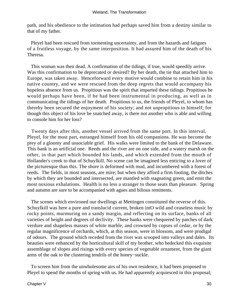path, and his obedience to the intimation had perhaps saved him from a destiny similar to that of my father.

 Pleyel had been rescued from tormenting uncertainty, and from the hazards and fatigues of a fruitless voyage, by the same interposition. It had assured him of the death of his Theresa.

 This woman was then dead. A confirmation of the tidings, if true, would speedily arrive. Was this confirmation to be deprecated or desired? By her death, the tie that attached him to Europe, was taken away. Henceforward every motive would combine to retain him in his native country, and we were rescued from the deep regrets that would accompany his hopeless absence from us. Propitious was the spirit that imparted these tidings. Propitious he would perhaps have been, if he had been instrumental in producing, as well as in communicating the tidings of her death. Propitious to us, the friends of Pleyel, to whom has thereby been secured the enjoyment of his society; and not unpropitious to himself; for though this object of his love be snatched away, is there not another who is able and willing to console him for her loss?

 Twenty days after this, another vessel arrived from the same port. In this interval, Pleyel, for the most part, estranged himself from his old companions. He was become the prey of a gloomy and unsociable grief. His walks were limited to the bank of the Delaware. This bank is an artificial one. Reeds and the river are on one side, and a watery marsh on the other, in that part which bounded his lands, and which extended from the mouth of Hollander's creek to that of Schuylkill. No scene can be imagined less enticing to a lover of the picturesque than this. The shore is deformed with mud, and incumbered with a forest of reeds. The fields, in most seasons, are mire; but when they afford a firm footing, the ditches by which they are bounded and intersected, are mantled with stagnating green, and emit the most noxious exhalations. Health is no less a stranger to those seats than pleasure. Spring and autumn are sure to be accompanied with agues and bilious remittents.

 The scenes which environed our dwellings at Mettingen constituted the reverse of this. Schuylkill was here a pure and translucid current, broken intO wild and ceaseless music by rocky points, murmuring on a sandy margin, and reflecting on its surface, banks of all varieties of height and degrees of declivity. These banks were chequered by patches of dark verdure and shapeless masses of white marble, and crowned by copses of cedar, or by the regular magnificence of orchards, which, at this season, were in blossom, and were prodigal of odours. The ground which receded from the river was scooped into valleys and dales. Its beauties were enhanced by the horticultural skill of my brother, who bedecked this exquisite assemblage of slopes and risings with every species of vegetable ornament, from the giant arms of the oak to the clustering tendrils of the honey−suckle.

 To screen him from the unwholesome airs of his own residence, it had been proposed to Pleyel to spend the months of spring with us. He had apparently acquiesced in this proposal;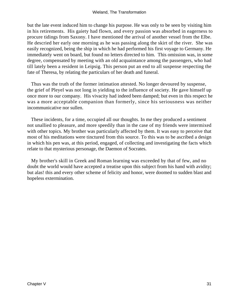but the late event induced him to change his purpose. He was only to be seen by visiting him in his retirements. His gaiety had flown, and every passion was absorbed in eagerness to procure tidings from Saxony. I have mentioned the arrival of another vessel from the Elbe. He descried her early one morning as he was passing along the skirt of the river. She was easily recognized, being the ship in which he had performed his first voyage to Germany. He immediately went on board, but found no letters directed to him. This omission was, in some degree, compensated by meeting with an old acquaintance among the passengers, who had till lately been a resident in Leipsig. This person put an end to all suspense respecting the fate of Theresa, by relating the particulars of her death and funeral.

 Thus was the truth of the former intimation attested. No longer devoured by suspense, the grief of Pleyel was not long in yielding to the influence of society. He gave himself up once more to our company. His vivacity had indeed been damped; but even in this respect he was a more acceptable companion than formerly, since his seriousness was neither incommunicative nor sullen.

 These incidents, for a time, occupied all our thoughts. In me they produced a sentiment not unallied to pleasure, and more speedily than in the case of my friends were intermixed with other topics. My brother was particularly affected by them. It was easy to perceive that most of his meditations were tinctured from this source. To this was to be ascribed a design in which his pen was, at this period, engaged, of collecting and investigating the facts which relate to that mysterious personage, the Daemon of Socrates.

 My brother's skill in Greek and Roman learning was exceeded by that of few, and no doubt the world would have accepted a treatise upon this subject from his hand with avidity; but alas! this and every other scheme of felicity and honor, were doomed to sudden blast and hopeless extermination.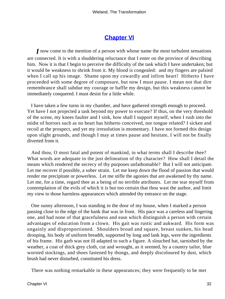# **[Chapter VI](#page-172-0)**

*I* now come to the mention of a person with whose name the most turbulent sensations are connected. It is with a shuddering reluctance that I enter on the province of describing him. Now it is that I begin to perceive the difficulty of the task which I have undertaken; but it would be weakness to shrink from it. My blood is congealed: and my fingers are palsied when I call up his image. Shame upon my cowardly and infirm heart! Hitherto I have proceeded with some degree of composure, but now I must pause. I mean not that dire remembrance shall subdue my courage or baffle my design, but this weakness cannot be immediately conquered. I must desist for a little while.

 I have taken a few turns in my chamber, and have gathered strength enough to proceed. Yet have I not projected a task beyond my power to execute? If thus, on the very threshold of the scene, my knees faulter and I sink, how shall I support myself, when I rush into the midst of horrors such as no heart has hitherto conceived, nor tongue related? I sicken and recoil at the prospect, and yet my irresolution is momentary. I have not formed this design upon slight grounds, and though I may at times pause and hesitate, I will not be finally diverted from it.

 And thou, O most fatal and potent of mankind, in what terms shall I describe thee? What words are adequate to the just delineation of thy character? How shall I detail the means which rendered the secrecy of thy purposes unfathomable? But I will not anticipate. Let me recover if possible, a sober strain. Let me keep down the flood of passion that would render me precipitate or powerless. Let me stifle the agonies that are awakened by thy name. Let me, for a time, regard thee as a being of no terrible attributes. Let me tear myself from contemplation of the evils of which it is but too certain that thou wast the author, and limit my view to those harmless appearances which attended thy entrance on the stage.

 One sunny afternoon, I was standing in the door of my house, when I marked a person passing close to the edge of the bank that was in front. His pace was a careless and lingering one, and had none of that gracefulness and ease which distinguish a person with certain advantages of education from a clown. His gait was rustic and aukward. His form was ungainly and disproportioned. Shoulders broad and square, breast sunken, his head drooping, his body of uniform breadth, supported by long and lank legs, were the ingredients of his frame. His garb was not ill adapted to such a figure. A slouched hat, tarnished by the weather, a coat of thick grey cloth, cut and wrought, as it seemed, by a country tailor, blue worsted stockings, and shoes fastened by thongs, and deeply discoloured by dust, which brush had never disturbed, constituted his dress.

There was nothing remarkable in these appearances; they were frequently to be met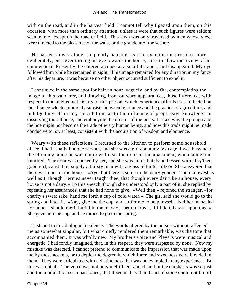with on the road, and in the harvest field. I cannot tell why I gazed upon them, on this occasion, with more than ordinary attention, unless it were that such figures were seldom seen by me, except on the road or field. This lawn was only traversed by men whose views were directed to the pleasures of the walk, or the grandeur of the scenery.

 He passed slowly along, frequently pausing, as if to examine the prospect more deliberately, but never turning his eye towards the house, so as to allow me a view of his countenance. Presently, he entered a copse at a small distance, and disappeared. My eye followed him while he remained in sight. If his image remained for any duration in my fancy after his departure, it was because no other object occurred sufficient to expel it.

 I continued in the same spot for half an hour, vaguely, and by fits, contemplating the image of this wanderer, and drawing, from outward appearances, those inferences with respect to the intellectual history of this person, which experience affords us. I reflected on the alliance which commonly subsists between ignorance and the practice of agriculture, and indulged myself in airy speculations as to the influence of progressive knowledge in dissolving this alliance, and embodying the dreams of the poets. I asked why the plough and the hoe might not become the trade of every human being, and how this trade might be made conducive to, or, at least, consistent with the acquisition of wisdom and eloquence.

 Weary with these reflections, I returned to the kitchen to perform some household office. I had usually but one servant, and she was a girl about my own age. I was busy near the chimney, and she was employed near the door of the apartment, when some one knocked. The door was opened by her, and she was immediately addressed with «Pry'thee, good girl, canst thou supply a thirsty man with a glass of buttermilk?» She answered that there was none in the house. «Aye, but there is some in the dairy yonder. Thou knowest as well as I, though Hermes never taught thee, that though every dairy be an house, every house is not a dairy.» To this speech, though she understood only a part of it, she replied by repeating her assurances, that she had none to give. «Well then,» rejoined the stranger, «for charity's sweet sake, hand me forth a cup of cold water.» The girl said she would go to the spring and fetch it. «Nay, give me the cup, and suffer me to help myself. Neither manacled nor lame, I should merit burial in the maw of carrion crows, if I laid this task upon thee.» She gave him the cup, and he turned to go to the spring.

 I listened to this dialogue in silence. The words uttered by the person without, affected me as somewhat singular, but what chiefly rendered them remarkable, was the tone that accompanied them. It was wholly new. My brother's voice and Pleyel's were musical and energetic. I had fondly imagined, that, in this respect, they were surpassed by none. Now my mistake was detected. I cannot pretend to communicate the impression that was made upon me by these accents, or to depict the degree in which force and sweetness were blended in them. They were articulated with a distinctness that was unexampled in my experience. But this was not all. The voice was not only mellifluent and clear, but the emphasis was so just, and the modulation so impassioned, that it seemed as if an heart of stone could not fail of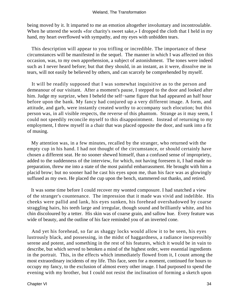#### Wieland, The Transformation

being moved by it. It imparted to me an emotion altogether involuntary and incontroulable. When he uttered the words «for charity's sweet sake,» I dropped the cloth that I held in my hand, my heart overflowed with sympathy, and my eyes with unbidden tears.

 This description will appear to you trifling or incredible. The importance of these circumstances will be manifested in the sequel. The manner in which I was affected on this occasion, was, to my own apprehension, a subject of astonishment. The tones were indeed such as I never heard before; but that they should, in an instant, as it were, dissolve me in tears, will not easily be believed by others, and can scarcely be comprehended by myself.

 It will be readily supposed that I was somewhat inquisitive as to the person and demeanour of our visitant. After a moment's pause, I stepped to the door and looked after him. Judge my surprize, when I beheld the self−same figure that had appeared an half hour before upon the bank. My fancy had conjured up a very different image. A form, and attitude, and garb, were instantly created worthy to accompany such elocution; but this person was, in all visible respects, the reverse of this phantom. Strange as it may seem, I could not speedily reconcile myself to this disappointment. Instead of returning to my employment, I threw myself in a chair that was placed opposite the door, and sunk into a fit of musing.

 My attention was, in a few minutes, recalled by the stranger, who returned with the empty cup in his hand. I had not thought of the circumstance, or should certainly have chosen a different seat. He no sooner shewed himself, than a confused sense of impropriety, added to the suddenness of the interview, for which, not having foreseen it, I had made no preparation, threw me into a state of the most painful embarrassment. He brought with him a placid brow; but no sooner had he cast his eyes upon me, than his face was as glowingly suffused as my own. He placed the cup upon the bench, stammered out thanks, and retired.

 It was some time before I could recover my wonted composure. I had snatched a view of the stranger's countenance. The impression that it made was vivid and indelible. His cheeks were pallid and lank, his eyes sunken, his forehead overshadowed by coarse straggling hairs, his teeth large and irregular, though sound and brilliantly white, and his chin discoloured by a tetter. His skin was of coarse grain, and sallow hue. Every feature was wide of beauty, and the outline of his face reminded you of an inverted cone.

 And yet his forehead, so far as shaggy locks would allow it to be seen, his eyes lustrously black, and possessing, in the midst of haggardness, a radiance inexpressibly serene and potent, and something in the rest of his features, which it would be in vain to describe, but which served to betoken a mind of the highest order, were essential ingredients in the portrait. This, in the effects which immediately flowed from it, I count among the most extraordinary incidents of my life. This face, seen for a moment, continued for hours to occupy my fancy, to the exclusion of almost every other image. I had purposed to spend the evening with my brother, but I could not resist the inclination of forming a sketch upon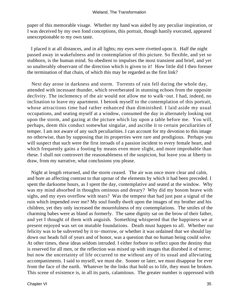paper of this memorable visage. Whether my hand was aided by any peculiar inspiration, or I was deceived by my own fond conceptions, this portrait, though hastily executed, appeared unexceptionable to my own taste.

 I placed it at all distances, and in all lights; my eyes were rivetted upon it. Half the night passed away in wakefulness and in contemplation of this picture. So flexible, and yet so stubborn, is the human mind. So obedient to impulses the most transient and brief, and yet so unalterably observant of the direction which is given to it! How little did I then foresee the termination of that chain, of which this may be regarded as the first link?

 Next day arose in darkness and storm. Torrents of rain fell during the whole day, attended with incessant thunder, which reverberated in stunning echoes from the opposite declivity. The inclemency of the air would not allow me to walk−out. I had, indeed, no inclination to leave my apartment. I betook myself to the contemplation of this portrait, whose attractions time had rather enhanced than diminished. I laid aside my usual occupations, and seating myself at a window, consumed the day in alternately looking out upon the storm, and gazing at the picture which lay upon a table before me. You will, perhaps, deem this conduct somewhat singular, and ascribe it to certain peculiarities of temper. I am not aware of any such peculiarities. I can account for my devotion to this image no otherwise, than by supposing that its properties were rare and prodigious. Perhaps you will suspect that such were the first inroads of a passion incident to every female heart, and which frequently gains a footing by means even more slight, and more improbable than these. I shall not controvert the reasonableness of the suspicion, but leave you at liberty to draw, from my narrative, what conclusions you please.

 Night at length returned, and the storm ceased. The air was once more clear and calm, and bore an affecting contrast to that uproar of the elements by which it had been preceded. I spent the darksome hours, as I spent the day, contemplative and seated at the window. Why was my mind absorbed in thoughts ominous and dreary? Why did my bosom heave with sighs, and my eyes overflow with tears? Was the tempest that had just past a signal of the ruin which impended over me? My soul fondly dwelt upon the images of my brother and his children, yet they only increased the mournfulness of my contemplations. The smiles of the charming babes were as bland as formerly. The same dignity sat on the brow of their father, and yet I thought of them with anguish. Something whispered that the happiness we at present enjoyed was set on mutable foundations. Death must happen to all. Whether our felicity was to be subverted by it to−morrow, or whether it was ordained that we should lay down our heads full of years and of honor, was a question that no human being could solve. At other times, these ideas seldom intruded. I either forbore to reflect upon the destiny that is reserved for all men, or the reflection was mixed up with images that disrobed it of terror; but now the uncertainty of life occurred to me without any of its usual and alleviating accompaniments. I said to myself, we must die. Sooner or later, we must disappear for ever from the face of the earth. Whatever be the links that hold us to life, they must be broken. This scene of existence is, in all its parts, calamitous. The greater number is oppressed with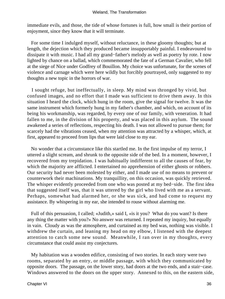immediate evils, and those, the tide of whose fortunes is full, how small is their portion of enjoyment, since they know that it will terminate.

 For some time I indulged myself, without reluctance, in these gloomy thoughts; but at length, the dejection which they produced became insupportably painful. I endeavoured to dissipate it with music. I had all my grand−father's melody as well as poetry by rote. I now lighted by chance on a ballad, which commemorated the fate of a German Cavalier, who fell at the siege of Nice under Godfrey of Bouillon. My choice was unfortunate, for the scenes of violence and carnage which were here wildly but forcibly pourtrayed, only suggested to my thoughts a new topic in the horrors of war.

 I sought refuge, but ineffectually, in sleep. My mind was thronged by vivid, but confused images, and no effort that I made was sufficient to drive them away. In this situation I heard the clock, which hung in the room, give the signal for twelve. It was the same instrument which formerly hung in my father's chamber, and which, on account of its being his workmanship, was regarded, by every one of our family, with veneration. It had fallen to me, in the division of his property, and was placed in this asylum. The sound awakened a series of reflections, respecting his death. I was not allowed to pursue them; for scarcely had the vibrations ceased, when my attention was attracted by a whisper, which, at first, appeared to proceed from lips that were laid close to my ear.

 No wonder that a circumstance like this startled me. In the first impulse of my terror, I uttered a slight scream, and shrunk to the opposite side of the bed. In a moment, however, I recovered from my trepidation. I was habitually indifferent to all the causes of fear, by which the majority are afflicted. I entertained no apprehension of either ghosts or robbers. Our security had never been molested by either, and I made use of no means to prevent or counterwork their machinations. My tranquillity, on this occasion, was quickly retrieved. The whisper evidently proceeded from one who was posted at my bed−side. The first idea that suggested itself was, that it was uttered by the girl who lived with me as a servant. Perhaps, somewhat had alarmed her, or she was sick, and had come to request my assistance. By whispering in my ear, she intended to rouse without alarming me.

 Full of this persuasion, I called; «Judith,» said I, «is it you? What do you want? Is there any thing the matter with you?» No answer was returned. I repeated my inquiry, but equally in vain. Cloudy as was the atmosphere, and curtained as my bed was, nothing was visible. I withdrew the curtain, and leaning my head on my elbow, I listened with the deepest attention to catch some new sound. Meanwhile, I ran over in my thoughts, every circumstance that could assist my conjectures.

 My habitation was a wooden edifice, consisting of two stories. In each story were two rooms, separated by an entry, or middle passage, with which they communicated by opposite doors. The passage, on the lower story, had doors at the two ends, and a stair−case. Windows answered to the doors on the upper story. Annexed to this, on the eastern side,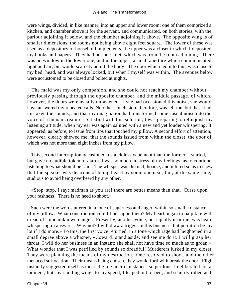#### Wieland, The Transformation

were wings, divided, in like manner, into an upper and lower room; one of them comprized a kitchen, and chamber above it for the servant, and communicated, on both stories, with the parlour adjoining it below, and the chamber adjoining it above. The opposite wing is of smaller dimensions, the rooms not being above eight feet square. The lower of these was used as a depository of household implements, the upper was a closet in which I deposited my books and papers. They had but one inlet, which was from the room adjoining. There was no window in the lower one, and in the upper, a small aperture which communicated light and air, but would scarcely admit the body. The door which led into this, was close to my bed−head, and was always locked, but when I myself was within. The avenues below were accustomed to be closed and bolted at nights.

 The maid was my only companion, and she could not reach my chamber without previously passing through the opposite chamber, and the middle passage, of which, however, the doors were usually unfastened. If she had occasioned this noise, she would have answered my repeated calls. No other conclusion, therefore, was left me, but that I had mistaken the sounds, and that my imagination had transformed some casual noise into the voice of a human creature. Satisfied with this solution, I was preparing to relinquish my listening attitude, when my ear was again saluted with a new and yet louder whispering. It appeared, as before, to issue from lips that touched my pillow. A second effort of attention, however, clearly shewed me, that the sounds issued from within the closet, the door of which was not more than eight inches from my pillow.

 This second interruption occasioned a shock less vehement than the former. I started, but gave no audible token of alarm. I was so much mistress of my feelings, as to continue listening to what should be said. The whisper was distinct, hoarse, and uttered so as to shew that the speaker was desirous of being heard by some one near, but, at the same time, studious to avoid being overheard by any other.

 «Stop, stop, I say; madman as you are! there are better means than that. Curse upon your rashness! There is no need to shoot.»

 Such were the words uttered in a tone of eagerness and anger, within so small a distance of my pillow. What construction could I put upon them? My heart began to palpitate with dread of some unknown danger. Presently, another voice, but equally near me, was heard whispering in answer. «Why not? I will draw a trigger in this business, but perdition be my lot if I do more.» To this, the first voice returned, in a tone which rage had heightened in a small degree above a whisper, «Coward! stand aside, and see me do it. I will grasp her throat; I will do her business in an instant; she shall not have time so much as to groan.» What wonder that I was petrified by sounds so dreadful! Murderers lurked in my closet. They were planning the means of my destruction. One resolved to shoot, and the other menaced suffocation. Their means being chosen, they would forthwith break the door. Flight instantly suggested itself as most eligible in circumstances so perilous. I deliberated not a moment; but, fear adding wings to my speed, I leaped out of bed, and scantily robed as I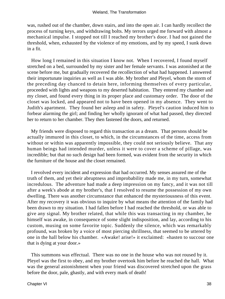was, rushed out of the chamber, down stairs, and into the open air. I can hardly recollect the process of turning keys, and withdrawing bolts. My terrors urged me forward with almost a mechanical impulse. I stopped not till I reached my brother's door. I had not gained the threshold, when, exhausted by the violence of my emotions, and by my speed, I sunk down in a fit.

 How long I remained in this situation I know not. When I recovered, I found myself stretched on a bed, surrounded by my sister and her female servants. I was astonished at the scene before me, but gradually recovered the recollection of what had happened. I answered their importunate inquiries as well as I was able. My brother and Pleyel, whom the storm of the preceding day chanced to detain here, informing themselves of every particular, proceeded with lights and weapons to my deserted habitation. They entered my chamber and my closet, and found every thing in its proper place and customary order. The door of the closet was locked, and appeared not to have been opened in my absence. They went to Judith's apartment. They found her asleep and in safety. Pleyel's caution induced him to forbear alarming the girl; and finding her wholly ignorant of what had passed, they directed her to return to her chamber. They then fastened the doors, and returned.

 My friends were disposed to regard this transaction as a dream. That persons should be actually immured in this closet, to which, in the circumstances of the time, access from without or within was apparently impossible, they could not seriously believe. That any human beings had intended murder, unless it were to cover a scheme of pillage, was incredible; but that no such design had been formed, was evident from the security in which the furniture of the house and the closet remained.

 I revolved every incident and expression that had occurred. My senses assured me of the truth of them, and yet their abruptness and improbability made me, in my turn, somewhat incredulous. The adventure had made a deep impression on my fancy, and it was not till after a week's abode at my brother's, that I resolved to resume the possession of my own dwelling. There was another circumstance that enhanced the mysteriousness of this event. After my recovery it was obvious to inquire by what means the attention of the family had been drawn to my situation. I had fallen before I had reached the threshold, or was able to give any signal. My brother related, that while this was transacting in my chamber, he himself was awake, in consequence of some slight indisposition, and lay, according to his custom, musing on some favorite topic. Suddenly the silence, which was remarkably profound, was broken by a voice of most piercing shrillness, that seemed to be uttered by one in the hall below his chamber. «Awake! arise!» it exclaimed: «hasten to succour one that is dying at your door.»

 This summons was effectual. There was no one in the house who was not roused by it. Pleyel was the first to obey, and my brother overtook him before he reached the hall. What was the general astonishment when your friend was discovered stretched upon the grass before the door, pale, ghastly, and with every mark of death!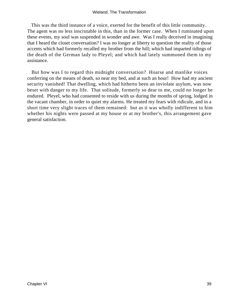This was the third instance of a voice, exerted for the benefit of this little community. The agent was no less inscrutable in this, than in the former case. When I ruminated upon these events, my soul was suspended in wonder and awe. Was I really deceived in imagining that I heard the closet conversation? I was no longer at liberty to question the reality of those accents which had formerly recalled my brother from the hill; which had imparted tidings of the death of the German lady to Pleyel; and which had lately summoned them to my assistance.

 But how was I to regard this midnight conversation? Hoarse and manlike voices conferring on the means of death, so near my bed, and at such an hour! How had my ancient security vanished! That dwelling, which had hitherto been an inviolate asylum, was now beset with danger to my life. That solitude, formerly so dear to me, could no longer be endured. Pleyel, who had consented to reside with us during the months of spring, lodged in the vacant chamber, in order to quiet my alarms. He treated my fears with ridicule, and in a short time very slight traces of them remained: but as it was wholly indifferent to him whether his nights were passed at my house or at my brother's, this arrangement gave general satisfaction.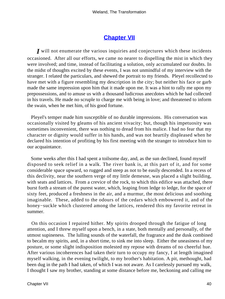## **[Chapter VII](#page-172-0)**

*I* will not enumerate the various inquiries and conjectures which these incidents occasioned. After all our efforts, we came no nearer to dispelling the mist in which they were involved; and time, instead of facilitating a solution, only accumulated our doubts. In the midst of thoughts excited by these events, I was not unmindful of my interview with the stranger. I related the particulars, and shewed the portrait to my friends. Pleyel recollected to have met with a figure resembling my description in the city; but neither his face or garb made the same impression upon him that it made upon me. It was a hint to rally me upon my prepossessions, and to amuse us with a thousand ludicrous anecdotes which he had collected in his travels. He made no scruple to charge me with being in love; and threatened to inform the swain, when he met him, of his good fortune.

 Pleyel's temper made him susceptible of no durable impressions. His conversation was occasionally visited by gleams of his ancient vivacity; but, though his impetuosity was sometimes inconvenient, there was nothing to dread from his malice. I had no fear that my character or dignity would suffer in his hands, and was not heartily displeased when he declared his intention of profiting by his first meeting with the stranger to introduce him to our acquaintance.

 Some weeks after this I had spent a toilsome day, and, as the sun declined, found myself disposed to seek relief in a walk. The river bank is, at this part of it, and for some considerable space upward, so rugged and steep as not to be easily descended. In a recess of this declivity, near the southern verge of my little demesne, was placed a slight building, with seats and lattices. From a crevice of the rock, to which this edifice was attached, there burst forth a stream of the purest water, which, leaping from ledge to ledge, for the space of sixty feet, produced a freshness in the air, and a murmur, the most delicious and soothing imaginable. These, added to the odours of the cedars which embowered it, and of the honey−suckle which clustered among the lattices, rendered this my favorite retreat in summer.

 On this occasion I repaired hither. My spirits drooped through the fatigue of long attention, and I threw myself upon a bench, in a state, both mentally and personally, of the utmost supineness. The lulling sounds of the waterfall, the fragrance and the dusk combined to becalm my spirits, and, in a short time, to sink me into sleep. Either the uneasiness of my posture, or some slight indisposition molested my repose with dreams of no cheerful hue. After various incoherences had taken their turn to occupy my fancy, I at length imagined myself walking, in the evening twilight, to my brother's habitation. A pit, methought, had been dug in the path I had taken, of which I was not aware. As I carelessly pursued my walk, I thought I saw my brother, standing at some distance before me, beckoning and calling me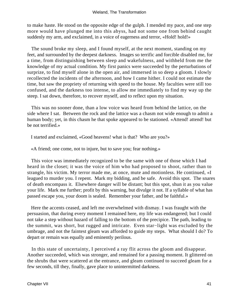to make haste. He stood on the opposite edge of the gulph. I mended my pace, and one step more would have plunged me into this abyss, had not some one from behind caught suddenly my arm, and exclaimed, in a voice of eagerness and terror, «Hold! hold!»

 The sound broke my sleep, and I found myself, at the next moment, standing on my feet, and surrounded by the deepest darkness. Images so terrific and forcible disabled me, for a time, from distinguishing between sleep and wakefulness, and withheld from me the knowledge of my actual condition. My first panics were succeeded by the perturbations of surprize, to find myself alone in the open air, and immersed in so deep a gloom. I slowly recollected the incidents of the afternoon, and how I came hither. I could not estimate the time, but saw the propriety of returning with speed to the house. My faculties were still too confused, and the darkness too intense, to allow me immediately to find my way up the steep. I sat down, therefore, to recover myself, and to reflect upon my situation.

 This was no sooner done, than a low voice was heard from behind the lattice, on the side where I sat. Between the rock and the lattice was a chasm not wide enough to admit a human body; yet, in this chasm he that spoke appeared to be stationed. «Attend! attend! but be not terrified.»

I started and exclaimed, «Good heavens! what is that? Who are you?»

«A friend; one come, not to injure, but to save you; fear nothing.»

 This voice was immediately recognized to be the same with one of those which I had heard in the closet; it was the voice of him who had proposed to shoot, rather than to strangle, his victim. My terror made me, at once, mute and motionless. He continued, «I leagued to murder you. I repent. Mark my bidding, and be safe. Avoid this spot. The snares of death encompass it. Elsewhere danger will be distant; but this spot, shun it as you value your life. Mark me further; profit by this warning, but divulge it not. If a syllable of what has passed escape you, your doom is sealed. Remember your father, and be faithful.»

 Here the accents ceased, and left me overwhelmed with dismay. I was fraught with the persuasion, that during every moment I remained here, my life was endangered; but I could not take a step without hazard of falling to the bottom of the precipice. The path, leading to the summit, was short, but rugged and intricate. Even star−light was excluded by the umbrage, and not the faintest gleam was afforded to guide my steps. What should I do? To depart or remain was equally and eminently perilous.

 In this state of uncertainty, I perceived a ray flit across the gloom and disappear. Another succeeded, which was stronger, and remained for a passing moment. It glittered on the shrubs that were scattered at the entrance, and gleam continued to succeed gleam for a few seconds, till they, finally, gave place to unintermitted darkness.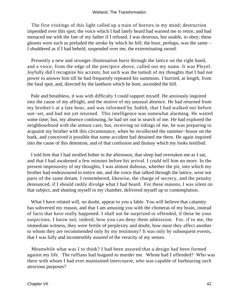The first visitings of this light called up a train of horrors in my mind; destruction impended over this spot; the voice which I had lately heard had warned me to retire, and had menaced me with the fate of my father if I refused. I was desirous, but unable, to obey; these gleams were such as preluded the stroke by which he fell; the hour, perhaps, was the same – I shuddered as if I had beheld, suspended over me, the exterminating sword.

 Presently a new and stronger illumination burst through the lattice on the right hand, and a voice, from the edge of the precipice above, called out my name. It was Pleyel. Joyfully did I recognize his accents; but such was the tumult of my thoughts that I had not power to answer him till he had frequently repeated his summons. I hurried, at length, from the fatal spot, and, directed by the lanthorn which he bore, ascended the hill.

 Pale and breathless, it was with difficulty I could support myself. He anxiously inquired into the cause of my affright, and the motive of my unusual absence. He had returned from my brother's at a late hour, and was informed by Judith, that I had walked out before sun−set, and had not yet returned. This intelligence was somewhat alarming. He waited some time; but, my absence continuing, he had set out in search of me. He had explored the neighbourhood with the utmost care, but, receiving no tidings of me, he was preparing to acquaint my brother with this circumstance, when he recollected the summer−house on the bank, and conceived it possible that some accident had detained me there. He again inquired into the cause of this detention, and of that confusion and dismay which my looks testified.

 I told him that I had strolled hither in the afternoon, that sleep had overtaken me as I sat, and that I had awakened a few minutes before his arrival. I could tell him no more. In the present impetuosity of my thoughts, I was almost dubious, whether the pit, into which my brother had endeavoured to entice me, and the voice that talked through the lattice, were not parts of the same dream. I remembered, likewise, the charge of secrecy, and the penalty denounced, if I should rashly divulge what I had heard. For these reasons, I was silent on that subject, and shutting myself in my chamber, delivered myself up to contemplation.

What I have related will, no doubt, appear to you a fable. You will believe that calamity has subverted my reason, and that I am amusing you with the chimeras of my brain, instead of facts that have really happened. I shall not be surprized or offended, if these be your suspicions. I know not, indeed, how you can deny them admission. For, if to me, the immediate witness, they were fertile of perplexity and doubt, how must they affect another to whom they are recommended only by my testimony? It was only by subsequent events, that I was fully and incontestibly assured of the veracity of my senses.

 Meanwhile what was I to think? I had been assured that a design had been formed against my life. The ruffians had leagued to murder me. Whom had I offended? Who was there with whom I had ever maintained intercourse, who was capable of harbouring such atrocious purposes?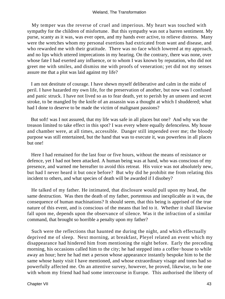My temper was the reverse of cruel and imperious. My heart was touched with sympathy for the children of misfortune. But this sympathy was not a barren sentiment. My purse, scanty as it was, was ever open, and my hands ever active, to relieve distress. Many were the wretches whom my personal exertions had extricated from want and disease, and who rewarded me with their gratitude. There was no face which lowered at my approach, and no lips which uttered imprecations in my hearing. On the contrary, there was none, over whose fate I had exerted any influence, or to whom I was known by reputation, who did not greet me with smiles, and dismiss me with proofs of veneration; yet did not my senses assure me that a plot was laid against my life?

 I am not destitute of courage. I have shewn myself deliberative and calm in the midst of peril. I have hazarded my own life, for the preservation of another, but now was I confused and panic struck. I have not lived so as to fear death, yet to perish by an unseen and secret stroke, to be mangled by the knife of an assassin was a thought at which I shuddered; what had I done to deserve to be made the victim of malignant passions?

 But soft! was I not assured, that my life was safe in all places but one? And why was the treason limited to take effect in this spot? I was every where equally defenceless. My house and chamber were, at all times, accessible. Danger still impended over me; the bloody purpose was still entertained, but the hand that was to execute it, was powerless in all places but one!

 Here I had remained for the last four or five hours, without the means of resistance or defence, yet I had not been attacked. A human being was at hand, who was conscious of my presence, and warned me hereafter to avoid this retreat. His voice was not absolutely new, but had I never heard it but once before? But why did he prohibit me from relating this incident to others, and what species of death will be awarded if I disobey?

 He talked of my father. He intimated, that disclosure would pull upon my head, the same destruction. Was then the death of my father, portentous and inexplicable as it was, the consequence of human machinations? It should seem, that this being is apprised of the true nature of this event, and is conscious of the means that led to it. Whether it shall likewise fall upon me, depends upon the observance of silence. Was it the infraction of a similar command, that brought so horrible a penalty upon my father?

 Such were the reflections that haunted me during the night, and which effectually deprived me of sleep. Next morning, at breakfast, Pleyel related an event which my disappearance had hindered him from mentioning the night before. Early the preceding morning, his occasions called him to the city; he had stepped into a coffee−house to while away an hour; here he had met a person whose appearance instantly bespoke him to be the same whose hasty visit I have mentioned, and whose extraordinary visage and tones had so powerfully affected me. On an attentive survey, however, he proved, likewise, to be one with whom my friend had had some intercourse in Europe. This authorised the liberty of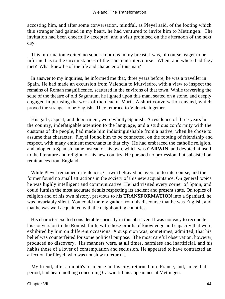accosting him, and after some conversation, mindful, as Pleyel said, of the footing which this stranger had gained in my heart, he had ventured to invite him to Mettingen. The invitation had been cheerfully accepted, and a visit promised on the afternoon of the next day.

 This information excited no sober emotions in my breast. I was, of course, eager to be informed as to the circumstances of their ancient intercourse. When, and where had they met? What knew he of the life and character of this man?

 In answer to my inquiries, he informed me that, three years before, he was a traveller in Spain. He had made an excursion from Valencia to Murviedro, with a view to inspect the remains of Roman magnificence, scattered in the environs of that town. While traversing the scite of the theatre of old Saguntum, he lighted upon this man, seated on a stone, and deeply engaged in perusing the work of the deacon Marti. A short conversation ensued, which proved the stranger to be English. They returned to Valencia together.

 His garb, aspect, and deportment, were wholly Spanish. A residence of three years in the country, indefatigable attention to the language, and a studious conformity with the customs of the people, had made him indistinguishable from a native, when he chose to assume that character. Pleyel found him to be connected, on the footing of friendship and respect, with many eminent merchants in that city. He had embraced the catholic religion, and adopted a Spanish name instead of his own, which was **CARWIN,** and devoted himself to the literature and religion of his new country. He pursued no profession, but subsisted on remittances from England.

 While Pleyel remained in Valencia, Carwin betrayed no aversion to intercourse, and the former found no small attractions in the society of this new acquaintance. On general topics he was highly intelligent and communicative. He had visited every corner of Spain, and could furnish the most accurate details respecting its ancient and present state. On topics of religion and of his own history, previous to his **TRANSFORMATION** into a Spaniard, he was invariably silent. You could merely gather from his discourse that he was English, and that he was well acquainted with the neighbouring countries.

 His character excited considerable curiosity in this observer. It was not easy to reconcile his conversion to the Romish faith, with those proofs of knowledge and capacity that were exhibited by him on different occasions. A suspicion was, sometimes, admitted, that his belief was counterfeited for some political purpose. The most careful observation, however, produced no discovery. His manners were, at all times, harmless and inartificial, and his habits those of a lover of contemplation and seclusion. He appeared to have contracted an affection for Pleyel, who was not slow to return it.

 My friend, after a month's residence in this city, returned into France, and, since that period, had heard nothing concerning Carwin till his appearance at Mettingen.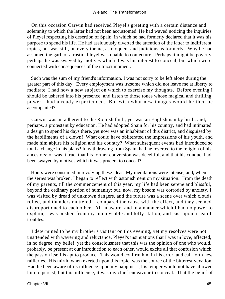On this occasion Carwin had received Pleyel's greeting with a certain distance and solemnity to which the latter had not been accustomed. He had waved noticing the inquiries of Pleyel respecting his desertion of Spain, in which he had formerly declared that it was his purpose to spend his life. He had assiduously diverted the attention of the latter to indifferent topics, but was still, on every theme, as eloquent and judicious as formerly. Why he had assumed the garb of a rustic, Pleyel was unable to conjecture. Perhaps it might be poverty, perhaps he was swayed by motives which it was his interest to conceal, but which were connected with consequences of the utmost moment.

 Such was the sum of my friend's information. I was not sorry to be left alone during the greater part of this day. Every employment was irksome which did not leave me at liberty to meditate. I had now a new subject on which to exercise my thoughts. Before evening I should be ushered into his presence, and listen to those tones whose magical and thrilling power I had already experienced. But with what new images would he then be accompanied?

 Carwin was an adherent to the Romish faith, yet was an Englishman by birth, and, perhaps, a protestant by education. He had adopted Spain for his country, and had intimated a design to spend his days there, yet now was an inhabitant of this district, and disguised by the habiliments of a clown! What could have obliterated the impressions of his youth, and made him abjure his religion and his country? What subsequent events had introduced so total a change in his plans? In withdrawing from Spain, had he reverted to the religion of his ancestors; or was it true, that his former conversion was deceitful, and that his conduct had been swayed by motives which it was prudent to conceal?

 Hours were consumed in revolving these ideas. My meditations were intense; and, when the series was broken, I began to reflect with astonishment on my situation. From the death of my parents, till the commencement of this year, my life had been serene and blissful, beyond the ordinary portion of humanity; but, now, my bosom was corroded by anxiety. I was visited by dread of unknown dangers, and the future was a scene over which clouds rolled, and thunders muttered. I compared the cause with the effect, and they seemed disproportioned to each other. All unaware, and in a manner which I had no power to explain, I was pushed from my immoveable and lofty station, and cast upon a sea of troubles.

 I determined to be my brother's visitant on this evening, yet my resolves were not unattended with wavering and reluctance. Pleyel's insinuations that I was in love, affected, in no degree, my belief, yet the consciousness that this was the opinion of one who would, probably, be present at our introduction to each other, would excite all that confusion which the passion itself is apt to produce. This would confirm him in his error, and call forth new railleries. His mirth, when exerted upon this topic, was the source of the bitterest vexation. Had he been aware of its influence upon my happiness, his temper would not have allowed him to persist; but this influence, it was my chief endeavour to conceal. That the belief of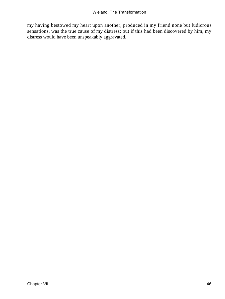my having bestowed my heart upon another, produced in my friend none but ludicrous sensations, was the true cause of my distress; but if this had been discovered by him, my distress would have been unspeakably aggravated.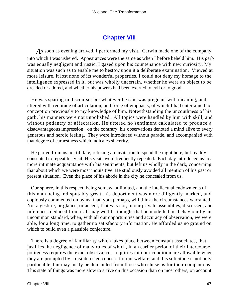## **[Chapter VIII](#page-172-0)**

*A*s soon as evening arrived, I performed my visit. Carwin made one of the company, into which I was ushered. Appearances were the same as when I before beheld him. His garb was equally negligent and rustic. I gazed upon his countenance with new curiosity. My situation was such as to enable me to bestow upon it a deliberate examination. Viewed at more leisure, it lost none of its wonderful properties. I could not deny my homage to the intelligence expressed in it, but was wholly uncertain, whether he were an object to be dreaded or adored, and whether his powers had been exerted to evil or to good.

 He was sparing in discourse; but whatever he said was pregnant with meaning, and uttered with rectitude of articulation, and force of emphasis, of which I had entertained no conception previously to my knowledge of him. Notwithstanding the uncouthness of his garb, his manners were not unpolished. All topics were handled by him with skill, and without pedantry or affectation. He uttered no sentiment calculated to produce a disadvantageous impression: on the contrary, his observations denoted a mind alive to every generous and heroic feeling. They were introduced without parade, and accompanied with that degree of earnestness which indicates sincerity.

 He parted from us not till late, refusing an invitation to spend the night here, but readily consented to repeat his visit. His visits were frequently repeated. Each day introduced us to a more intimate acquaintance with his sentiments, but left us wholly in the dark, concerning that about which we were most inquisitive. He studiously avoided all mention of his past or present situation. Even the place of his abode in the city he concealed from us.

 Our sphere, in this respect, being somewhat limited, and the intellectual endowments of this man being indisputably great, his deportment was more diligently marked, and copiously commented on by us, than you, perhaps, will think the circumstances warranted. Not a gesture, or glance, or accent, that was not, in our private assemblies, discussed, and inferences deduced from it. It may well be thought that he modelled his behaviour by an uncommon standard, when, with all our opportunities and accuracy of observation, we were able, for a long time, to gather no satisfactory information. He afforded us no ground on which to build even a plausible conjecture.

 There is a degree of familiarity which takes place between constant associates, that justifies the negligence of many rules of which, in an earlier period of their intercourse, politeness requires the exact observance. Inquiries into our condition are allowable when they are prompted by a disinterested concern for our welfare; and this solicitude is not only pardonable, but may justly be demanded from those who chuse us for their companions. This state of things was more slow to arrive on this occasion than on most others, on account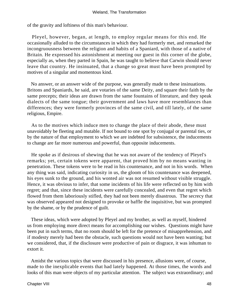of the gravity and loftiness of this man's behaviour.

 Pleyel, however, began, at length, to employ regular means for this end. He occasionally alluded to the circumstances in which they had formerly met, and remarked the incongruousness between the religion and habits of a Spaniard, with those of a native of Britain. He expressed his astonishment at meeting our guest in this corner of the globe, especially as, when they parted in Spain, he was taught to believe that Carwin should never leave that country. He insinuated, that a change so great must have been prompted by motives of a singular and momentous kind.

 No answer, or an answer wide of the purpose, was generally made to these insinuations. Britons and Spaniards, he said, are votaries of the same Deity, and square their faith by the same precepts; their ideas are drawn from the same fountains of literature, and they speak dialects of the same tongue; their government and laws have more resemblances than differences; they were formerly provinces of the same civil, and till lately, of the same religious, Empire.

 As to the motives which induce men to change the place of their abode, these must unavoidably be fleeting and mutable. If not bound to one spot by conjugal or parental ties, or by the nature of that employment to which we are indebted for subsistence, the inducements to change are far more numerous and powerful, than opposite inducements.

 He spoke as if desirous of shewing that he was not aware of the tendency of Pleyel's remarks; yet, certain tokens were apparent, that proved him by no means wanting in penetration. These tokens were to be read in his countenance, and not in his words. When any thing was said, indicating curiosity in us, the gloom of his countenance was deepened, his eyes sunk to the ground, and his wonted air was not resumed without visible struggle. Hence, it was obvious to infer, that some incidents of his life were reflected on by him with regret; and that, since these incidents were carefully concealed, and even that regret which flowed from them laboriously stifled, they had not been merely disastrous. The secrecy that was observed appeared not designed to provoke or baffle the inquisitive, but was prompted by the shame, or by the prudence of guilt.

 These ideas, which were adopted by Pleyel and my brother, as well as myself, hindered us from employing more direct means for accomplishing our wishes. Questions might have been put in such terms, that no room should be left for the pretence of misapprehension, and if modesty merely had been the obstacle, such questions would not have been wanting; but we considered, that, if the disclosure were productive of pain or disgrace, it was inhuman to extort it.

 Amidst the various topics that were discussed in his presence, allusions were, of course, made to the inexplicable events that had lately happened. At those times, the words and looks of this man were objects of my particular attention. The subject was extraordinary; and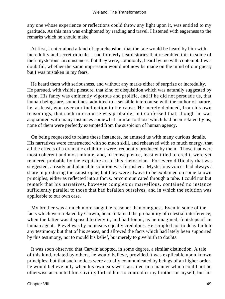any one whose experience or reflections could throw any light upon it, was entitled to my gratitude. As this man was enlightened by reading and travel, I listened with eagerness to the remarks which he should make.

 At first, I entertained a kind of apprehension, that the tale would be heard by him with incredulity and secret ridicule. I had formerly heard stories that resembled this in some of their mysterious circumstances, but they were, commonly, heard by me with contempt. I was doubtful, whether the same impression would not now be made on the mind of our guest; but I was mistaken in my fears.

 He heard them with seriousness, and without any marks either of surprize or incredulity. He pursued, with visible pleasure, that kind of disquisition which was naturally suggested by them. His fancy was eminently vigorous and prolific, and if he did not persuade us, that human beings are, sometimes, admitted to a sensible intercourse with the author of nature, he, at least, won over our inclination to the cause. He merely deduced, from his own reasonings, that such intercourse was probable; but confessed that, though he was acquainted with many instances somewhat similar to those which had been related by us, none of them were perfectly exempted from the suspicion of human agency.

 On being requested to relate these instances, he amused us with many curious details. His narratives were constructed with so much skill, and rehearsed with so much energy, that all the effects of a dramatic exhibition were frequently produced by them. Those that were most coherent and most minute, and, of consequence, least entitled to credit, were yet rendered probable by the exquisite art of this rhetorician. For every difficulty that was suggested, a ready and plausible solution was furnished. Mysterious voices had always a share in producing the catastrophe, but they were always to be explained on some known principles, either as reflected into a focus, or communicated through a tube. I could not but remark that his narratives, however complex or marvellous, contained no instance sufficiently parallel to those that had befallen ourselves, and in which the solution was applicable to our own case.

 My brother was a much more sanguine reasoner than our guest. Even in some of the facts which were related by Carwin, he maintained the probability of celestial interference, when the latter was disposed to deny it, and had found, as he imagined, footsteps of an human agent. Pleyel was by no means equally credulous. He scrupled not to deny faith to any testimony but that of his senses, and allowed the facts which had lately been supported by this testimony, not to mould his belief, but merely to give birth to doubts.

 It was soon observed that Carwin adopted, in some degree, a similar distinction. A tale of this kind, related by others, he would believe, provided it was explicable upon known principles; but that such notices were actually communicated by beings of an higher order, he would believe only when his own ears were assailed in a manner which could not be otherwise accounted for. Civility forbad him to contradict my brother or myself, but his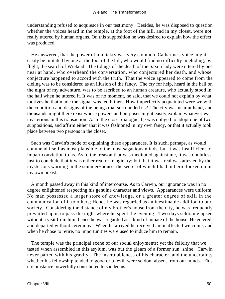understanding refused to acquiesce in our testimony. Besides, he was disposed to question whether the voices heard in the temple, at the foot of the hill, and in my closet, were not really uttered by human organs. On this supposition he was desired to explain how the effect was produced.

 He answered, that the power of mimickry was very common. Catharine's voice might easily be imitated by one at the foot of the hill, who would find no difficulty in eluding, by flight, the search of Wieland. The tidings of the death of the Saxon lady were uttered by one near at hand, who overheard the conversation, who conjectured her death, and whose conjecture happened to accord with the truth. That the voice appeared to come from the cieling was to be considered as an illusion of the fancy. The cry for help, heard in the hall on the night of my adventure, was to be ascribed to an human creature, who actually stood in the hall when he uttered it. It was of no moment, he said, that we could not explain by what motives he that made the signal was led hither. How imperfectly acquainted were we with the condition and designs of the beings that surrounded us? The city was near at hand, and thousands might there exist whose powers and purposes might easily explain whatever was mysterious in this transaction. As to the closet dialogue, he was obliged to adopt one of two suppositions, and affirm either that it was fashioned in my own fancy, or that it actually took place between two persons in the closet.

 Such was Carwin's mode of explaining these appearances. It is such, perhaps, as would commend itself as most plausible to the most sagacious minds, but it was insufficient to impart conviction to us. As to the treason that was meditated against me, it was doubtless just to conclude that it was either real or imaginary; but that it was real was attested by the mysterious warning in the summer−house, the secret of which I had hitherto locked up in my own breast.

 A month passed away in this kind of intercourse. As to Carwin, our ignorance was in no degree enlightened respecting his genuine character and views. Appearances were uniform. No man possessed a larger store of knowledge, or a greater degree of skill in the communication of it to others; Hence he was regarded as an inestimable addition to our society. Considering the distance of my brother's house from the city, he was frequently prevailed upon to pass the night where he spent the evening. Two days seldom elapsed without a visit from him; hence he was regarded as a kind of inmate of the house. He entered and departed without ceremony. When he arrived he received an unaffected welcome, and when he chose to retire, no importunities were used to induce him to remain.

 The temple was the principal scene of our social enjoyments; yet the felicity that we tasted when assembled in this asylum, was but the gleam of a former sun−shine. Carwin never parted with his gravity. The inscrutableness of his character, and the uncertainty whether his fellowship tended to good or to evil, were seldom absent from our minds. This circumstance powerfully contributed to sadden us.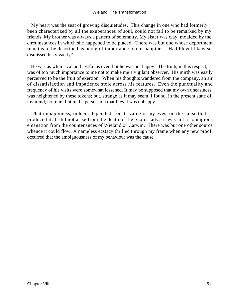My heart was the seat of growing disquietudes. This change in one who had formerly been characterized by all the exuberances of soul, could not fail to be remarked by my friends. My brother was always a pattern of solemnity. My sister was clay, moulded by the circumstances in which she happened to be placed. There was but one whose deportment remains to be described as being of importance to our happiness. Had Pleyel likewise dismissed his vivacity?

 He was as whimsical and jestful as ever, but he was not happy. The truth, in this respect, was of too much importance to me not to make me a vigilant observer. His mirth was easily perceived to be the fruit of exertion. When his thoughts wandered from the company, an air of dissatisfaction and impatience stole across his features. Even the punctuality and frequency of his visits were somewhat lessened. It may be supposed that my own uneasiness was heightened by these tokens; but, strange as it may seem, I found, in the present state of my mind, no relief but in the persuasion that Pleyel was unhappy.

 That unhappiness, indeed, depended, for its value in my eyes, on the cause that produced it. It did not arise from the death of the Saxon lady: it was not a contagious emanation from the countenances of Wieland or Carwin. There was but one other source whence it could flow. A nameless ecstacy thrilled through my frame when any new proof occurred that the ambiguousness of my behaviour was the cause.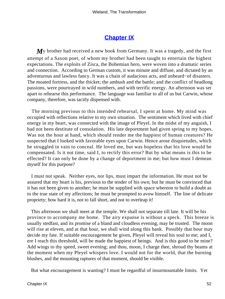# **[Chapter IX](#page-172-0)**

My brother had received a new book from Germany. It was a tragedy, and the first attempt of a Saxon poet, of whom my brother had been taught to entertain the highest expectations. The exploits of Zisca, the Bohemian hero, were woven into a dramatic series and connection. According to German custom, it was minute and diffuse, and dictated by an adventurous and lawless fancy. It was a chain of audacious acts, and unheard−of disasters. The moated fortress, and the thicket; the ambush and the battle; and the conflict of headlong passions, were pourtrayed in wild numbers, and with terrific energy. An afternoon was set apart to rehearse this performance. The language was familiar to all of us but Carwin, whose company, therefore, was tacitly dispensed with.

 The morning previous to this intended rehearsal, I spent at home. My mind was occupied with reflections relative to my own situation. The sentiment which lived with chief energy in my heart, was connected with the image of Pleyel. In the midst of my anguish, I had not been destitute of consolation. His late deportment had given spring to my hopes. Was not the hour at hand, which should render me the happiest of human creatures? He suspected that I looked with favorable eyes upon Carwin. Hence arose disquietudes, which he struggled in vain to conceal. He loved me, but was hopeless that his love would be compensated. Is it not time, said I, to rectify this error? But by what means is this to be effected? It can only be done by a change of deportment in me; but how must I demean myself for this purpose?

 I must not speak. Neither eyes, nor lips, must impart the information. He must not be assured that my heart is his, previous to the tender of his own; but he must be convinced that it has not been given to another; he must be supplied with space whereon to build a doubt as to the true state of my affections; he must be prompted to avow himself. The line of delicate propriety; how hard it is, not to fall short, and not to overleap it!

 This afternoon we shall meet at the temple. We shall not separate till late. It will be his province to accompany me home. The airy expanse is without a speck. This breeze is usually stedfast, and its promise of a bland and cloudless evening, may be trusted. The moon will rise at eleven, and at that hour, we shall wind along this bank. Possibly that hour may decide my fate. If suitable encouragement be given, Pleyel will reveal his soul to me; and I, ere I reach this threshold, will be made the happiest of beings. And is this good to be mine? Add wings to thy speed, sweet evening; and thou, moon, I charge thee, shroud thy beams at the moment when my Pleyel whispers love. I would not for the world, that the burning blushes, and the mounting raptures of that moment, should be visible.

But what encouragement is wanting? I must be regardful of insurmountable limits. Yet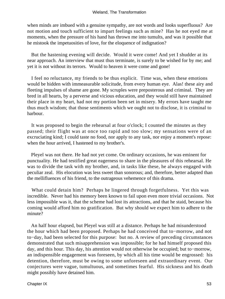when minds are imbued with a genuine sympathy, are not words and looks superfluous? Are not motion and touch sufficient to impart feelings such as mine? Has he not eyed me at moments, when the pressure of his hand has thrown me into tumults, and was it possible that he mistook the impetuosities of love, for the eloquence of indignation?

 But the hastening evening will decide. Would it were come! And yet I shudder at its near approach. An interview that must thus terminate, is surely to be wished for by me; and yet it is not without its terrors. Would to heaven it were come and gone!

 I feel no reluctance, my friends to be thus explicit. Time was, when these emotions would be hidden with immeasurable solicitude, from every human eye. Alas! these airy and fleeting impulses of shame are gone. My scruples were preposterous and criminal. They are bred in all hearts, by a perverse and vicious education, and they would still have maintained their place in my heart, had not my portion been set in misery. My errors have taught me thus much wisdom; that those sentiments which we ought not to disclose, it is criminal to harbour.

 It was proposed to begin the rehearsal at four o'clock; I counted the minutes as they passed; their flight was at once too rapid and too slow; my sensations were of an excruciating kind; I could taste no food, nor apply to any task, nor enjoy a moment's repose: when the hour arrived, I hastened to my brother's.

 Pleyel was not there. He had not yet come. On ordinary occasions, he was eminent for punctuality. He had testified great eagerness to share in the pleasures of this rehearsal. He was to divide the task with my brother, and, in tasks like these, he always engaged with peculiar zeal. His elocution was less sweet than sonorous; and, therefore, better adapted than the mellifluences of his friend, to the outrageous vehemence of this drama.

 What could detain him? Perhaps he lingered through forgetfulness. Yet this was incredible. Never had his memory been known to fail upon even more trivial occasions. Not less impossible was it, that the scheme had lost its attractions, and that he staid, because his coming would afford him no gratification. But why should we expect him to adhere to the minute?

 An half hour elapsed, but Pleyel was still at a distance. Perhaps he had misunderstood the hour which had been proposed. Perhaps he had conceived that to−morrow, and not to−day, had been selected for this purpose: but no. A review of preceding circumstances demonstrated that such misapprehension was impossible; for he had himself proposed this day, and this hour. This day, his attention would not otherwise be occupied; but to−morrow, an indispensible engagement was foreseen, by which all his time would be engrossed: his detention, therefore, must be owing to some unforeseen and extraordinary event. Our conjectures were vague, tumultuous, and sometimes fearful. His sickness and his death might possibly have detained him.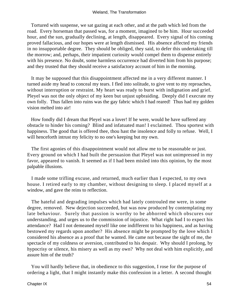#### Wieland, The Transformation

 Tortured with suspense, we sat gazing at each other, and at the path which led from the road. Every horseman that passed was, for a moment, imagined to be him. Hour succeeded hour, and the sun, gradually declining, at length, disappeared. Every signal of his coming proved fallacious, and our hopes were at length dismissed. His absence affected my friends in no insupportable degree. They should be obliged, they said, to defer this undertaking till the morrow; and, perhaps, their impatient curiosity would compel them to dispense entirely with his presence. No doubt, some harmless occurrence had diverted him from his purpose; and they trusted that they should receive a satisfactory account of him in the morning.

 It may be supposed that this disappointment affected me in a very different manner. I turned aside my head to conceal my tears. I fled into solitude, to give vent to my reproaches, without interruption or restraint. My heart was ready to burst with indignation and grief. Pleyel was not the only object of my keen but unjust upbraiding. Deeply did I execrate my own folly. Thus fallen into ruins was the gay fabric which I had reared! Thus had my golden vision melted into air!

 How fondly did I dream that Pleyel was a lover! If he were, would he have suffered any obstacle to hinder his coming? Blind and infatuated man! I exclaimed. Thou sportest with happiness. The good that is offered thee, thou hast the insolence and folly to refuse. Well, I will henceforth intrust my felicity to no one's keeping but my own.

 The first agonies of this disappointment would not allow me to be reasonable or just. Every ground on which I had built the persuasion that Pleyel was not unimpressed in my favor, appeared to vanish. It seemed as if I had been misled into this opinion, by the most palpable illusions.

 I made some trifling excuse, and returned, much earlier than I expected, to my own house. I retired early to my chamber, without designing to sleep. I placed myself at a window, and gave the reins to reflection.

 The hateful and degrading impulses which had lately controuled me were, in some degree, removed. New dejection succeeded, but was now produced by contemplating my late behaviour. Surely that passion is worthy to be abhorred which obscures our understanding, and urges us to the commission of injustice. What right had I to expect his attendance? Had I not demeaned myself like one indifferent to his happiness, and as having bestowed my regards upon another? His absence might be prompted by the love which I considered his absence as a proof that he wanted. He came not because the sight of me, the spectacle of my coldness or aversion, contributed to his despair. Why should I prolong, by hypocrisy or silence, his misery as well as my own? Why not deal with him explicitly, and assure him of the truth?

 You will hardly believe that, in obedience to this suggestion, I rose for the purpose of ordering a light, that I might instantly make this confession in a letter. A second thought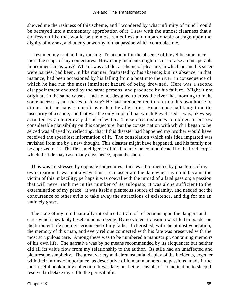shewed me the rashness of this scheme, and I wondered by what infirmity of mind I could be betrayed into a momentary approbation of it. I saw with the utmost clearness that a confession like that would be the most remediless and unpardonable outrage upon the dignity of my sex, and utterly unworthy of that passion which controuled me.

 I resumed my seat and my musing. To account for the absence of Pleyel became once more the scope of my conjectures. How many incidents might occur to raise an insuperable impediment in his way? When I was a child, a scheme of pleasure, in which he and his sister were parties, had been, in like manner, frustrated by his absence; but his absence, in that instance, had been occasioned by his falling from a boat into the river, in consequence of which he had run the most imminent hazard of being drowned. Here was a second disappointment endured by the same persons, and produced by his failure. Might it not originate in the same cause? Had he not designed to cross the river that morning to make some necessary purchases in Jersey? He had preconcerted to return to his own house to dinner; but, perhaps, some disaster had befallen him. Experience had taught me the insecurity of a canoe, and that was the only kind of boat which Pleyel used: I was, likewise, actuated by an hereditary dread of water. These circumstances combined to bestow considerable plausibility on this conjecture; but the consternation with which I began to be seized was allayed by reflecting, that if this disaster had happened my brother would have received the speediest information of it. The consolation which this idea imparted was ravished from me by a new thought. This disaster might have happened, and his family not be apprized of it. The first intelligence of his fate may be communicated by the livid corpse which the tide may cast, many days hence, upon the shore.

 Thus was I distressed by opposite conjectures: thus was I tormented by phantoms of my own creation. It was not always thus. I can ascertain the date when my mind became the victim of this imbecility; perhaps it was coeval with the inroad of a fatal passion; a passion that will never rank me in the number of its eulogists; it was alone sufficient to the extermination of my peace: it was itself a plenteous source of calamity, and needed not the concurrence of other evils to take away the attractions of existence, and dig for me an untimely grave.

 The state of my mind naturally introduced a train of reflections upon the dangers and cares which inevitably beset an human being. By no violent transition was I led to ponder on the turbulent life and mysterious end of my father. I cherished, with the utmost veneration, the memory of this man, and every relique connected with his fate was preserved with the most scrupulous care. Among these was to be numbered a manuscript, containing memoirs of his own life. The narrative was by no means recommended by its eloquence; but neither did all its value flow from my relationship to the author. Its stile had an unaffected and picturesque simplicity. The great variety and circumstantial display of the incidents, together with their intrinsic importance, as descriptive of human manners and passions, made it the most useful book in my collection. It was late; but being sensible of no inclination to sleep, I resolved to betake myself to the perusal of it.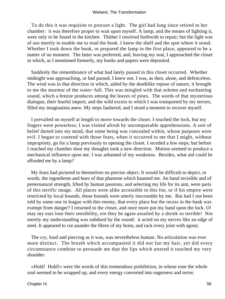To do this it was requisite to procure a light. The girl had long since retired to her chamber: it was therefore proper to wait upon myself. A lamp, and the means of lighting it, were only to be found in the kitchen. Thither I resolved forthwith to repair; but the light was of use merely to enable me to read the book. I knew the shelf and the spot where it stood. Whether I took down the book, or prepared the lamp in the first place, appeared to be a matter of no moment. The latter was preferred, and, leaving my seat, I approached the closet in which, as I mentioned formerly, my books and papers were deposited.

 Suddenly the remembrance of what had lately passed in this closet occurred. Whether midnight was approaching, or had passed, I knew not. I was, as then, alone, and defenceless. The wind was in that direction in which, aided by the deathlike repose of nature, it brought to me the murmur of the water−fall. This was mingled with that solemn and enchanting sound, which a breeze produces among the leaves of pines. The words of that mysterious dialogue, their fearful import, and the wild excess to which I was transported by my terrors, filled my imagination anew. My steps faultered, and I stood a moment to recover myself.

 I prevailed on myself at length to move towards the closet. I touched the lock, but my fingers were powerless; I was visited afresh by unconquerable apprehensions. A sort of belief darted into my mind, that some being was concealed within, whose purposes were evil. I began to contend with those fears, when it occurred to me that I might, without impropriety, go for a lamp previously to opening the closet. I receded a few steps; but before I reached my chamber door my thoughts took a new direction. Motion seemed to produce a mechanical influence upon me. I was ashamed of my weakness. Besides, what aid could be afforded me by a lamp?

 My fears had pictured to themselves no precise object. It would be difficult to depict, in words, the ingredients and hues of that phantom which haunted me. An hand invisible and of preternatural strength, lifted by human passions, and selecting my life for its aim, were parts of this terrific image. All places were alike accessible to this foe, or if his empire were restricted by local bounds, those bounds were utterly inscrutable by me. But had I not been told by some one in league with this enemy, that every place but the recess in the bank was exempt from danger? I returned to the closet, and once more put my hand upon the lock. O! may my ears lose their sensibility, ere they be again assailed by a shriek so terrible! Not merely my understanding was subdued by the sound: it acted on my nerves like an edge of steel. It appeared to cut asunder the fibres of my brain, and rack every joint with agony.

 The cry, loud and piercing as it was, was nevertheless human. No articulation was ever more distinct. The breath which accompanied it did not fan my hair, yet did every circumstance combine to persuade me that the lips which uttered it touched my very shoulder.

 «Hold! Hold!» were the words of this tremendous prohibition, in whose tone the whole soul seemed to be wrapped up, and every energy converted into eagerness and terror.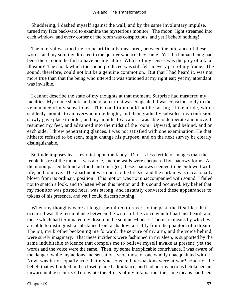Shuddering, I dashed myself against the wall, and by the same involuntary impulse, turned my face backward to examine the mysterious monitor. The moon−light streamed into each window, and every corner of the room was conspicuous, and yet I beheld nothing!

 The interval was too brief to be artificially measured, between the utterance of these words, and my scrutiny directed to the quarter whence they came. Yet if a human being had been there, could he fail to have been visible? Which of my senses was the prey of a fatal illusion? The shock which the sound produced was still felt in every part of my frame. The sound, therefore, could not but be a genuine commotion. But that I had heard it, was not more true than that the being who uttered it was stationed at my right ear; yet my attendant was invisible.

 I cannot describe the state of my thoughts at that moment. Surprize had mastered my faculties. My frame shook, and the vital current was congealed. I was conscious only to the vehemence of my sensations. This condition could not be lasting. Like a tide, which suddenly mounts to an overwhelming height, and then gradually subsides, my confusion slowly gave place to order, and my tumults to a calm. I was able to deliberate and move. I resumed my feet, and advanced into the midst of the room. Upward, and behind, and on each side, I threw penetrating glances. I was not satisfied with one examination. He that hitherto refused to be seen, might change his purpose, and on the next survey be clearly distinguishable.

 Solitude imposes least restraint upon the fancy. Dark is less fertile of images than the feeble lustre of the moon. I was alone, and the walls were chequered by shadowy forms. As the moon passed behind a cloud and emerged, these shadows seemed to be endowed with life, and to move. The apartment was open to the breeze, and the curtain was occasionally blown from its ordinary position. This motion was not unaccompanied with sound. I failed not to snatch a look, and to listen when this motion and this sound occurred. My belief that my monitor was posted near, was strong, and instantly converted these appearances to tokens of his presence, and yet I could discern nothing.

 When my thoughts were at length permitted to revert to the past, the first idea that occurred was the resemblance between the words of the voice which I had just heard, and those which had terminated my dream in the summer−house. There are means by which we are able to distinguish a substance from a shadow, a reality from the phantom of a dream. The pit, my brother beckoning me forward, the seizure of my arm, and the voice behind, were surely imaginary. That these incidents were fashioned in my sleep, is supported by the same indubitable evidence that compels me to believe myself awake at present; yet the words and the voice were the same. Then, by some inexplicable contrivance, I was aware of the danger, while my actions and sensations were those of one wholly unacquainted with it. Now, was it not equally true that my actions and persuasions were at war? Had not the belief, that evil lurked in the closet, gained admittance, and had not my actions betokened an unwarrantable security? To obviate the effects of my infatuation, the same means had been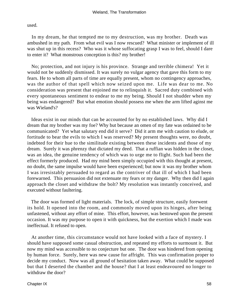used.

 In my dream, he that tempted me to my destruction, was my brother. Death was ambushed in my path. From what evil was I now rescued? What minister or implement of ill was shut up in this recess? Who was it whose suffocating grasp I was to feel, should I dare to enter it? What monstrous conception is this? my brother!

 No; protection, and not injury is his province. Strange and terrible chimera! Yet it would not be suddenly dismissed. It was surely no vulgar agency that gave this form to my fears. He to whom all parts of time are equally present, whom no contingency approaches, was the author of that spell which now seized upon me. Life was dear to me. No consideration was present that enjoined me to relinquish it. Sacred duty combined with every spontaneous sentiment to endear to me my being. Should I not shudder when my being was endangered? But what emotion should possess me when the arm lifted aginst me was Wieland's?

 Ideas exist in our minds that can be accounted for by no established laws. Why did I dream that my brother was my foe? Why but because an omen of my fate was ordained to be communicated? Yet what salutary end did it serve? Did it arm me with caution to elude, or fortitude to bear the evils to which I was reserved? My present thoughts were, no doubt, indebted for their hue to the similitude existing between these incidents and those of my dream. Surely it was phrenzy that dictated my deed. That a ruffian was hidden in the closet, was an idea, the genuine tendency of which was to urge me to flight. Such had been the effect formerly produced. Had my mind been simply occupied with this thought at present, no doubt, the same impulse would have been experienced; but now it was my brother whom I was irresistably persuaded to regard as the contriver of that ill of which I had been forewarned. This persuasion did not extenuate my fears or my danger. Why then did I again approach the closet and withdraw the bolt? My resolution was instantly conceived, and executed without faultering.

 The door was formed of light materials. The lock, of simple structure, easily forewent its hold. It opened into the room, and commonly moved upon its hinges, after being unfastened, without any effort of mine. This effort, however, was bestowed upon the present occasion. It was my purpose to open it with quickness, but the exertion which I made was ineffectual. It refused to open.

 At another time, this circumstance would not have looked with a face of mystery. I should have supposed some casual obstruction, and repeated my efforts to surmount it. But now my mind was accessible to no conjecture but one. The door was hindered from opening by human force. Surely, here was new cause for affright. This was confirmation proper to decide my conduct. Now was all ground of hesitation taken away. What could be supposed but that I deserted the chamber and the house? that I at least endeavoured no longer to withdraw the door?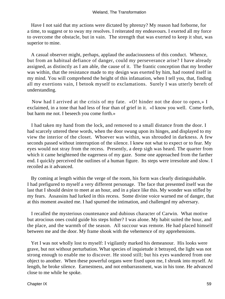Have I not said that my actions were dictated by phrenzy? My reason had forborne, for a time, to suggest or to sway my resolves. I reiterated my endeavours. I exerted all my force to overcome the obstacle, but in vain. The strength that was exerted to keep it shut, was superior to mine.

 A casual observer might, perhaps, applaud the audaciousness of this conduct. Whence, but from an habitual defiance of danger, could my perseverance arise? I have already assigned, as distinctly as I am able, the cause of it. The frantic conception that my brother was within, that the resistance made to my design was exerted by him, had rooted itself in my mind. You will comprehend the height of this infatuation, when I tell you, that, finding all my exertions vain, I betook myself to exclamations. Surely I was utterly bereft of understanding.

 Now had I arrived at the crisis of my fate. «O! hinder not the door to open,» I exclaimed, in a tone that had less of fear than of grief in it. «I know you well. Come forth, but harm me not. I beseech you come forth.»

 I had taken my hand from the lock, and removed to a small distance from the door. I had scarcely uttered these words, when the door swung upon its hinges, and displayed to my view the interior of the closet. Whoever was within, was shrouded in darkness. A few seconds passed without interruption of the silence. I knew not what to expect or to fear. My eyes would not stray from the recess. Presently, a deep sigh was heard. The quarter from which it came heightened the eagerness of my gaze. Some one approached from the farther end. I quickly perceived the outlines of a human figure. Its steps were irresolute and slow. I recoiled as it advanced.

 By coming at length within the verge of the room, his form was clearly distinguishable. I had prefigured to myself a very different personage. The face that presented itself was the last that I should desire to meet at an hour, and in a place like this. My wonder was stifled by my fears. Assassins had lurked in this recess. Some divine voice warned me of danger, that at this moment awaited me. I had spurned the intimation, and challenged my adversary.

 I recalled the mysterious countenance and dubious character of Carwin. What motive but atrocious ones could guide his steps hither? I was alone. My habit suited the hour, and the place, and the warmth of the season. All succour was remote. He had placed himself between me and the door. My frame shook with the vehemence of my apprehensions.

 Yet I was not wholly lost to myself: I vigilantly marked his demeanour. His looks were grave, but not without perturbation. What species of inquietude it betrayed, the light was not strong enough to enable me to discover. He stood still; but his eyes wandered from one object to another. When these powerful organs were fixed upon me, I shrunk into myself. At length, he broke silence. Earnestness, and not embarrassment, was in his tone. He advanced close to me while he spoke.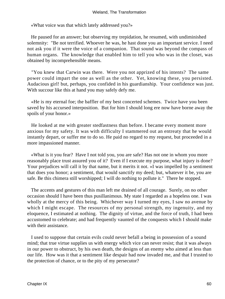«What voice was that which lately addressed you?»

 He paused for an answer; but observing my trepidation, he resumed, with undiminished solemnity: "Be not terrified. Whoever he was, he hast done you an important service. I need not ask you if it were the voice of a companion. That sound was beyond the compass of human organs. The knowledge that enabled him to tell you who was in the closet, was obtained by incomprehensible means.

 "You knew that Carwin was there. Were you not apprized of his intents? The same power could impart the one as well as the other. Yet, knowing these, you persisted. Audacious girl! but, perhaps, you confided in his guardianship. Your confidence was just. With succour like this at hand you may safely defy me.

 «He is my eternal foe; the baffler of my best concerted schemes. Twice have you been saved by his accursed interposition. But for him I should long ere now have borne away the spoils of your honor.»

 He looked at me with greater stedfastness than before. I became every moment more anxious for my safety. It was with difficulty I stammered out an entreaty that he would instantly depart, or suffer me to do so. He paid no regard to my request, but proceeded in a more impassioned manner.

 «What is it you fear? Have I not told you, you are safe? Has not one in whom you more reasonably place trust assured you of it? Even if I execute my purpose, what injury is done? Your prejudices will call it by that name, but it merits it not. »I was impelled by a sentiment that does you honor; a sentiment, that would sanctify my deed; but, whatever it be, you are safe. Be this chimera still worshipped; I will do nothing to pollute it." There he stopped.

 The accents and gestures of this man left me drained of all courage. Surely, on no other occasion should I have been thus pusillanimous. My state I regarded as a hopeless one. I was wholly at the mercy of this being. Whichever way I turned my eyes, I saw no avenue by which I might escape. The resources of my personal strength, my ingenuity, and my eloquence, I estimated at nothing. The dignity of virtue, and the force of truth, I had been accustomed to celebrate; and had frequently vaunted of the conquests which I should make with their assistance.

 I used to suppose that certain evils could never befall a being in possession of a sound mind; that true virtue supplies us with energy which vice can never resist; that it was always in our power to obstruct, by his own death, the designs of an enemy who aimed at less than our life. How was it that a sentiment like despair had now invaded me, and that I trusted to the protection of chance, or to the pity of my persecutor?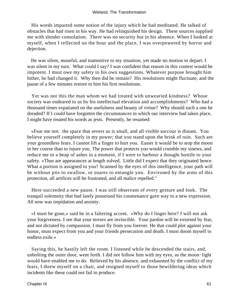#### Wieland, The Transformation

 His words imparted some notion of the injury which he had meditated. He talked of obstacles that had risen in his way. He had relinquished his design. These sources supplied me with slender consolation. There was no security but in his absence. When I looked at myself, when I reflected on the hour and the place, I was overpowered by horror and dejection.

 He was silent, museful, and inattentive to my situation, yet made no motion to depart. I was silent in my turn. What could I say? I was confident that reason in this contest would be impotent. I must owe my safety to his own suggestions. Whatever purpose brought him hither, he had changed it. Why then did he remain? His resolutions might fluctuate, and the pause of a few minutes restore to him his first resolutions.

 Yet was not this the man whom we had treated with unwearied kindness? Whose society was endeared to us by his intellectual elevation and accomplishments? Who had a thousand times expatiated on the usefulness and beauty of virtue? Why should such a one be dreaded? If I could have forgotten the circumstances in which our interview had taken place, I might have treated his words as jests. Presently, he resumed:

 «Fear me not: the space that severs us is small, and all visible succour is distant. You believe yourself completely in my power; that you stand upon the brink of ruin. Such are your groundless fears. I cannot lift a finger to hurt you. Easier it would be to stop the moon in her course than to injure you. The power that protects you would crumble my sinews, and reduce me to a heap of ashes in a moment, if I were to harbour a thought hostile to your safety. »Thus are appearances at length solved. Little did I expect that they originated hence. What a portion is assigned to you? Scanned by the eyes of this intelligence, your path will be without pits to swallow, or snares to entangle you. Environed by the arms of this protection, all artifices will be frustrated, and all malice repelled."

 Here succeeded a new pause. I was still observant of every gesture and look. The tranquil solemnity that had lately possessed his countenance gave way to a new expression. All now was trepidation and anxiety.

 «I must be gone,» said he in a faltering accent. «Why do I linger here? I will not ask your forgiveness. I see that your terrors are invincible. Your pardon will be extorted by fear, and not dictated by compassion. I must fly from you forever. He that could plot against your honor, must expect from you and your friends persecution and death. I must doom myself to endless exile.»

 Saying this, he hastily left the room. I listened while he descended the stairs, and, unbolting the outer door, went forth. I did not follow him with my eyes, as the moon−light would have enabled me to do. Relieved by his absence, and exhausted by the conflict of my fears, I threw myself on a chair, and resigned myself to those bewildering ideas which incidents like these could not fail to produce.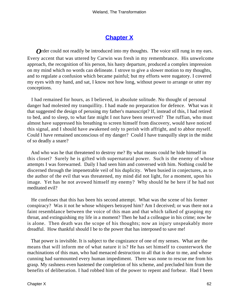## **[Chapter X](#page-172-0)**

*O*rder could not readily be introduced into my thoughts. The voice still rung in my ears. Every accent that was uttered by Carwin was fresh in my remembrance. His unwelcome approach, the recognition of his person, his hasty departure, produced a complex impression on my mind which no words can delineate. I strove to give a slower motion to my thoughts, and to regulate a confusion which became painful; but my efforts were nugatory. I covered my eyes with my hand, and sat, I know not how long, without power to arrange or utter my conceptions.

 I had remained for hours, as I believed, in absolute solitude. No thought of personal danger had molested my tranquillity. I had made no preparation for defence. What was it that suggested the design of perusing my father's manuscript? If, instead of this, I had retired to bed, and to sleep, to what fate might I not have been reserved? The ruffian, who must almost have suppressed his breathing to screen himself from discovery, would have noticed this signal, and I should have awakened only to perish with affright, and to abhor myself. Could I have remained unconscious of my danger? Could I have tranquilly slept in the midst of so deadly a snare?

 And who was he that threatened to destroy me? By what means could he hide himself in this closet? Surely he is gifted with supernatural power. Such is the enemy of whose attempts I was forewarned. Daily I had seen him and conversed with him. Nothing could be discerned through the impenetrable veil of his duplicity. When busied in conjectures, as to the author of the evil that was threatened, my mind did not light, for a moment, upon his image. Yet has he not avowed himself my enemy? Why should he be here if he had not meditated evil?

 He confesses that this has been his second attempt. What was the scene of his former conspiracy? Was it not he whose whispers betrayed him? Am I deceived; or was there not a faint resemblance between the voice of this man and that which talked of grasping my throat, and extinguishing my life in a moment? Then he had a colleague in his crime; now he is alone. Then death was the scope of his thoughts; now an injury unspeakably more dreadful. How thankful should I be to the power that has interposed to save me!

 That power is invisible. It is subject to the cognizance of one of my senses. What are the means that will inform me of what nature it is? He has set himself to counterwork the machinations of this man, who had menaced destruction to all that is dear to me, and whose cunning had surmounted every human impediment. There was none to rescue me from his grasp. My rashness even hastened the completion of his scheme, and precluded him from the benefits of deliberation. I had robbed him of the power to repent and forbear. Had I been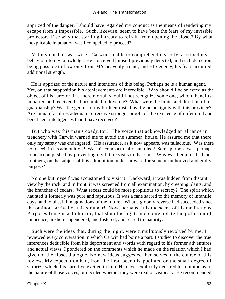apprized of the danger, I should have regarded my conduct as the means of rendering my escape from it impossible. Such, likewise, seem to have been the fears of my invisible protector. Else why that startling intreaty to refrain from opening the closet? By what inexplicable infatuation was I compelled to proceed?

 Yet my conduct was wise. Carwin, unable to comprehend my folly, ascribed my behaviour to my knowledge. He conceived himself previously detected, and such detection being possible to flow only from MY heavenly friend, and HIS enemy, his fears acquired additional strength.

 He is apprized of the nature and intentions of this being. Perhaps he is a human agent. Yet, on that supposition his atchievements are incredible. Why should I be selected as the object of his care; or, if a mere mortal, should I not recognize some one, whom, benefits imparted and received had prompted to love me? What were the limits and duration of his guardianship? Was the genius of my birth entrusted by divine benignity with this province? Are human faculties adequate to receive stronger proofs of the existence of unfettered and beneficent intelligences than I have received?

 But who was this man's coadjutor? The voice that acknowledged an alliance in treachery with Carwin warned me to avoid the summer−house. He assured me that there only my safety was endangered. His assurance, as it now appears, was fallacious. Was there not deceit in his admonition? Was his compact really annulled? Some purpose was, perhaps, to be accomplished by preventing my future visits to that spot. Why was I enjoined silence to others, on the subject of this admonition, unless it were for some unauthorized and guilty purpose?

 No one but myself was accustomed to visit it. Backward, it was hidden from distant view by the rock, and in front, it was screened from all examination, by creeping plants, and the branches of cedars. What recess could be more propitious to secrecy? The spirit which haunted it formerly was pure and rapturous. It was a fane sacred to the memory of infantile days, and to blissful imaginations of the future! What a gloomy reverse had succeeded since the ominous arrival of this stranger! Now, perhaps, it is the scene of his meditations. Purposes fraught with horror, that shun the light, and contemplate the pollution of innocence, are here engendered, and fostered, and reared to maturity.

 Such were the ideas that, during the night, were tumultuously revolved by me. I reviewed every conversation in which Carwin had borne a part. I studied to discover the true inferences deducible from his deportment and words with regard to his former adventures and actual views. I pondered on the comments which he made on the relation which I had given of the closet dialogue. No new ideas suggested themselves in the course of this review. My expectation had, from the first, been disappointed on the small degree of surprize which this narrative excited in him. He never explicitly declared his opinion as to the nature of those voices, or decided whether they were real or visionary. He recommended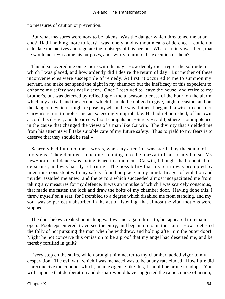no measures of caution or prevention.

 But what measures were now to be taken? Was the danger which threatened me at an end? Had I nothing more to fear? I was lonely, and without means of defence. I could not calculate the motives and regulate the footsteps of this person. What certainty was there, that he would not re−assume his purposes, and swiftly return to the execution of them?

 This idea covered me once more with dismay. How deeply did I regret the solitude in which I was placed, and how ardently did I desire the return of day! But neither of these inconveniencies were susceptible of remedy. At first, it occurred to me to summon my servant, and make her spend the night in my chamber; but the inefficacy of this expedient to enhance my safety was easily seen. Once I resolved to leave the house, and retire to my brother's, but was deterred by reflecting on the unseasonableness of the hour, on the alarm which my arrival, and the account which I should be obliged to give, might occasion, and on the danger to which I might expose myself in the way thither. I began, likewise, to consider Carwin's return to molest me as exceedingly improbable. He had relinquished, of his own accord, his design, and departed without compulsion. «Surely,» said I, «there is omnipotence in the cause that changed the views of a man like Carwin. The divinity that shielded me from his attempts will take suitable care of my future safety. Thus to yield to my fears is to deserve that they should be real.»

 Scarcely had I uttered these words, when my attention was startled by the sound of footsteps. They denoted some one stepping into the piazza in front of my house. My new−born confidence was extinguished in a moment. Carwin, I thought, had repented his departure, and was hastily returning. The possibility that his return was prompted by intentions consistent with my safety, found no place in my mind. Images of violation and murder assailed me anew, and the terrors which succeeded almost incapacitated me from taking any measures for my defence. It was an impulse of which I was scarcely conscious, that made me fasten the lock and draw the bolts of my chamber door. Having done this, I threw myself on a seat; for I trembled to a degree which disabled me from standing, and my soul was so perfectly absorbed in the act of listening, that almost the vital motions were stopped.

 The door below creaked on its hinges. It was not again thrust to, but appeared to remain open. Footsteps entered, traversed the entry, and began to mount the stairs. How I detested the folly of not pursuing the man when he withdrew, and bolting after him the outer door! Might he not conceive this omission to be a proof that my angel had deserted me, and be thereby fortified in guilt?

 Every step on the stairs, which brought him nearer to my chamber, added vigor to my desperation. The evil with which I was menaced was to be at any rate eluded. How little did I preconceive the conduct which, in an exigence like this, I should be prone to adopt. You will suppose that deliberation and despair would have suggested the same course of action,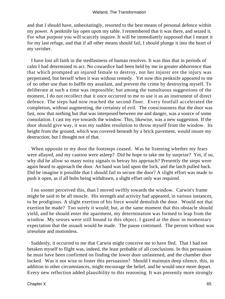and that I should have, unhesitatingly, resorted to the best means of personal defence within my power. A penknife lay open upon my table. I remembered that it was there, and seized it. For what purpose you will scarcely inquire. It will be immediately supposed that I meant it for my last refuge, and that if all other means should fail, I should plunge it into the heart of my ravisher.

 I have lost all faith in the stedfastness of human resolves. It was thus that in periods of calm I had determined to act. No cowardice had been held by me in greater abhorrence than that which prompted an injured female to destroy, not her injurer ere the injury was perpetrated, but herself when it was without remedy. Yet now this penknife appeared to me of no other use than to baffle my assailant, and prevent the crime by destroying myself. To deliberate at such a time was impossible; but among the tumultuous suggestions of the moment, I do not recollect that it once occurred to me to use it as an instrument of direct defence. The steps had now reached the second floor. Every footfall accelerated the completion, without augmenting, the certainty of evil. The consciousness that the door was fast, now that nothing but that was interposed between me and danger, was a source of some consolation. I cast my eye towards the window. This, likewise, was a new suggestion. If the door should give way, it was my sudden resolution to throw myself from the window. Its height from the ground, which was covered beneath by a brick pavement, would insure my destruction; but I thought not of that.

 When opposite to my door the footsteps ceased. Was he listening whether my fears were allayed, and my caution were asleep? Did he hope to take me by surprize? Yet, if so, why did he allow so many noisy signals to betray his approach? Presently the steps were again heard to approach the door. An hand was laid upon the lock, and the latch pulled back. Did he imagine it possible that I should fail to secure the door? A slight effort was made to push it open, as if all bolts being withdrawn, a slight effort only was required.

 I no sooner perceived this, than I moved swiftly towards the window. Carwin's frame might be said to be all muscle. His strength and activity had appeared, in various instances, to be prodigious. A slight exertion of his force would demolish the door. Would not that exertion be made? Too surely it would; but, at the same moment that this obstacle should yield, and he should enter the apartment, my determination was formed to leap from the window. My senses were still bound to this object. I gazed at the door in momentary expectation that the assault would be made. The pause continued. The person without was irresolute and motionless.

 Suddenly, it occurred to me that Carwin might conceive me to have fled. That I had not betaken myself to flight was, indeed, the least probable of all conclusions. In this persuasion he must have been confirmed on finding the lower door unfastened, and the chamber door locked. Was it not wise to foster this persuasion? Should I maintain deep silence, this, in addition to other circumstances, might encourage the belief, and he would once more depart. Every new reflection added plausibility to this reasoning. It was presently more strongly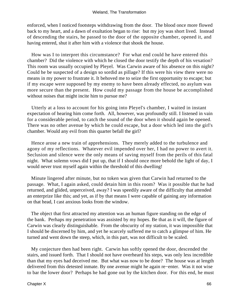enforced, when I noticed footsteps withdrawing from the door. The blood once more flowed back to my heart, and a dawn of exultation began to rise: but my joy was short lived. Instead of descending the stairs, he passed to the door of the opposite chamber, opened it, and having entered, shut it after him with a violence that shook the house.

 How was I to interpret this circumstance? For what end could he have entered this chamber? Did the violence with which he closed the door testify the depth of his vexation? This room was usually occupied by Pleyel. Was Carwin aware of his absence on this night? Could he be suspected of a design so sordid as pillage? If this were his view there were no means in my power to frustrate it. It behoved me to seize the first opportunity to escape; but if my escape were supposed by my enemy to have been already effected, no asylum was more secure than the present. How could my passage from the house be accomplished without noises that might incite him to pursue me?

 Utterly at a loss to account for his going into Pleyel's chamber, I waited in instant expectation of hearing him come forth. All, however, was profoundly still. I listened in vain for a considerable period, to catch the sound of the door when it should again be opened. There was no other avenue by which he could escape, but a door which led into the girl's chamber. Would any evil from this quarter befall the girl?

 Hence arose a new train of apprehensions. They merely added to the turbulence and agony of my reflections. Whatever evil impended over her, I had no power to avert it. Seclusion and silence were the only means of saving myself from the perils of this fatal night. What solemn vows did I put up, that if I should once more behold the light of day, I would never trust myself again within the threshold of this dwelling!

 Minute lingered after minute, but no token was given that Carwin had returned to the passage. What, I again asked, could detain him in this room? Was it possible that he had returned, and glided, unperceived, away? I was speedily aware of the difficulty that attended an enterprize like this; and yet, as if by that means I were capable of gaining any information on that head, I cast anxious looks from the window.

 The object that first attracted my attention was an human figure standing on the edge of the bank. Perhaps my penetration was assisted by my hopes. Be that as it will, the figure of Carwin was clearly distinguishable. From the obscurity of my station, it was impossible that I should be discerned by him, and yet he scarcely suffered me to catch a glimpse of him. He turned and went down the steep, which, in this part, was not difficult to be scaled.

 My conjecture then had been right. Carwin has softly opened the door, descended the stairs, and issued forth. That I should not have overheard his steps, was only less incredible than that my eyes had deceived me. But what was now to be done? The house was at length delivered from this detested inmate. By one avenue might he again re−enter. Was it not wise to bar the lower door? Perhaps he had gone out by the kitchen door. For this end, he must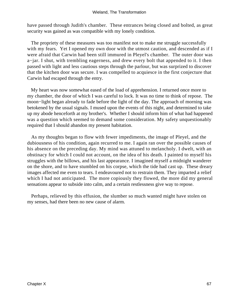#### Wieland, The Transformation

have passed through Judith's chamber. These entrances being closed and bolted, as great security was gained as was compatible with my lonely condition.

 The propriety of these measures was too manifest not to make me struggle successfully with my fears. Yet I opened my own door with the utmost caution, and descended as if I were afraid that Carwin had been still immured in Pleyel's chamber. The outer door was a−jar. I shut, with trembling eagerness, and drew every bolt that appended to it. I then passed with light and less cautious steps through the parlour, but was surprized to discover that the kitchen door was secure. I was compelled to acquiesce in the first conjecture that Carwin had escaped through the entry.

 My heart was now somewhat eased of the load of apprehension. I returned once more to my chamber, the door of which I was careful to lock. It was no time to think of repose. The moon−light began already to fade before the light of the day. The approach of morning was betokened by the usual signals. I mused upon the events of this night, and determined to take up my abode henceforth at my brother's. Whether I should inform him of what had happened was a question which seemed to demand some consideration. My safety unquestionably required that I should abandon my present habitation.

 As my thoughts began to flow with fewer impediments, the image of Pleyel, and the dubiousness of his condition, again recurred to me. I again ran over the possible causes of his absence on the preceding day. My mind was attuned to melancholy. I dwelt, with an obstinacy for which I could not account, on the idea of his death. I painted to myself his struggles with the billows, and his last appearance. I imagined myself a midnight wanderer on the shore, and to have stumbled on his corpse, which the tide had cast up. These dreary images affected me even to tears. I endeavoured not to restrain them. They imparted a relief which I had not anticipated. The more copiously they flowed, the more did my general sensations appear to subside into calm, and a certain restlessness give way to repose.

 Perhaps, relieved by this effusion, the slumber so much wanted might have stolen on my senses, had there been no new cause of alarm.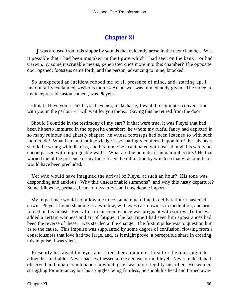# **[Chapter XI](#page-172-0)**

*I* was aroused from this stupor by sounds that evidently arose in the next chamber. Was it possible that I had been mistaken in the figure which I had seen on the bank? or had Carwin, by some inscrutable means, penetrated once more into this chamber? The opposite door opened; footsteps came forth, and the person, advancing to mine, knocked.

 So unexpected an incident robbed me of all presence of mind, and, starting up, I involuntarily exclaimed, «Who is there?» An answer was immediately given. The voice, to my inexpressible astonishment, was Pleyel's.

 «It is I. Have you risen? If you have not, make haste; I want three minutes conversation with you in the parlour – I will wait for you there.» Saying this he retired from the door.

 Should I confide in the testimony of my ears? If that were true, it was Pleyel that had been hitherto immured in the opposite chamber: he whom my rueful fancy had depicted in so many ruinous and ghastly shapes: he whose footsteps had been listened to with such inquietude! What is man, that knowledge is so sparingly conferred upon him! that his heart should be wrung with distress, and his frame be exanimated with fear, though his safety be encompassed with impregnable walls! What are the bounds of human imbecility! He that warned me of the presence of my foe refused the intimation by which so many racking fears would have been precluded.

 Yet who would have imagined the arrival of Pleyel at such an hour? His tone was desponding and anxious. Why this unseasonable summons? and why this hasty departure? Some tidings he, perhaps, bears of mysterious and unwelcome import.

 My impatience would not allow me to consume much time in deliberation: I hastened down. Pleyel I found standing at a window, with eyes cast down as in meditation, and arms folded on his breast. Every line in his countenance was pregnant with sorrow. To this was added a certain wanness and air of fatigue. The last time I had seen him appearances had been the reverse of these. I was startled at the change. The first impulse was to question him as to the cause. This impulse was supplanted by some degree of confusion, flowing from a consciousness that love had too large, and, as it might prove, a perceptible share in creating this impulse. I was silent.

 Presently he raised his eyes and fixed them upon me. I read in them an anguish altogether ineffable. Never had I witnessed a like demeanour in Pleyel. Never, indeed, had I observed an human countenance in which grief was more legibly inscribed. He seemed struggling for utterance; but his struggles being fruitless, he shook his head and turned away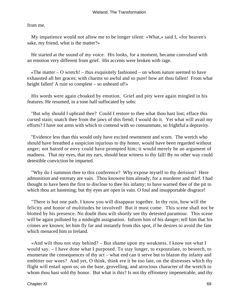from me.

 My impatience would not allow me to be longer silent: «What,» said I, «for heaven's sake, my friend, what is the matter?»

 He started at the sound of my voice. His looks, for a moment, became convulsed with an emotion very different from grief. His accents were broken with rage.

«The matter  $-$  O wretch!  $-$  thus exquisitely fashioned  $-$  on whom nature seemed to have exhausted all her graces; with charms so awful and so pure! how art thou fallen! From what height fallen! A ruin so complete – so unheard of!»

 His words were again choaked by emotion. Grief and pity were again mingled in his features. He resumed, in a tone half suffocated by sobs:

 "But why should I upbraid thee? Could I restore to thee what thou hast lost; efface this cursed stain; snatch thee from the jaws of this fiend; I would do it. Yet what will avail my efforts? I have not arms with which to contend with so consummate, so frightful a depravity.

 "Evidence less than this would only have excited resentment and scorn. The wretch who should have breathed a suspicion injurious to thy honor, would have been regarded without anger; not hatred or envy could have prompted him; it would merely be an argument of madness. That my eyes, that my ears, should bear witness to thy fall! By no other way could detestible conviction be imparted.

 "Why do I summon thee to this conference? Why expose myself to thy derision? Here admonition and entreaty are vain. Thou knowest him already, for a murderer and thief. I had thought to have been the first to disclose to thee his infamy; to have warned thee of the pit to which thou art hastening; but thy eyes are open in vain. O foul and insupportable disgrace!

 "There is but one path. I know you will disappear together. In thy ruin, how will the felicity and honor of multitudes be involved! But it must come. This scene shall not be blotted by his presence. No doubt thou wilt shortly see thy detested paramour. This scene will be again polluted by a midnight assignation. Inform him of his danger; tell him that his crimes are known; let him fly far and instantly from this spot, if he desires to avoid the fate which menaced him in Ireland.

 «And wilt thou not stay behind? – But shame upon my weakness. I know not what I would say. – I have done what I purposed. To stay longer, to expostulate, to beseech, to enumerate the consequences of thy act – what end can it serve but to blazon thy infamy and embitter our woes? And yet, O think, think ere it be too late, on the distresses which thy flight will entail upon us; on the base, grovelling, and atrocious character of the wretch to whom thou hast sold thy honor. But what is this? Is not thy effrontery impenetrable, and thy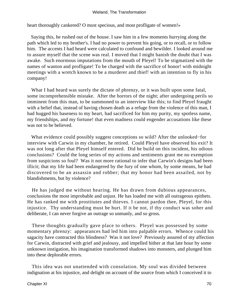heart thoroughly cankered? O most specious, and most profligate of women!»

 Saying this, he rushed out of the house. I saw him in a few moments hurrying along the path which led to my brother's. I had no power to prevent his going, or to recall, or to follow him. The accents I had heard were calculated to confound and bewilder. I looked around me to assure myself that the scene was real. I moved that I might banish the doubt that I was awake. Such enormous imputations from the mouth of Pleyel! To be stigmatized with the names of wanton and profligate! To be charged with the sacrifice of honor! with midnight meetings with a wretch known to be a murderer and thief! with an intention to fly in his company!

 What I had heard was surely the dictate of phrenzy, or it was built upon some fatal, some incomprehensible mistake. After the horrors of the night; after undergoing perils so imminent from this man, to be summoned to an interview like this; to find Pleyel fraught with a belief that, instead of having chosen death as a refuge from the violence of this man, I had hugged his baseness to my heart, had sacrificed for him my purity, my spotless name, my friendships, and my fortune! that even madness could engender accusations like these was not to be believed.

 What evidence could possibly suggest conceptions so wild? After the unlooked−for interview with Carwin in my chamber, he retired. Could Pleyel have observed his exit? It was not long after that Pleyel himself entered. Did he build on this incident, his odious conclusions? Could the long series of my actions and sentiments grant me no exemption from suspicions so foul? Was it not more rational to infer that Carwin's designs had been illicit; that my life had been endangered by the fury of one whom, by some means, he had discovered to be an assassin and robber; that my honor had been assailed, not by blandishments, but by violence?

 He has judged me without hearing. He has drawn from dubious appearances, conclusions the most improbable and unjust. He has loaded me with all outrageous epithets. He has ranked me with prostitutes and thieves. I cannot pardon thee, Pleyel, for this injustice. Thy understanding must be hurt. If it be not, if thy conduct was sober and deliberate, I can never forgive an outrage so unmanly, and so gross.

 These thoughts gradually gave place to others. Pleyel was possessed by some momentary phrenzy: appearances had led him into palpable errors. Whence could his sagacity have contracted this blindness? Was it not love? Previously assured of my affection for Carwin, distracted with grief and jealousy, and impelled hither at that late hour by some unknown instigation, his imagination transformed shadows into monsters, and plunged him into these deplorable errors.

 This idea was not unattended with consolation. My soul was divided between indignation at his injustice, and delight on account of the source from which I conceived it to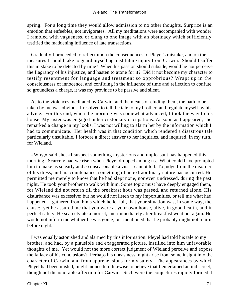spring. For a long time they would allow admission to no other thoughts. Surprize is an emotion that enfeebles, not invigorates. All my meditations were accompanied with wonder. I rambled with vagueness, or clung to one image with an obstinacy which sufficiently testified the maddening influence of late transactions.

 Gradually I proceeded to reflect upon the consequences of Pleyel's mistake, and on the measures I should take to guard myself against future injury from Carwin. Should I suffer this mistake to be detected by time? When his passion should subside, would he not perceive the flagrancy of his injustice, and hasten to atone for it? Did it not become my character to testify resentment for language and treatment so opprobrious? Wrapt up in the consciousness of innocence, and confiding in the influence of time and reflection to confute so groundless a charge, it was my province to be passive and silent.

 As to the violences meditated by Carwin, and the means of eluding them, the path to be taken by me was obvious. I resolved to tell the tale to my brother, and regulate myself by his advice. For this end, when the morning was somewhat advanced, I took the way to his house. My sister was engaged in her customary occupations. As soon as I appeared, she remarked a change in my looks. I was not willing to alarm her by the information which I had to communicate. Her health was in that condition which rendered a disastrous tale particularly unsuitable. I forbore a direct answer to her inquiries, and inquired, in my turn, for Wieland.

 «Why,» said she, «I suspect something mysterious and unpleasant has happened this morning. Scarcely had we risen when Pleyel dropped among us. What could have prompted him to make us so early and so unseasonable a visit I cannot tell. To judge from the disorder of his dress, and his countenance, something of an extraordinary nature has occurred. He permitted me merely to know that he had slept none, nor even undressed, during the past night. He took your brother to walk with him. Some topic must have deeply engaged them, for Wieland did not return till the breakfast hour was passed, and returned alone. His disturbance was excessive; but he would not listen to my importunities, or tell me what had happened. I gathered from hints which he let fall, that your situation was, in some way, the cause: yet he assured me that you were at your own house, alive, in good health, and in perfect safety. He scarcely ate a morsel, and immediately after breakfast went out again. He would not inform me whither he was going, but mentioned that he probably might not return before night.»

 I was equally astonished and alarmed by this information. Pleyel had told his tale to my brother, and had, by a plausible and exaggerated picture, instilled into him unfavorable thoughts of me. Yet would not the more correct judgment of Wieland perceive and expose the fallacy of his conclusions? Perhaps his uneasiness might arise from some insight into the character of Carwin, and from apprehensions for my safety. The appearances by which Pleyel had been misled, might induce him likewise to believe that I entertained an indiscreet, though not dishonorable affection for Carwin. Such were the conjectures rapidly formed. I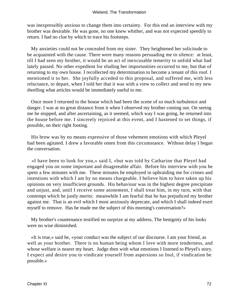was inexpressibly anxious to change them into certainty. For this end an interview with my brother was desirable. He was gone, no one knew whither, and was not expected speedily to return. I had no clue by which to trace his footsteps.

 My anxieties could not be concealed from my sister. They heightened her solicitude to be acquainted with the cause. There were many reasons persuading me to silence: at least, till I had seen my brother, it would be an act of inexcusable temerity to unfold what had lately passed. No other expedient for eluding her importunities occurred to me, but that of returning to my own house. I recollected my determination to become a tenant of this roof. I mentioned it to her. She joyfully acceded to this proposal, and suffered me, with less reluctance, to depart, when I told her that it was with a view to collect and send to my new dwelling what articles would be immediately useful to me.

 Once more I returned to the house which had been the scene of so much turbulence and danger. I was at no great distance from it when I observed my brother coming out. On seeing me he stopped, and after ascertaining, as it seemed, which way I was going, he returned into the house before me. I sincerely rejoiced at this event, and I hastened to set things, if possible, on their right footing.

 His brow was by no means expressive of those vehement emotions with which Pleyel had been agitated. I drew a favorable omen from this circumstance. Without delay I began the conversation.

 «I have been to look for you,» said I, «but was told by Catharine that Pleyel had engaged you on some important and disagreeable affair. Before his interview with you he spent a few minutes with me. These minutes he employed in upbraiding me for crimes and intentions with which I am by no means chargeable. I believe him to have taken up his opinions on very insufficient grounds. His behaviour was in the highest degree precipitate and unjust, and, until I receive some atonement, I shall treat him, in my turn, with that contempt which he justly merits: meanwhile I am fearful that he has prejudiced my brother against me. That is an evil which I most anxiously deprecate, and which I shall indeed exert myself to remove. Has he made me the subject of this morning's conversation?»

 My brother's countenance testified no surprize at my address. The benignity of his looks were no wise diminished.

 «It is true,» said he, «your conduct was the subject of our discourse. I am your friend, as well as your brother. There is no human being whom I love with more tenderness, and whose welfare is nearer my heart. Judge then with what emotions I listened to Pleyel's story. I expect and desire you to vindicate yourself from aspersions so foul, if vindication be possible.»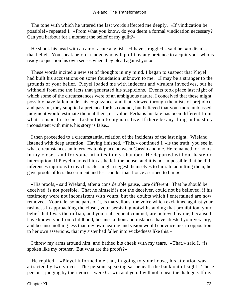The tone with which he uttered the last words affected me deeply. «If vindication be possible!» repeated I. «From what you know, do you deem a formal vindication necessary? Can you harbour for a moment the belief of my guilt?»

 He shook his head with an air of acute anguish. «I have struggled,» said he, «to dismiss that belief. You speak before a judge who will profit by any pretence to acquit you: who is ready to question his own senses when they plead against you.»

 These words incited a new set of thoughts in my mind. I began to suspect that Pleyel had built his accusations on some foundation unknown to me. «I may be a stranger to the grounds of your belief. Pleyel loaded me with indecent and virulent invectives, but he withheld from me the facts that generated his suspicions. Events took place last night of which some of the circumstances were of an ambiguous nature. I conceived that these might possibly have fallen under his cognizance, and that, viewed through the mists of prejudice and passion, they supplied a pretence for his conduct, but believed that your more unbiassed judgment would estimate them at their just value. Perhaps his tale has been different from what I suspect it to be. Listen then to my narrative. If there be any thing in his story inconsistent with mine, his story is false.»

 I then proceeded to a circumstantial relation of the incidents of the last night. Wieland listened with deep attention. Having finished, «This,» continued I, «is the truth; you see in what circumstances an interview took place between Carwin and me. He remained for hours in my closet, and for some minutes in my chamber. He departed without haste or interruption. If Pleyel marked him as he left the house, and it is not impossible that he did, inferences injurious to my character might suggest themselves to him. In admitting them, he gave proofs of less discernment and less candor than I once ascribed to him.»

 «His proofs,» said Wieland, after a considerable pause, «are different. That he should be deceived, is not possible. That he himself is not the deceiver, could not be believed, if his testimony were not inconsistent with yours; but the doubts which I entertained are now removed. Your tale, some parts of it, is marvellous; the voice which exclaimed against your rashness in approaching the closet, your persisting notwithstanding that prohibition, your belief that I was the ruffian, and your subsequent conduct, are believed by me, because I have known you from childhood, because a thousand instances have attested your veracity, and because nothing less than my own hearing and vision would convince me, in opposition to her own assertions, that my sister had fallen into wickedness like this.»

 I threw my arms around him, and bathed his cheek with my tears. «That,» said I, «is spoken like my brother. But what are the proofs?»

 He replied – «Pleyel informed me that, in going to your house, his attention was attracted by two voices. The persons speaking sat beneath the bank out of sight. These persons, judging by their voices, were Carwin and you. I will not repeat the dialogue. If my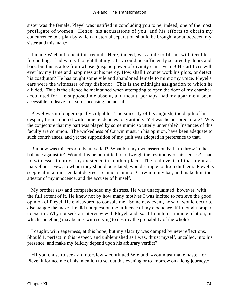sister was the female, Pleyel was justified in concluding you to be, indeed, one of the most profligate of women. Hence, his accusations of you, and his efforts to obtain my concurrence to a plan by which an eternal separation should be brought about between my sister and this man.»

 I made Wieland repeat this recital. Here, indeed, was a tale to fill me with terrible foreboding. I had vainly thought that my safety could be sufficiently secured by doors and bars, but this is a foe from whose grasp no power of divinity can save me! His artifices will ever lay my fame and happiness at his mercy. How shall I counterwork his plots, or detect his coadjutor? He has taught some vile and abandoned female to mimic my voice. Pleyel's ears were the witnesses of my dishonor. This is the midnight assignation to which he alluded. Thus is the silence he maintained when attempting to open the door of my chamber, accounted for. He supposed me absent, and meant, perhaps, had my apartment been accessible, to leave in it some accusing memorial.

 Pleyel was no longer equally culpable. The sincerity of his anguish, the depth of his despair, I remembered with some tendencies to gratitude. Yet was he not precipitate? Was the conjecture that my part was played by some mimic so utterly untenable? Instances of this faculty are common. The wickedness of Carwin must, in his opinion, have been adequate to such contrivances, and yet the supposition of my guilt was adopted in preference to that.

 But how was this error to be unveiled? What but my own assertion had I to throw in the balance against it? Would this be permitted to outweigh the testimony of his senses? I had no witnesses to prove my existence in another place. The real events of that night are marvellous. Few, to whom they should be related, would scruple to discredit them. Pleyel is sceptical in a transcendant degree. I cannot summon Carwin to my bar, and make him the attestor of my innocence, and the accuser of himself.

 My brother saw and comprehended my distress. He was unacquainted, however, with the full extent of it. He knew not by how many motives I was incited to retrieve the good opinion of Pleyel. He endeavored to console me. Some new event, he said, would occur to disentangle the maze. He did not question the influence of my eloquence, if I thought proper to exert it. Why not seek an interview with Pleyel, and exact from him a minute relation, in which something may be met with serving to destroy the probability of the whole?

 I caught, with eagerness, at this hope; but my alacrity was damped by new reflections. Should I, perfect in this respect, and unblemished as I was, thrust myself, uncalled, into his presence, and make my felicity depend upon his arbitrary verdict?

 «If you chuse to seek an interview,» continued Wieland, «you must make haste, for Pleyel informed me of his intention to set out this evening or to−morrow on a long journey.»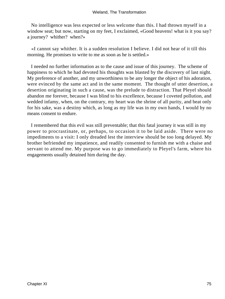No intelligence was less expected or less welcome than this. I had thrown myself in a window seat; but now, starting on my feet, I exclaimed, «Good heavens! what is it you say? a journey? whither? when?»

 «I cannot say whither. It is a sudden resolution I believe. I did not hear of it till this morning. He promises to write to me as soon as he is settled.»

 I needed no further information as to the cause and issue of this journey. The scheme of happiness to which he had devoted his thoughts was blasted by the discovery of last night. My preference of another, and my unworthiness to be any longer the object of his adoration, were evinced by the same act and in the same moment. The thought of utter desertion, a desertion originating in such a cause, was the prelude to distraction. That Pleyel should abandon me forever, because I was blind to his excellence, because I coveted pollution, and wedded infamy, when, on the contrary, my heart was the shrine of all purity, and beat only for his sake, was a destiny which, as long as my life was in my own hands, I would by no means consent to endure.

 I remembered that this evil was still preventable; that this fatal journey it was still in my power to procrastinate, or, perhaps, to occasion it to be laid aside. There were no impediments to a visit: I only dreaded lest the interview should be too long delayed. My brother befriended my impatience, and readily consented to furnish me with a chaise and servant to attend me. My purpose was to go immediately to Pleyel's farm, where his engagements usually detained him during the day.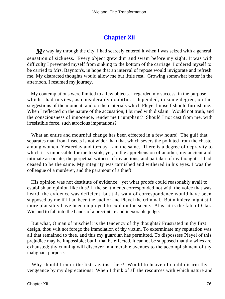# **[Chapter XII](#page-172-0)**

My way lay through the city. I had scarcely entered it when I was seized with a general sensation of sickness. Every object grew dim and swam before my sight. It was with difficulty I prevented myself from sinking to the bottom of the carriage. I ordered myself to be carried to Mrs. Baynton's, in hope that an interval of repose would invigorate and refresh me. My distracted thoughts would allow me but little rest. Growing somewhat better in the afternoon, I resumed my journey.

 My contemplations were limited to a few objects. I regarded my success, in the purpose which I had in view, as considerably doubtful. I depended, in some degree, on the suggestions of the moment, and on the materials which Pleyel himself should furnish me. When I reflected on the nature of the accusation, I burned with disdain. Would not truth, and the consciousness of innocence, render me triumphant? Should I not cast from me, with irresistible force, such atrocious imputations?

 What an entire and mournful change has been effected in a few hours! The gulf that separates man from insects is not wider than that which severs the polluted from the chaste among women. Yesterday and to−day I am the same. There is a degree of depravity to which it is impossible for me to sink; yet, in the apprehension of another, my ancient and intimate associate, the perpetual witness of my actions, and partaker of my thoughts, I had ceased to be the same. My integrity was tarnished and withered in his eyes. I was the colleague of a murderer, and the paramour of a thief!

 His opinion was not destitute of evidence: yet what proofs could reasonably avail to establish an opinion like this? If the sentiments corresponded not with the voice that was heard, the evidence was deficient; but this want of correspondence would have been supposed by me if I had been the auditor and Pleyel the criminal. But mimicry might still more plausibly have been employed to explain the scene. Alas! it is the fate of Clara Wieland to fall into the hands of a precipitate and inexorable judge.

 But what, O man of mischief! is the tendency of thy thoughts? Frustrated in thy first design, thou wilt not forego the immolation of thy victim. To exterminate my reputation was all that remained to thee, and this my guardian has permitted. To dispossess Pleyel of this prejudice may be impossible; but if that be effected, it cannot be supposed that thy wiles are exhausted; thy cunning will discover innumerable avenues to the accomplishment of thy malignant purpose.

 Why should I enter the lists against thee? Would to heaven I could disarm thy vengeance by my deprecations! When I think of all the resources with which nature and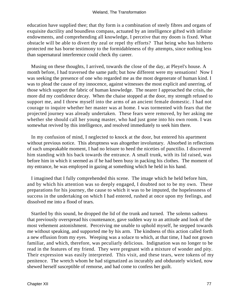education have supplied thee; that thy form is a combination of steely fibres and organs of exquisite ductility and boundless compass, actuated by an intelligence gifted with infinite endowments, and comprehending all knowledge, I perceive that my doom is fixed. What obstacle will be able to divert thy zeal or repel thy efforts? That being who has hitherto protected me has borne testimony to the formidableness of thy attempts, since nothing less than supernatural interference could check thy career.

 Musing on these thoughts, I arrived, towards the close of the day, at Pleyel's house. A month before, I had traversed the same path; but how different were my sensations! Now I was seeking the presence of one who regarded me as the most degenerate of human kind. I was to plead the cause of my innocence, against witnesses the most explicit and unerring, of those which support the fabric of human knowledge. The nearer I approached the crisis, the more did my confidence decay. When the chaise stopped at the door, my strength refused to support me, and I threw myself into the arms of an ancient female domestic. I had not courage to inquire whether her master was at home. I was tormented with fears that the projected journey was already undertaken. These fears were removed, by her asking me whether she should call her young master, who had just gone into his own room. I was somewhat revived by this intelligence, and resolved immediately to seek him there.

 In my confusion of mind, I neglected to knock at the door, but entered his apartment without previous notice. This abruptness was altogether involuntary. Absorbed in reflections of such unspeakable moment, I had no leisure to heed the niceties of punctilio. I discovered him standing with his back towards the entrance. A small trunk, with its lid raised, was before him in which it seemed as if he had been busy in packing his clothes. The moment of my entrance, he was employed in gazing at something which he held in his hand.

 I imagined that I fully comprehended this scene. The image which he held before him, and by which his attention was so deeply engaged, I doubted not to be my own. These preparations for his journey, the cause to which it was to be imputed, the hopelessness of success in the undertaking on which I had entered, rushed at once upon my feelings, and dissolved me into a flood of tears.

 Startled by this sound, he dropped the lid of the trunk and turned. The solemn sadness that previously overspread his countenance, gave sudden way to an attitude and look of the most vehement astonishment. Perceiving me unable to uphold myself, he stepped towards me without speaking, and supported me by his arm. The kindness of this action called forth a new effusion from my eyes. Weeping was a solace to which, at that time, I had not grown familiar, and which, therefore, was peculiarly delicious. Indignation was no longer to be read in the features of my friend. They were pregnant with a mixture of wonder and pity. Their expression was easily interpreted. This visit, and these tears, were tokens of my penitence. The wretch whom he had stigmatized as incurably and obdurately wicked, now shewed herself susceptible of remorse, and had come to confess her guilt.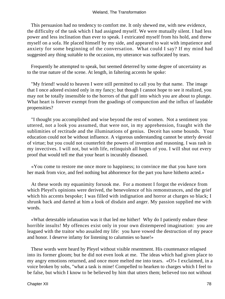This persuasion had no tendency to comfort me. It only shewed me, with new evidence, the difficulty of the task which I had assigned myself. We were mutually silent. I had less power and less inclination than ever to speak. I extricated myself from his hold, and threw myself on a sofa. He placed himself by my side, and appeared to wait with impatience and anxiety for some beginning of the conversation. What could I say? If my mind had suggested any thing suitable to the occasion, my utterance was suffocated by tears.

 Frequently he attempted to speak, but seemed deterred by some degree of uncertainty as to the true nature of the scene. At length, in faltering accents he spoke:

 "My friend! would to heaven I were still permitted to call you by that name. The image that I once adored existed only in my fancy; but though I cannot hope to see it realized, you may not be totally insensible to the horrors of that gulf into which you are about to plunge. What heart is forever exempt from the goadings of compunction and the influx of laudable propensities?

 "I thought you accomplished and wise beyond the rest of women. Not a sentiment you uttered, not a look you assumed, that were not, in my apprehension, fraught with the sublimities of rectitude and the illuminations of genius. Deceit has some bounds. Your education could not be without influence. A vigorous understanding cannot be utterly devoid of virtue; but you could not counterfeit the powers of invention and reasoning. I was rash in my invectives. I will not, but with life, relinquish all hopes of you. I will shut out every proof that would tell me that your heart is incurably diseased.

 «You come to restore me once more to happiness; to convince me that you have torn her mask from vice, and feel nothing but abhorrence for the part you have hitherto acted.»

 At these words my equanimity forsook me. For a moment I forgot the evidence from which Pleyel's opinions were derived, the benevolence of his remonstrances, and the grief which his accents bespoke; I was filled with indignation and horror at charges so black; I shrunk back and darted at him a look of disdain and anger. My passion supplied me with words.

 «What detestable infatuation was it that led me hither! Why do I patiently endure these horrible insults! My offences exist only in your own distempered imagination: you are leagued with the traitor who assailed my life: you have vowed the destruction of my peace and honor. I deserve infamy for listening to calumnies so base!»

 These words were heard by Pleyel without visible resentment. His countenance relapsed into its former gloom; but he did not even look at me. The ideas which had given place to my angry emotions returned, and once more melted me into tears. «O!» I exclaimed, in a voice broken by sobs, "what a task is mine! Compelled to hearken to charges which I feel to be false, but which I know to be believed by him that utters them; believed too not without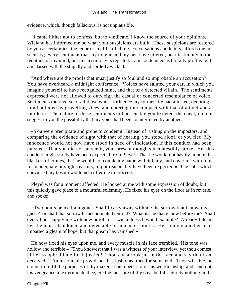evidence, which, though fallacious, is not unplausible.

 "I came hither not to confess, but to vindicate. I know the source of your opinions. Wieland has informed me on what your suspicions are built. These suspicions are fostered by you as certainties; the tenor of my life, of all my conversations and letters, affords me no security; every sentiment that my tongue and my pen have uttered, bear testimony to the rectitude of my mind; but this testimony is rejected. I am condemned as brutally profligate: I am classed with the stupidly and sordidly wicked.

 "And where are the proofs that must justify so foul and so improbable an accusation? You have overheard a midnight conference. Voices have saluted your ear, in which you imagine yourself to have recognized mine, and that of a detected villain. The sentiments expressed were not allowed to outweigh the casual or concerted resemblance of voice. Sentiments the reverse of all those whose influence my former life had attested, denoting a mind polluted by grovelling vices, and entering into compact with that of a thief and a murderer. The nature of these sentiments did not enable you to detect the cheat, did not suggest to you the possibility that my voice had been counterfeited by another.

 «You were precipitate and prone to condemn. Instead of rushing on the impostors, and comparing the evidence of sight with that of hearing, you stood aloof, or you fled. My innocence would not now have stood in need of vindication, if this conduct had been pursued. That you did not pursue it, your present thoughts incontestibly prove. Yet this conduct might surely have been expected from Pleyel. That he would not hastily impute the blackest of crimes, that he would not couple my name with infamy, and cover me with ruin for inadequate or slight reasons, might reasonably have been expected.» The sobs which convulsed my bosom would not suffer me to proceed.

 Pleyel was for a moment affected. He looked at me with some expression of doubt; but this quickly gave place to a mournful solemnity. He fixed his eyes on the floor as in reverie, and spoke:

 «Two hours hence I am gone. Shall I carry away with me the sorrow that is now my guest? or shall that sorrow be accumulated tenfold? What is she that is now before me? Shall every hour supply me with new proofs of a wickedness beyond example? Already I deem her the most abandoned and detestable of human creatures. Her coming and her tears imparted a gleam of hope, but that gleam has vanished.»

 He now fixed his eyes upon me, and every muscle in his face trembled. His tone was hollow and terrible – "Thou knowest that I was a witness of your interview, yet thou comest hither to upbraid me for injustice! Thou canst look me in the face and say that I am deceived! – An inscrutable providence has fashioned thee for some end. Thou wilt live, no doubt, to fulfil the purposes of thy maker, if he repent not of his workmanship, and send not his vengeance to exterminate thee, ere the measure of thy days be full. Surely nothing in the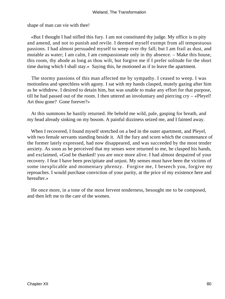shape of man can vie with thee!

 «But I thought I had stifled this fury. I am not constituted thy judge. My office is to pity and amend, and not to punish and revile. I deemed myself exempt from all tempestuous passions. I had almost persuaded myself to weep over thy fall; but I am frail as dust, and mutable as water; I am calm, I am compassionate only in thy absence. – Make this house, this room, thy abode as long as thou wilt, but forgive me if I prefer solitude for the short time during which I shall stay.» Saying this, he motioned as if to leave the apartment.

 The stormy passions of this man affected me by sympathy. I ceased to weep. I was motionless and speechless with agony. I sat with my hands clasped, mutely gazing after him as he withdrew. I desired to detain him, but was unable to make any effort for that purpose, till he had passed out of the room. I then uttered an involuntary and piercing  $\text{cry} - \text{wPleyel}!$ Art thou gone? Gone forever?»

 At this summons he hastily returned. He beheld me wild, pale, gasping for breath, and my head already sinking on my bosom. A painful dizziness seized me, and I fainted away.

 When I recovered, I found myself stretched on a bed in the outer apartment, and Pleyel, with two female servants standing beside it. All the fury and scorn which the countenance of the former lately expressed, had now disappeared, and was succeeded by the most tender anxiety. As soon as he perceived that my senses were returned to me, he clasped his hands, and exclaimed, «God be thanked! you are once more alive. I had almost despaired of your recovery. I fear I have been precipitate and unjust. My senses must have been the victims of some inexplicable and momentary phrenzy. Forgive me, I beseech you, forgive my reproaches. I would purchase conviction of your purity, at the price of my existence here and hereafter.»

 He once more, in a tone of the most fervent tenderness, besought me to be composed, and then left me to the care of the women.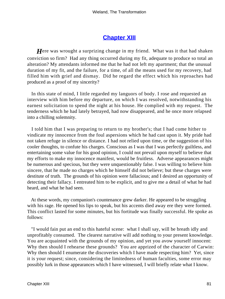# **[Chapter XIII](#page-172-0)**

*H*ere was wrought a surprizing change in my friend. What was it that had shaken conviction so firm? Had any thing occurred during my fit, adequate to produce so total an alteration? My attendants informed me that he had not left my apartment; that the unusual duration of my fit, and the failure, for a time, of all the means used for my recovery, had filled him with grief and dismay. Did he regard the effect which his reproaches had produced as a proof of my sincerity?

 In this state of mind, I little regarded my languors of body. I rose and requested an interview with him before my departure, on which I was resolved, notwithstanding his earnest solicitation to spend the night at his house. He complied with my request. The tenderness which he had lately betrayed, had now disappeared, and he once more relapsed into a chilling solemnity.

 I told him that I was preparing to return to my brother's; that I had come hither to vindicate my innocence from the foul aspersions which he had cast upon it. My pride had not taken refuge in silence or distance. I had not relied upon time, or the suggestion of his cooler thoughts, to confute his charges. Conscious as I was that I was perfectly guiltless, and entertaining some value for his good opinion, I could not prevail upon myself to believe that my efforts to make my innocence manifest, would be fruitless. Adverse appearances might be numerous and specious, but they were unquestionably false. I was willing to believe him sincere, that he made no charges which he himself did not believe; but these charges were destitute of truth. The grounds of his opinion were fallacious; and I desired an opportunity of detecting their fallacy. I entreated him to be explicit, and to give me a detail of what he had heard, and what he had seen.

 At these words, my companion's countenance grew darker. He appeared to be struggling with his rage. He opened his lips to speak, but his accents died away ere they were formed. This conflict lasted for some minutes, but his fortitude was finally successful. He spoke as follows:

 "I would fain put an end to this hateful scene: what I shall say, will be breath idly and unprofitably consumed. The clearest narrative will add nothing to your present knowledge. You are acquainted with the grounds of my opinion, and yet you avow yourself innocent: Why then should I rehearse these grounds? You are apprized of the character of Carwin: Why then should I enumerate the discoveries which I have made respecting him? Yet, since it is your request; since, considering the limitedness of human faculties, some error may possibly lurk in those appearances which I have witnessed, I will briefly relate what I know.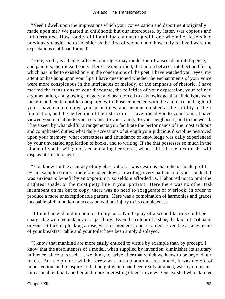"Need I dwell upon the impressions which your conversation and deportment originally made upon me? We parted in childhood; but our intercourse, by letter, was copious and uninterrupted. How fondly did I anticipate a meeting with one whom her letters had previously taught me to consider as the first of women, and how fully realized were the expectations that I had formed!

 "Here, said I, is a being, after whom sages may model their transcendent intelligence, and painters, their ideal beauty. Here is exemplified, that union between intellect and form, which has hitherto existed only in the conceptions of the poet. I have watched your eyes; my attention has hung upon your lips. I have questioned whether the enchantments of your voice were more conspicuous in the intricacies of melody, or the emphasis of rhetoric. I have marked the transitions of your discourse, the felicities of your expression, your refined argumentation, and glowing imagery; and been forced to acknowledge, that all delights were meagre and contemptible, compared with those connected with the audience and sight of you. I have contemplated your principles, and been astonished at the solidity of their foundation, and the perfection of their structure. I have traced you to your home. I have viewed you in relation to your servants, to your family, to your neighbours, and to the world. I have seen by what skilful arrangements you facilitate the performance of the most arduous and complicated duties; what daily accessions of strength your judicious discipline bestowed upon your memory; what correctness and abundance of knowledge was daily experienced by your unwearied application to books, and to writing. If she that possesses so much in the bloom of youth, will go on accumulating her stores, what, said I, is the picture she will display at a mature age?

 "You know not the accuracy of my observation. I was desirous that others should profit by an example so rare. I therefore noted down, in writing, every particular of your conduct. I was anxious to benefit by an opportunity so seldom afforded us. I laboured not to omit the slightest shade, or the most petty line in your portrait. Here there was no other task incumbent on me but to copy; there was no need to exaggerate or overlook, in order to produce a more unexceptionable pattern. Here was a combination of harmonies and graces, incapable of diminution or accession without injury to its completeness.

 "I found no end and no bounds to my task. No display of a scene like this could be chargeable with redundancy or superfluity. Even the colour of a shoe, the knot of a ribband, or your attitude in plucking a rose, were of moment to be recorded. Even the arrangements of your breakfast−table and your toilet have been amply displayed.

 "I know that mankind are more easily enticed to virtue by example than by precept. I know that the absoluteness of a model, when supplied by invention, diminishes its salutary influence, since it is useless, we think, to strive after that which we know to be beyond our reach. But the picture which I drew was not a phantom; as a model, it was devoid of imperfection; and to aspire to that height which had been really attained, was by no means unreasonable. I had another and more interesting object in view. One existed who claimed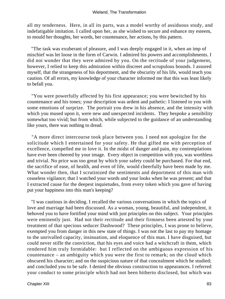all my tenderness. Here, in all its parts, was a model worthy of assiduous study, and indefatigable imitation. I called upon her, as she wished to secure and enhance my esteem, to mould her thoughts, her words, her countenance, her actions, by this pattern.

 "The task was exuberant of pleasure, and I was deeply engaged in it, when an imp of mischief was let loose in the form of Carwin. I admired his powers and accomplishments. I did not wonder that they were admired by you. On the rectitude of your judgement, however, I relied to keep this admiration within discreet and scrupulous bounds. I assured myself, that the strangeness of his deportment, and the obscurity of his life, would teach you caution. Of all errors, my knowledge of your character informed me that this was least likely to befall you.

 "You were powerfully affected by his first appearance; you were bewitched by his countenance and his tones; your description was ardent and pathetic: I listened to you with some emotions of surprize. The portrait you drew in his absence, and the intensity with which you mused upon it, were new and unexpected incidents. They bespoke a sensibility somewhat too vivid; but from which, while subjected to the guidance of an understanding like yours, there was nothing to dread.

 "A more direct intercourse took place between you. I need not apologize for the solicitude which I entertained for your safety. He that gifted me with perception of excellence, compelled me to love it. In the midst of danger and pain, my contemplations have ever been cheered by your image. Every object in competition with you, was worthless and trivial. No price was too great by which your safety could be purchased. For that end, the sacrifice of ease, of health, and even of life, would cheerfully have been made by me. What wonder then, that I scrutinized the sentiments and deportment of this man with ceaseless vigilance; that I watched your words and your looks when he was present; and that I extracted cause for the deepest inquietudes, from every token which you gave of having put your happiness into this man's keeping?

 "I was cautious in deciding. I recalled the various conversations in which the topics of love and marriage had been discussed. As a woman, young, beautiful, and independent, it behoved you to have fortified your mind with just principles on this subject. Your principles were eminently just. Had not their rectitude and their firmness been attested by your treatment of that specious seducer Dashwood? These principles, I was prone to believe, exempted you from danger in this new state of things. I was not the last to pay my homage to the unrivalled capacity, insinuation, and eloquence of this man. I have disguised, but could never stifle the conviction, that his eyes and voice had a witchcraft in them, which rendered him truly formidable: but I reflected on the ambiguous expression of his countenance – an ambiguity which you were the first to remark; on the cloud which obscured his character; and on the suspicious nature of that concealment which he studied; and concluded you to be safe. I denied the obvious construction to appearances. I referred your conduct to some principle which had not been hitherto disclosed, but which was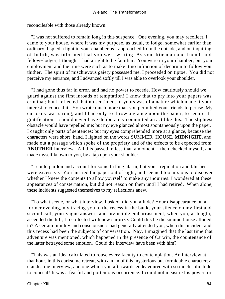reconcileable with those already known.

 "I was not suffered to remain long in this suspence. One evening, you may recollect, I came to your house, where it was my purpose, as usual, to lodge, somewhat earlier than ordinary. I spied a light in your chamber as I approached from the outside, and on inquiring of Judith, was informed that you were writing. As your kinsman and friend, and fellow−lodger, I thought I had a right to be familiar. You were in your chamber, but your employment and the time were such as to make it no infraction of decorum to follow you thither. The spirit of mischievous gaiety possessed me. I proceeded on tiptoe. You did not perceive my entrance; and I advanced softly till I was able to overlook your shoulder.

 "I had gone thus far in error, and had no power to recede. How cautiously should we guard against the first inroads of temptation! I knew that to pry into your papers was criminal; but I reflected that no sentiment of yours was of a nature which made it your interest to conceal it. You wrote much more than you permitted your friends to peruse. My curiosity was strong, and I had only to throw a glance upon the paper, to secure its gratification. I should never have deliberately committed an act like this. The slightest obstacle would have repelled me; but my eye glanced almost spontaneously upon the paper. I caught only parts of sentences; but my eyes comprehended more at a glance, because the characters were short−hand. I lighted on the words SUMMER−HOUSE, **MIDNIGHT,** and made out a passage which spoke of the propriety and of the effects to be expected from **ANOTHER** interview. All this passed in less than a moment. I then checked myself, and made myself known to you, by a tap upon your shoulder.

 "I could pardon and account for some trifling alarm; but your trepidation and blushes were excessive. You hurried the paper out of sight, and seemed too anxious to discover whether I knew the contents to allow yourself to make any inquiries. I wondered at these appearances of consternation, but did not reason on them until I had retired. When alone, these incidents suggested themselves to my reflections anew.

 "To what scene, or what interview, I asked, did you allude? Your disappearance on a former evening, my tracing you to the recess in the bank, your silence on my first and second call, your vague answers and invincible embarrassment, when you, at length, ascended the hill, I recollected with new surprize. Could this be the summerhouse alluded to? A certain timidity and consciousness had generally attended you, when this incident and this recess had been the subjects of conversation. Nay, I imagined that the last time that adventure was mentioned, which happened in the presence of Carwin, the countenance of the latter betrayed some emotion. Could the interview have been with him?

 "This was an idea calculated to rouse every faculty to contemplation. An interview at that hour, in this darksome retreat, with a man of this mysterious but formidable character; a clandestine interview, and one which you afterwards endeavoured with so much solicitude to conceal! It was a fearful and portentous occurrence. I could not measure his power, or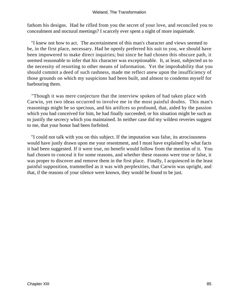fathom his designs. Had he rifled from you the secret of your love, and reconciled you to concealment and noctural meetings? I scarcely ever spent a night of more inquietude.

 "I knew not how to act. The ascertainment of this man's character and views seemed to be, in the first place, necessary. Had he openly preferred his suit to you, we should have been impowered to make direct inquiries; but since he had chosen this obscure path, it seemed reasonable to infer that his character was exceptionable. It, at least, subjected us to the necessity of resorting to other means of information. Yet the improbability that you should commit a deed of such rashness, made me reflect anew upon the insufficiency of those grounds on which my suspicions had been built, and almost to condemn myself for harbouring them.

 "Though it was mere conjecture that the interview spoken of had taken place with Carwin, yet two ideas occurred to involve me in the most painful doubts. This man's reasonings might be so specious, and his artifices so profound, that, aided by the passion which you had conceived for him, he had finally succeeded; or his situation might be such as to justify the secrecy which you maintained. In neither case did my wildest reveries suggest to me, that your honor had been forfeited.

 "I could not talk with you on this subject. If the imputation was false, its atrociousness would have justly drawn upon me your resentment, and I must have explained by what facts it had been suggested. If it were true, no benefit would follow from the mention of it. You had chosen to conceal it for some reasons, and whether these reasons were true or false, it was proper to discover and remove them in the first place. Finally, I acquiesced in the least painful supposition, trammelled as it was with perplexities, that Carwin was upright, and that, if the reasons of your silence were known, they would be found to be just.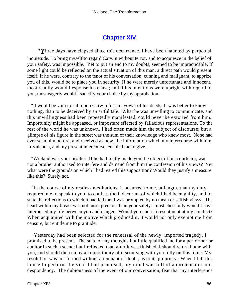## **[Chapter XIV](#page-172-0)**

*"T*hree days have elapsed since this occurrence. I have been haunted by perpetual inquietude. To bring myself to regard Carwin without terror, and to acquiesce in the belief of your safety, was impossible. Yet to put an end to my doubts, seemed to be impracticable. If some light could be reflected on the actual situation of this man, a direct path would present itself. If he were, contrary to the tenor of his conversation, cunning and malignant, to apprize you of this, would be to place you in security. If he were merely unfortunate and innocent, most readily would I espouse his cause; and if his intentions were upright with regard to you, most eagerly would I sanctify your choice by my approbation.

 "It would be vain to call upon Carwin for an avowal of his deeds. It was better to know nothing, than to be deceived by an artful tale. What he was unwilling to communicate, and this unwillingness had been repeatedly manifested, could never be extorted from him. Importunity might be appeased, or imposture effected by fallacious representations. To the rest of the world he was unknown. I had often made him the subject of discourse; but a glimpse of his figure in the street was the sum of their knowledge who knew most. None had ever seen him before, and received as new, the information which my intercourse with him in Valencia, and my present intercourse, enabled me to give.

 "Wieland was your brother. If he had really made you the object of his courtship, was not a brother authorized to interfere and demand from him the confession of his views? Yet what were the grounds on which I had reared this supposition? Would they justify a measure like this? Surely not.

 "In the course of my restless meditations, it occurred to me, at length, that my duty required me to speak to you, to confess the indecorum of which I had been guilty, and to state the reflections to which it had led me. I was prompted by no mean or selfish views. The heart within my breast was not more precious than your safety: most cheerfully would I have interposed my life between you and danger. Would you cherish resentment at my conduct? When acquainted with the motive which produced it, it would not only exempt me from censure, but entitle me to gratitude.

 "Yesterday had been selected for the rehearsal of the newly−imported tragedy. I promised to be present. The state of my thoughts but little qualified me for a performer or auditor in such a scene; but I reflected that, after it was finished, I should return home with you, and should then enjoy an opportunity of discoursing with you fully on this topic. My resolution was not formed without a remnant of doubt, as to its propriety. When I left this house to perform the visit I had promised, my mind was full of apprehension and despondency. The dubiousness of the event of our conversation, fear that my interference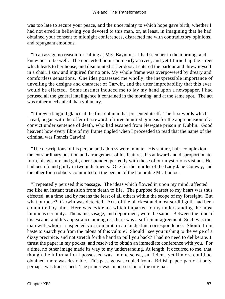was too late to secure your peace, and the uncertainty to which hope gave birth, whether I had not erred in believing you devoted to this man, or, at least, in imagining that he had obtained your consent to midnight conferences, distracted me with contradictory opinions, and repugnant emotions.

 "I can assign no reason for calling at Mrs. Baynton's. I had seen her in the morning, and knew her to be well. The concerted hour had nearly arrived, and yet I turned up the street which leads to her house, and dismounted at her door. I entered the parlour and threw myself in a chair. I saw and inquired for no one. My whole frame was overpowered by dreary and comfortless sensations. One idea possessed me wholly; the inexpressible importance of unveiling the designs and character of Carwin, and the utter improbability that this ever would be effected. Some instinct induced me to lay my hand upon a newspaper. I had perused all the general intelligence it contained in the morning, and at the same spot. The act was rather mechanical than voluntary.

 "I threw a languid glance at the first column that presented itself. The first words which I read, began with the offer of a reward of three hundred guineas for the apprehension of a convict under sentence of death, who had escaped from Newgate prison in Dublin. Good heaven! how every fibre of my frame tingled when I proceeded to read that the name of the criminal was Francis Carwin!

 "The descriptions of his person and address were minute. His stature, hair, complexion, the extraordinary position and arrangement of his features, his aukward and disproportionate form, his gesture and gait, corresponded perfectly with those of our mysterious visitant. He had been found guilty in two indictments. One for the murder of the Lady Jane Conway, and the other for a robbery committed on the person of the honorable Mr. Ludloe.

 "I repeatedly perused this passage. The ideas which flowed in upon my mind, affected me like an instant transition from death to life. The purpose dearest to my heart was thus effected, at a time and by means the least of all others within the scope of my foresight. But what purpose? Carwin was detected. Acts of the blackest and most sordid guilt had been committed by him. Here was evidence which imparted to my understanding the most luminous certainty. The name, visage, and deportment, were the same. Between the time of his escape, and his appearance among us, there was a sufficient agreement. Such was the man with whom I suspected you to maintain a clandestine correspondence. Should I not haste to snatch you from the talons of this vulture? Should I see you rushing to the verge of a dizzy precipice, and not stretch forth a hand to pull you back? I had no need to deliberate. I thrust the paper in my pocket, and resolved to obtain an immediate conference with you. For a time, no other image made its way to my understanding. At length, it occurred to me, that though the information I possessed was, in one sense, sufficient, yet if more could be obtained, more was desirable. This passage was copied from a British paper; part of it only, perhaps, was transcribed. The printer was in possession of the original.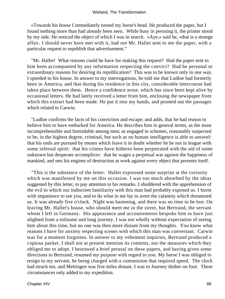«Towards his house I immediately turned my horse's head. He produced the paper, but I found nothing more than had already been seen. While busy in perusing it, the printer stood by my side. He noticed the object of which I was in search. »Aye,« said he, »that is a strange affair. I should never have met with it, had not Mr. Hallet sent to me the paper, with a particular request to republish that advertisement."

 "Mr. Hallet! What reasons could he have for making this request? Had the paper sent to him been accompanied by any information respecting the convict? Had he personal or extraordinary reasons for desiring its republication? This was to be known only in one way. I speeded to his house. In answer to my interrogations, he told me that Ludloe had formerly been in America, and that during his residence in this city, considerable intercourse had taken place between them. Hence a confidence arose, which has since been kept alive by occasional letters. He had lately received a letter from him, enclosing the newspaper from which this extract had been made. He put it into my hands, and pointed out the passages which related to Carwin.

 "Ludloe confirms the facts of his conviction and escape; and adds, that he had reason to believe him to have embarked for America. He describes him in general terms, as the most incomprehensible and formidable among men; as engaged in schemes, reasonably suspected to be, in the highest degree, criminal, but such as no human intelligence is able to unravel: that his ends are pursued by means which leave it in doubt whether he be not in league with some infernal spirit: that his crimes have hitherto been perpetrated with the aid of some unknown but desperate accomplices: that he wages a perpetual war against the happiness of mankind, and sets his engines of destruction at work against every object that presents itself.

 "This is the substance of the letter. Hallet expressed some surprize at the curiosity which was manifested by me on this occasion. I was too much absorbed by the ideas suggested by this letter, to pay attention to his remarks. I shuddered with the apprehension of the evil to which our indiscreet familiarity with this man had probably exposed us. I burnt with impatience to see you, and to do what in me lay to avert the calamity which threatened us. It was already five o'clock. Night was hastening, and there was no time to be lost. On leaving Mr. Hallet's house, who should meet me in the street, but Bertrand, the servant whom I left in Germany. His appearance and accoutrements bespoke him to have just alighted from a toilsome and long journey. I was not wholly without expectation of seeing him about this time, but no one was then more distant from my thoughts. You know what reasons I have for anxiety respecting scenes with which this man was conversant. Carwin was for a moment forgotten. In answer to my vehement inquiries, Bertrand produced a copious packet. I shall not at present mention its contents, nor the measures which they obliged me to adopt. I bestowed a brief perusal on these papers, and having given some directions to Bertrand, resumed my purpose with regard to you. My horse I was obliged to resign to my servant, he being charged with a commission that required speed. The clock had struck ten, and Mettingen was five miles distant. I was to Journey thither on foot. These circumstances only added to my expedition.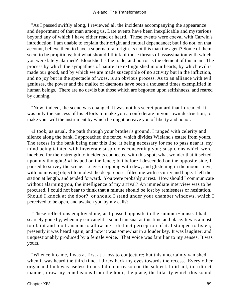"As I passed swiftly along, I reviewed all the incidents accompanying the appearance and deportment of that man among us. Late events have been inexplicable and mysterious beyond any of which I have either read or heard. These events were coeval with Carwin's introduction. I am unable to explain their origin and mutual dependance; but I do not, on that account, believe them to have a supernatural origin. Is not this man the agent? Some of them seem to be propitious; but what should I think of those threats of assassination with which you were lately alarmed? Bloodshed is the trade, and horror is the element of this man. The process by which the sympathies of nature are extinguished in our hearts, by which evil is made our good, and by which we are made susceptible of no activity but in the infliction, and no joy but in the spectacle of woes, is an obvious process. As to an alliance with evil geniuses, the power and the malice of daemons have been a thousand times exemplified in human beings. There are no devils but those which are begotten upon selfishness, and reared by cunning.

 "Now, indeed, the scene was changed. It was not his secret poniard that I dreaded. It was only the success of his efforts to make you a confederate in your own destruction, to make your will the instrument by which he might bereave you of liberty and honor.

 «I took, as usual, the path through your brother's ground. I ranged with celerity and silence along the bank. I approached the fence, which divides Wieland's estate from yours. The recess in the bank being near this line, it being necessary for me to pass near it, my mind being tainted with inveterate suspicions concerning you; suspicions which were indebted for their strength to incidents connected with this spot; what wonder that it seized upon my thoughts! »I leaped on the fence; but before I descended on the opposite side, I paused to survey the scene. Leaves dropping with dew, and glistening in the moon's rays, with no moving object to molest the deep repose, filled me with security and hope. I left the station at length, and tended forward. You were probably at rest. How should I communicate without alarming you, the intelligence of my arrival? An immediate interview was to be procured. I could not bear to think that a minute should be lost by remissness or hesitation. Should I knock at the door? or should I stand under your chamber windows, which I perceived to be open, and awaken you by my calls?

 "These reflections employed me, as I passed opposite to the summer−house. I had scarcely gone by, when my ear caught a sound unusual at this time and place. It was almost too faint and too transient to allow me a distinct perception of it. I stopped to listen; presently it was heard again, and now it was somewhat in a louder key. It was laughter; and unquestionably produced by a female voice. That voice was familiar to my senses. It was yours.

 "Whence it came, I was at first at a loss to conjecture; but this uncertainty vanished when it was heard the third time. I threw back my eyes towards the recess. Every other organ and limb was useless to me. I did not reason on the subject. I did not, in a direct manner, draw my conclusions from the hour, the place, the hilarity which this sound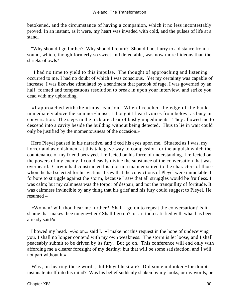betokened, and the circumstance of having a companion, which it no less incontestably proved. In an instant, as it were, my heart was invaded with cold, and the pulses of life at a stand.

 "Why should I go further? Why should I return? Should I not hurry to a distance from a sound, which, though formerly so sweet and delectable, was now more hideous than the shrieks of owls?

 "I had no time to yield to this impulse. The thought of approaching and listening occurred to me. I had no doubt of which I was conscious. Yet my certainty was capable of increase. I was likewise stimulated by a sentiment that partook of rage. I was governed by an half−formed and tempestuous resolution to break in upon your interview, and strike you dead with my upbraiding.

 «I approached with the utmost caution. When I reached the edge of the bank immediately above the summer−house, I thought I heard voices from below, as busy in conversation. The steps in the rock are clear of bushy impediments. They allowed me to descend into a cavity beside the building without being detected. Thus to lie in wait could only be justified by the momentousness of the occasion.»

 Here Pleyel paused in his narrative, and fixed his eyes upon me. Situated as I was, my horror and astonishment at this tale gave way to compassion for the anguish which the countenance of my friend betrayed. I reflected on his force of understanding. I reflected on the powers of my enemy. I could easily divine the substance of the conversation that was overheard. Carwin had constructed his plot in a manner suited to the characters of those whom he had selected for his victims. I saw that the convictions of Pleyel were immutable. I forbore to struggle against the storm, because I saw that all struggles would be fruitless. I was calm; but my calmness was the torpor of despair, and not the tranquillity of fortitude. It was calmness invincible by any thing that his grief and his fury could suggest to Pleyel. He resumed –

 «Woman! wilt thou hear me further? Shall I go on to repeat the conversation? Is it shame that makes thee tongue−tied? Shall I go on? or art thou satisfied with what has been already said?»

 I bowed my head. «Go on,» said I. «I make not this request in the hope of undeceiving you. I shall no longer contend with my own weakness. The storm is let loose, and I shall peaceably submit to be driven by its fury. But go on. This conference will end only with affording me a clearer foresight of my destiny; but that will be some satisfaction, and I will not part without it.»

 Why, on hearing these words, did Pleyel hesitate? Did some unlooked−for doubt insinuate itself into his mind? Was his belief suddenly shaken by my looks, or my words, or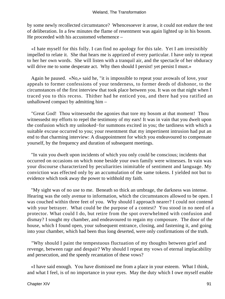by some newly recollected circumstance? Whencesoever it arose, it could not endure the test of deliberation. In a few minutes the flame of resentment was again lighted up in his bosom. He proceeded with his accustomed vehemence –

 «I hate myself for this folly. I can find no apology for this tale. Yet I am irresistibly impelled to relate it. She that hears me is apprized of every particular. I have only to repeat to her her own words. She will listen with a tranquil air, and the spectacle of her obduracy will drive me to some desperate act. Why then should I persist! yet persist I must.»

 Again he paused. «No,» said he, "it is impossible to repeat your avowals of love, your appeals to former confessions of your tenderness, to former deeds of dishonor, to the circumstances of the first interview that took place between you. It was on that night when I traced you to this recess. Thither had he enticed you, and there had you ratified an unhallowed compact by admitting him –

 "Great God! Thou witnessedst the agonies that tore my bosom at that moment! Thou witnessedst my efforts to repel the testimony of my ears! It was in vain that you dwelt upon the confusion which my unlooked−for summons excited in you; the tardiness with which a suitable excuse occurred to you; your resentment that my impertinent intrusion had put an end to that charming interview: A disappointment for which you endeavoured to compensate yourself, by the frequency and duration of subsequent meetings.

 "In vain you dwelt upon incidents of which you only could be conscious; incidents that occurred on occasions on which none beside your own family were witnesses. In vain was your discourse characterized by peculiarities inimitable of sentiment and language. My conviction was effected only by an accumulation of the same tokens. I yielded not but to evidence which took away the power to withhold my faith.

 "My sight was of no use to me. Beneath so thick an umbrage, the darkness was intense. Hearing was the only avenue to information, which the circumstances allowed to be open. I was couched within three feet of you. Why should I approach nearer? I could not contend with your betrayer. What could be the purpose of a contest? You stood in no need of a protector. What could I do, but retire from the spot overwhelmed with confusion and dismay? I sought my chamber, and endeavoured to regain my composure. The door of the house, which I found open, your subsequent entrance, closing, and fastening it, and going into your chamber, which had been thus long deserted, were only confirmations of the truth.

 "Why should I paint the tempestuous fluctuation of my thoughts between grief and revenge, between rage and despair? Why should I repeat my vows of eternal implacability and persecution, and the speedy recantation of these vows?

 «I have said enough. You have dismissed me from a place in your esteem. What I think, and what I feel, is of no importance in your eyes. May the duty which I owe myself enable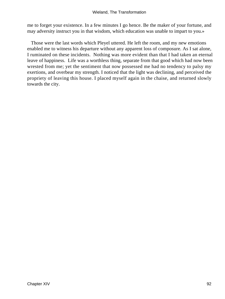me to forget your existence. In a few minutes I go hence. Be the maker of your fortune, and may adversity instruct you in that wisdom, which education was unable to impart to you.»

 Those were the last words which Pleyel uttered. He left the room, and my new emotions enabled me to witness his departure without any apparent loss of composure. As I sat alone, I ruminated on these incidents. Nothing was more evident than that I had taken an eternal leave of happiness. Life was a worthless thing, separate from that good which had now been wrested from me; yet the sentiment that now possessed me had no tendency to palsy my exertions, and overbear my strength. I noticed that the light was declining, and perceived the propriety of leaving this house. I placed myself again in the chaise, and returned slowly towards the city.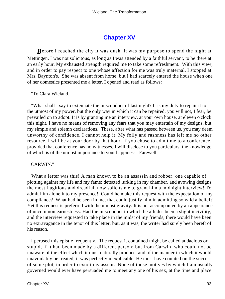# **[Chapter XV](#page-172-0)**

*B*efore I reached the city it was dusk. It was my purpose to spend the night at Mettingen. I was not solicitous, as long as I was attended by a faithful servant, to be there at an early hour. My exhausted strength required me to take some refreshment. With this view, and in order to pay respect to one whose affection for me was truly maternal, I stopped at Mrs. Baynton's. She was absent from home; but I had scarcely entered the house when one of her domestics presented me a letter. I opened and read as follows:

"To Clara Wieland,

 "What shall I say to extenuate the misconduct of last night? It is my duty to repair it to the utmost of my power, but the only way in which it can be repaired, you will not, I fear, be prevailed on to adopt. It is by granting me an interview, at your own house, at eleven o'clock this night. I have no means of removing any fears that you may entertain of my designs, but my simple and solemn declarations. These, after what has passed between us, you may deem unworthy of confidence. I cannot help it. My folly and rashness has left me no other resource. I will be at your door by that hour. If you chuse to admit me to a conference, provided that conference has no witnesses, I will disclose to you particulars, the knowledge of which is of the utmost importance to your happiness. Farewell.

#### CARWIN."

What a letter was this! A man known to be an assassin and robber; one capable of plotting against my life and my fame; detected lurking in my chamber, and avowing designs the most flagitious and dreadful, now solicits me to grant him a midnight interview! To admit him alone into my presence! Could he make this request with the expectation of my compliance? What had he seen in me, that could justify him in admitting so wild a belief? Yet this request is preferred with the utmost gravity. It is not accompanied by an appearance of uncommon earnestness. Had the misconduct to which he alludes been a slight incivility, and the interview requested to take place in the midst of my friends, there would have been no extravagance in the tenor of this letter; but, as it was, the writer had surely been bereft of his reason.

 I perused this epistle frequently. The request it contained might be called audacious or stupid, if it had been made by a different person; but from Carwin, who could not be unaware of the effect which it must naturally produce, and of the manner in which it would unavoidably be treated, it was perfectly inexplicable. He must have counted on the success of some plot, in order to extort my assent. None of those motives by which I am usually governed would ever have persuaded me to meet any one of his sex, at the time and place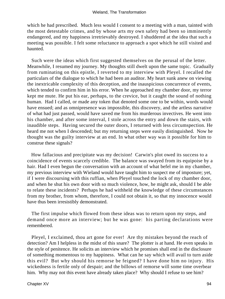which he had prescribed. Much less would I consent to a meeting with a man, tainted with the most detestable crimes, and by whose arts my own safety had been so imminently endangered, and my happiness irretrievably destroyed. I shuddered at the idea that such a meeting was possible. I felt some reluctance to approach a spot which he still visited and haunted.

 Such were the ideas which first suggested themselves on the perusal of the letter. Meanwhile, I resumed my journey. My thoughts still dwelt upon the same topic. Gradually from ruminating on this epistle, I reverted to my interview with Pleyel. I recalled the particulars of the dialogue to which he had been an auditor. My heart sunk anew on viewing the inextricable complexity of this deception, and the inauspicious concurrence of events, which tended to confirm him in his error. When he approached my chamber door, my terror kept me mute. He put his ear, perhaps, to the crevice, but it caught the sound of nothing human. Had I called, or made any token that denoted some one to be within, words would have ensued; and as omnipresence was impossible, this discovery, and the artless narrative of what had just passed, would have saved me from his murderous invectives. He went into his chamber, and after some interval, I stole across the entry and down the stairs, with inaudible steps. Having secured the outer doors, I returned with less circumspection. He heard me not when I descended; but my returning steps were easily distinguished. Now he thought was the guilty interview at an end. In what other way was it possible for him to construe these signals?

 How fallacious and precipitate was my decision! Carwin's plot owed its success to a coincidence of events scarcely credible. The balance was swayed from its equipoise by a hair. Had I even begun the conversation with an account of what befel me in my chamber, my previous interview with Wieland would have taught him to suspect me of imposture; yet, if I were discoursing with this ruffian, when Pleyel touched the lock of my chamber door, and when he shut his own door with so much violence, how, he might ask, should I be able to relate these incidents? Perhaps he had withheld the knowledge of these circumstances from my brother, from whom, therefore, I could not obtain it, so that my innocence would have thus been irresistibly demonstrated.

 The first impulse which flowed from these ideas was to return upon my steps, and demand once more an interview; but he was gone: his parting declarations were remembered.

 Pleyel, I exclaimed, thou art gone for ever! Are thy mistakes beyond the reach of detection? Am I helpless in the midst of this snare? The plotter is at hand. He even speaks in the style of penitence. He solicits an interview which he promises shall end in the disclosure of something momentous to my happiness. What can he say which will avail to turn aside this evil? But why should his remorse be feigned? I have done him no injury. His wickedness is fertile only of despair; and the billows of remorse will some time overbear him. Why may not this event have already taken place? Why should I refuse to see him?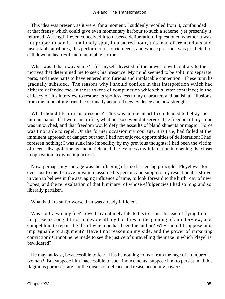This idea was present, as it were, for a moment. I suddenly recoiled from it, confounded at that frenzy which could give even momentary harbour to such a scheme; yet presently it returned. At length I even conceived it to deserve deliberation. I questioned whether it was not proper to admit, at a lonely spot, in a sacred hour, this man of tremendous and inscrutable attributes, this performer of horrid deeds, and whose presence was predicted to call down unheard−of and unutterable horrors.

 What was it that swayed me? I felt myself divested of the power to will contrary to the motives that determined me to seek his presence. My mind seemed to be split into separate parts, and these parts to have entered into furious and implacable contention. These tumults gradually subsided. The reasons why I should confide in that interposition which had hitherto defended me; in those tokens of compunction which this letter contained; in the efficacy of this interview to restore its spotlessness to my character, and banish all illusions from the mind of my friend, continually acquired new evidence and new strength.

 What should I fear in his presence? This was unlike an artifice intended to betray me into his hands. If it were an artifice, what purpose would it serve? The freedom of my mind was untouched, and that freedom would defy the assaults of blandishments or magic. Force was I not able to repel. On the former occasion my courage, it is true, had failed at the imminent approach of danger; but then I had not enjoyed opportunities of deliberation; I had foreseen nothing; I was sunk into imbecility by my previous thoughts; I had been the victim of recent disappointments and anticipated ills: Witness my infatuation in opening the closet in opposition to divine injunctions.

 Now, perhaps, my courage was the offspring of a no less erring principle. Pleyel was for ever lost to me. I strove in vain to assume his person, and suppress my resentment; I strove in vain to believe in the assuaging influence of time, to look forward to the birth−day of new hopes, and the re−exaltation of that luminary, of whose effulgencies I had so long and so liberally partaken.

What had I to suffer worse than was already inflicted?

 Was not Carwin my foe? I owed my untimely fate to his treason. Instead of flying from his presence, ought I not to devote all my faculties to the gaining of an interview, and compel him to repair the ills of which he has been the author? Why should I suppose him impregnable to argument? Have I not reason on my side, and the power of imparting conviction? Cannot he be made to see the justice of unravelling the maze in which Pleyel is bewildered?

 He may, at least, be accessible to fear. Has he nothing to fear from the rage of an injured woman? But suppose him inaccessible to such inducements; suppose him to persist in all his flagitious purposes; are not the means of defence and resistance in my power?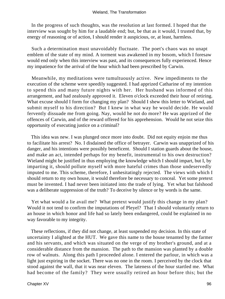In the progress of such thoughts, was the resolution at last formed. I hoped that the interview was sought by him for a laudable end; but, be that as it would, I trusted that, by energy of reasoning or of action, I should render it auspicious, or, at least, harmless.

 Such a determination must unavoidably fluctuate. The poet's chaos was no unapt emblem of the state of my mind. A torment was awakened in my bosom, which I foresaw would end only when this interview was past, and its consequences fully experienced. Hence my impatience for the arrival of the hour which had been prescribed by Carwin.

 Meanwhile, my meditations were tumultuously active. New impediments to the execution of the scheme were speedily suggested. I had apprized Catharine of my intention to spend this and many future nights with her. Her husband was informed of this arrangement, and had zealously approved it. Eleven o'clock exceeded their hour of retiring. What excuse should I form for changing my plan? Should I shew this letter to Wieland, and submit myself to his direction? But I knew in what way he would decide. He would fervently dissuade me from going. Nay, would he not do more? He was apprized of the offences of Carwin, and of the reward offered for his apprehension. Would he not seize this opportunity of executing justice on a criminal?

 This idea was new. I was plunged once more into doubt. Did not equity enjoin me thus to facilitate his arrest? No. I disdained the office of betrayer. Carwin was unapprized of his danger, and his intentions were possibly beneficent. Should I station guards about the house, and make an act, intended perhaps for my benefit, instrumental to his own destruction? Wieland might be justified in thus employing the knowledge which I should impart, but I, by imparting it, should pollute myself with more hateful crimes than those undeservedly imputed to me. This scheme, therefore, I unhesitatingly rejected. The views with which I should return to my own house, it would therefore be necessary to conceal. Yet some pretext must be invented. I had never been initiated into the trade of lying. Yet what but falshood was a deliberate suppression of the truth? To deceive by silence or by words is the same.

 Yet what would a lie avail me? What pretext would justify this change in my plan? Would it not tend to confirm the imputations of Pleyel? That I should voluntarily return to an house in which honor and life had so lately been endangered, could be explained in no way favorable to my integrity.

 These reflections, if they did not change, at least suspended my decision. In this state of uncertainty I alighted at the HUT. We gave this name to the house tenanted by the farmer and his servants, and which was situated on the verge of my brother's ground, and at a considerable distance from the mansion. The path to the mansion was planted by a double row of walnuts. Along this path I proceeded alone. I entered the parlour, in which was a light just expiring in the socket. There was no one in the room. I perceived by the clock that stood against the wall, that it was near eleven. The lateness of the hour startled me. What had become of the family? They were usually retired an hour before this; but the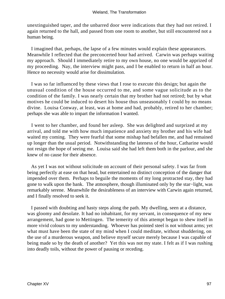unextinguished taper, and the unbarred door were indications that they had not retired. I again returned to the hall, and passed from one room to another, but still encountered not a human being.

 I imagined that, perhaps, the lapse of a few minutes would explain these appearances. Meanwhile I reflected that the preconcerted hour had arrived. Carwin was perhaps waiting my approach. Should I immediately retire to my own house, no one would be apprized of my proceeding. Nay, the interview might pass, and I be enabled to return in half an hour. Hence no necessity would arise for dissimulation.

 I was so far influenced by these views that I rose to execute this design; but again the unusual condition of the house occurred to me, and some vague solicitude as to the condition of the family. I was nearly certain that my brother had not retired; but by what motives he could be induced to desert his house thus unseasonably I could by no means divine. Louisa Conway, at least, was at home and had, probably, retired to her chamber; perhaps she was able to impart the information I wanted.

 I went to her chamber, and found her asleep. She was delighted and surprized at my arrival, and told me with how much impatience and anxiety my brother and his wife had waited my coming. They were fearful that some mishap had befallen me, and had remained up longer than the usual period. Notwithstanding the lateness of the hour, Catharine would not resign the hope of seeing me. Louisa said she had left them both in the parlour, and she knew of no cause for their absence.

 As yet I was not without solicitude on account of their personal safety. I was far from being perfectly at ease on that head, but entertained no distinct conception of the danger that impended over them. Perhaps to beguile the moments of my long protracted stay, they had gone to walk upon the bank. The atmosphere, though illuminated only by the star−light, was remarkably serene. Meanwhile the desirableness of an interview with Carwin again returned, and I finally resolved to seek it.

 I passed with doubting and hasty steps along the path. My dwelling, seen at a distance, was gloomy and desolate. It had no inhabitant, for my servant, in consequence of my new arrangement, had gone to Mettingen. The temerity of this attempt began to shew itself in more vivid colours to my understanding. Whoever has pointed steel is not without arms; yet what must have been the state of my mind when I could meditate, without shuddering, on the use of a murderous weapon, and believe myself secure merely because I was capable of being made so by the death of another? Yet this was not my state. I felt as if I was rushing into deadly toils, without the power of pausing or receding.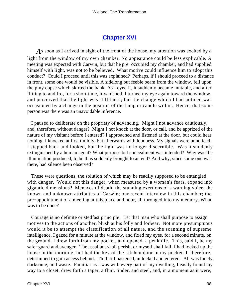## **[Chapter XVI](#page-172-0)**

*A*s soon as I arrived in sight of the front of the house, my attention was excited by a light from the window of my own chamber. No appearance could be less explicable. A meeting was expected with Carwin, but that he pre−occupied my chamber, and had supplied himself with light, was not to be believed. What motive could influence him to adopt this conduct? Could I proceed until this was explained? Perhaps, if I should proceed to a distance in front, some one would be visible. A sidelong but feeble beam from the window, fell upon the piny copse which skirted the bank. As I eyed it, it suddenly became mutable, and after flitting to and fro, for a short time, it vanished. I turned my eye again toward the window, and perceived that the light was still there; but the change which I had noticed was occasioned by a change in the position of the lamp or candle within. Hence, that some person was there was an unavoidable inference.

 I paused to deliberate on the propriety of advancing. Might I not advance cautiously, and, therefore, without danger? Might I not knock at the door, or call, and be apprized of the nature of my visitant before I entered? I approached and listened at the door, but could hear nothing. I knocked at first timidly, but afterwards with loudness. My signals were unnoticed. I stepped back and looked, but the light was no longer discernible. Was it suddenly extinguished by a human agent? What purpose but concealment was intended? Why was the illumination produced, to be thus suddenly brought to an end? And why, since some one was there, had silence been observed?

 These were questions, the solution of which may be readily supposed to be entangled with danger. Would not this danger, when measured by a woman's fears, expand into gigantic dimensions? Menaces of death; the stunning exertions of a warning voice; the known and unknown attributes of Carwin; our recent interview in this chamber; the pre−appointment of a meeting at this place and hour, all thronged into my memory. What was to be done?

 Courage is no definite or stedfast principle. Let that man who shall purpose to assign motives to the actions of another, blush at his folly and forbear. Not more presumptuous would it be to attempt the classification of all nature, and the scanning of supreme intelligence. I gazed for a minute at the window, and fixed my eyes, for a second minute, on the ground. I drew forth from my pocket, and opened, a penknife. This, said I, be my safe−guard and avenger. The assailant shall perish, or myself shall fall. I had locked up the house in the morning, but had the key of the kitchen door in my pocket. I, therefore, determined to gain access behind. Thither I hastened, unlocked and entered. All was lonely, darksome, and waste. Familiar as I was with every part of my dwelling, I easily found my way to a closet, drew forth a taper, a flint, tinder, and steel, and, in a moment as it were,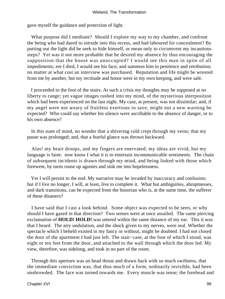gave myself the guidance and protection of light.

What purpose did I meditate? Should I explore my way to my chamber, and confront the being who had dared to intrude into this recess, and had laboured for concealment? By putting out the light did he seek to hide himself, or mean only to circumvent my incautious steps? Yet was it not more probable that he desired my absence by thus encouraging the supposition that the house was unoccupied? I would see this man in spite of all impediments; ere I died, I would see his face, and summon him to penitence and retribution; no matter at what cost an interview was purchased. Reputation and life might be wrested from me by another, but my rectitude and honor were in my own keeping, and were safe.

 I proceeded to the foot of the stairs. At such a crisis my thoughts may be supposed at no liberty to range; yet vague images rushed into my mind, of the mysterious interposition which had been experienced on the last night. My case, at present, was not dissimilar; and, if my angel were not weary of fruitless exertions to save, might not a new warning be expected? Who could say whether his silence were ascribable to the absence of danger, or to his own absence?

 In this state of mind, no wonder that a shivering cold crept through my veins; that my pause was prolonged; and, that a fearful glance was thrown backward.

 Alas! my heart droops, and my fingers are enervated; my ideas are vivid, but my language is faint: now know I what it is to entertain incommunicable sentiments. The chain of subsequent incidents is drawn through my mind, and being linked with those which forewent, by turns rouse up agonies and sink me into hopelessness.

 Yet I will persist to the end. My narrative may be invaded by inaccuracy and confusion; but if I live no longer, I will, at least, live to complete it. What but ambiguities, abruptnesses, and dark transitions, can be expected from the historian who is, at the same time, the sufferer of these disasters?

 I have said that I cast a look behind. Some object was expected to be seen, or why should I have gazed in that direction? Two senses were at once assailed. The same piercing exclamation of **HOLD! HOLD!** was uttered within the same distance of my ear. This it was that I heard. The airy undulation, and the shock given to my nerves, were real. Whether the spectacle which I beheld existed in my fancy or without, might be doubted. I had not closed the door of the apartment I had just left. The stair−case, at the foot of which I stood, was eight or ten feet from the door, and attached to the wall through which the door led. My view, therefore, was sidelong, and took in no part of the room.

 Through this aperture was an head thrust and drawn back with so much swiftness, that the immediate conviction was, that thus much of a form, ordinarily invisible, had been unshrowded. The face was turned towards me. Every muscle was tense; the forehead and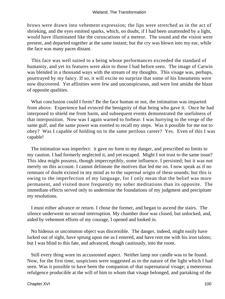brows were drawn into vehement expression; the lips were stretched as in the act of shrieking, and the eyes emitted sparks, which, no doubt, if I had been unattended by a light, would have illuminated like the coruscations of a meteor. The sound and the vision were present, and departed together at the same instant; but the cry was blown into my ear, while the face was many paces distant.

 This face was well suited to a being whose performances exceeded the standard of humanity, and yet its features were akin to those I had before seen. The image of Carwin was blended in a thousand ways with the stream of my thoughts. This visage was, perhaps, pourtrayed by my fancy. If so, it will excite no surprize that some of his lineaments were now discovered. Yet affinities were few and unconspicuous, and were lost amidst the blaze of opposite qualities.

 What conclusion could I form? Be the face human or not, the intimation was imparted from above. Experience had evinced the benignity of that being who gave it. Once he had interposed to shield me from harm, and subsequent events demonstrated the usefulness of that interposition. Now was I again warned to forbear. I was hurrying to the verge of the same gulf, and the same power was exerted to recall my steps. Was it possible for me not to obey? Was I capable of holding on in the same perilous career? Yes. Even of this I was capable!

 The intimation was imperfect: it gave no form to my danger, and prescribed no limits to my caution. I had formerly neglected it, and yet escaped. Might I not trust to the same issue? This idea might possess, though imperceptibly, some influence. I persisted; but it was not merely on this account. I cannot delineate the motives that led me on. I now speak as if no remnant of doubt existed in my mind as to the supernal origin of these sounds; but this is owing to the imperfection of my language, for I only mean that the belief was more permanent, and visited more frequently my sober meditations than its opposite. The immediate effects served only to undermine the foundations of my judgment and precipitate my resolutions.

 I must either advance or return. I chose the former, and began to ascend the stairs. The silence underwent no second interruption. My chamber door was closed, but unlocked, and, aided by vehement efforts of my courage, I opened and looked in.

 No hideous or uncommon object was discernible. The danger, indeed, might easily have lurked out of sight, have sprung upon me as I entered, and have rent me with his iron talons; but I was blind to this fate, and advanced, though cautiously, into the room.

 Still every thing wore its accustomed aspect. Neither lamp nor candle was to be found. Now, for the first time, suspicions were suggested as to the nature of the light which I had seen. Was it possible to have been the companion of that supernatural visage; a meteorous refulgence producible at the will of him to whom that visage belonged, and partaking of the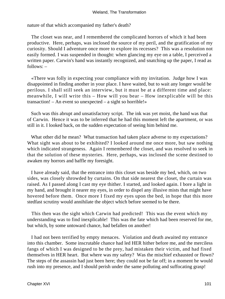nature of that which accompanied my father's death?

 The closet was near, and I remembered the complicated horrors of which it had been productive. Here, perhaps, was inclosed the source of my peril, and the gratification of my curiosity. Should I adventure once more to explore its recesses? This was a resolution not easily formed. I was suspended in thought: when glancing my eye on a table, I perceived a written paper. Carwin's hand was instantly recognized, and snatching up the paper, I read as follows: –

 «There was folly in expecting your compliance with my invitation. Judge how I was disappointed in finding another in your place. I have waited, but to wait any longer would be perilous. I shall still seek an interview, but it must be at a different time and place: meanwhile, I will write this – How will you bear – How inexplicable will be this transaction! – An event so unexpected – a sight so horrible!»

 Such was this abrupt and unsatisfactory script. The ink was yet moist, the hand was that of Carwin. Hence it was to be inferred that he had this moment left the apartment, or was still in it. I looked back, on the sudden expectation of seeing him behind me.

 What other did he mean? What transaction had taken place adverse to my expectations? What sight was about to be exhibited? I looked around me once more, but saw nothing which indicated strangeness. Again I remembered the closet, and was resolved to seek in that the solution of these mysteries. Here, perhaps, was inclosed the scene destined to awaken my horrors and baffle my foresight.

 I have already said, that the entrance into this closet was beside my bed, which, on two sides, was closely shrowded by curtains. On that side nearest the closet, the curtain was raised. As I passed along I cast my eye thither. I started, and looked again. I bore a light in my hand, and brought it nearer my eyes, in order to dispel any illusive mists that might have hovered before them. Once more I fixed my eyes upon the bed, in hope that this more stedfast scrutiny would annihilate the object which before seemed to be there.

 This then was the sight which Carwin had predicted! This was the event which my understanding was to find inexplicable! This was the fate which had been reserved for me, but which, by some untoward chance, had befallen on another!

 I had not been terrified by empty menaces. Violation and death awaited my entrance into this chamber. Some inscrutable chance had led HER hither before me, and the merciless fangs of which I was designed to be the prey, had mistaken their victim, and had fixed themselves in HER heart. But where was my safety? Was the mischief exhausted or flown? The steps of the assassin had just been here; they could not be far off; in a moment he would rush into my presence, and I should perish under the same polluting and suffocating grasp!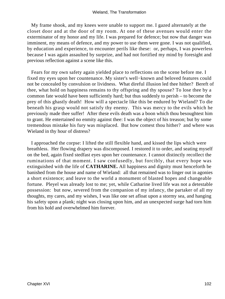My frame shook, and my knees were unable to support me. I gazed alternately at the closet door and at the door of my room. At one of these avenues would enter the exterminator of my honor and my life. I was prepared for defence; but now that danger was imminent, my means of defence, and my power to use them were gone. I was not qualified, by education and experience, to encounter perils like these: or, perhaps, I was powerless because I was again assaulted by surprize, and had not fortified my mind by foresight and previous reflection against a scene like this.

 Fears for my own safety again yielded place to reflections on the scene before me. I fixed my eyes upon her countenance. My sister's well−known and beloved features could not be concealed by convulsion or lividness. What direful illusion led thee hither? Bereft of thee, what hold on happiness remains to thy offspring and thy spouse? To lose thee by a common fate would have been sufficiently hard; but thus suddenly to perish – to become the prey of this ghastly death! How will a spectacle like this be endured by Wieland? To die beneath his grasp would not satisfy thy enemy. This was mercy to the evils which he previously made thee suffer! After these evils death was a boon which thou besoughtest him to grant. He entertained no enmity against thee: I was the object of his treason; but by some tremendous mistake his fury was misplaced. But how comest thou hither? and where was Wieland in thy hour of distress?

 I approached the corpse: I lifted the still flexible hand, and kissed the lips which were breathless. Her flowing drapery was discomposed. I restored it to order, and seating myself on the bed, again fixed stedfast eyes upon her countenance. I cannot distinctly recollect the ruminations of that moment. I saw confusedly, but forcibly, that every hope was extinguished with the life of **CATHARINE.** All happiness and dignity must henceforth be banished from the house and name of Wieland: all that remained was to linger out in agonies a short existence; and leave to the world a monument of blasted hopes and changeable fortune. Pleyel was already lost to me; yet, while Catharine lived life was not a detestable possession: but now, severed from the companion of my infancy, the partaker of all my thoughts, my cares, and my wishes, I was like one set afloat upon a stormy sea, and hanging his safety upon a plank; night was closing upon him, and an unexpected surge had torn him from his hold and overwhelmed him forever.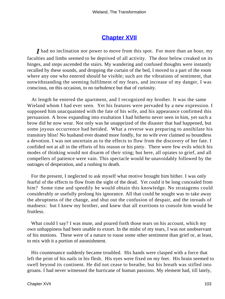## **[Chapter XVII](#page-172-0)**

*I* had no inclination nor power to move from this spot. For more than an hour, my faculties and limbs seemed to be deprived of all activity. The door below creaked on its hinges, and steps ascended the stairs. My wandering and confused thoughts were instantly recalled by these sounds, and dropping the curtain of the bed, I moved to a part of the room where any one who entered should be visible; such are the vibrations of sentiment, that notwithstanding the seeming fulfilment of my fears, and increase of my danger, I was conscious, on this occasion, to no turbulence but that of curiosity.

 At length he entered the apartment, and I recognized my brother. It was the same Wieland whom I had ever seen. Yet his features were pervaded by a new expression. I supposed him unacquainted with the fate of his wife, and his appearance confirmed this persuasion. A brow expanding into exultation I had hitherto never seen in him, yet such a brow did he now wear. Not only was he unapprized of the disaster that had happened, but some joyous occurrence had betided. What a reverse was preparing to annihilate his transitory bliss! No husband ever doated more fondly, for no wife ever claimed so boundless a devotion. I was not uncertain as to the effects to flow from the discovery of her fate. I confided not at all in the efforts of his reason or his piety. There were few evils which his modes of thinking would not disarm of their sting; but here, all opiates to grief, and all compellers of patience were vain. This spectacle would be unavoidably followed by the outrages of desperation, and a rushing to death.

 For the present, I neglected to ask myself what motive brought him hither. I was only fearful of the effects to flow from the sight of the dead. Yet could it be long concealed from him? Some time and speedily he would obtain this knowledge. No stratagems could considerably or usefully prolong his ignorance. All that could be sought was to take away the abruptness of the change, and shut out the confusion of despair, and the inroads of madness: but I knew my brother, and knew that all exertions to console him would be fruitless.

What could I say? I was mute, and poured forth those tears on his account, which my own unhappiness had been unable to extort. In the midst of my tears, I was not unobservant of his motions. These were of a nature to rouse some other sentiment than grief or, at least, to mix with it a portion of astonishment.

 His countenance suddenly became troubled. His hands were clasped with a force that left the print of his nails in his flesh. His eyes were fixed on my feet. His brain seemed to swell beyond its continent. He did not cease to breathe, but his breath was stifled into groans. I had never witnessed the hurricane of human passions. My element had, till lately,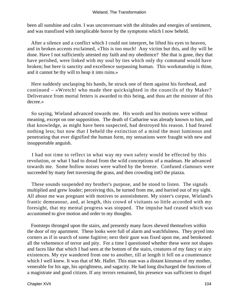#### Wieland, The Transformation

been all sunshine and calm. I was unconversant with the altitudes and energies of sentiment, and was transfixed with inexplicable horror by the symptoms which I now beheld.

 After a silence and a conflict which I could not interpret, he lifted his eyes to heaven, and in broken accents exclaimed, «This is too much! Any victim but this, and thy will be done. Have I not sufficiently attested my faith and my obedience? She that is gone, they that have perished, were linked with my soul by ties which only thy command would have broken; but here is sanctity and excellence surpassing human. This workmanship is thine, and it cannot be thy will to heap it into ruins.»

 Here suddenly unclasping his hands, he struck one of them against his forehead, and continued – «Wretch! who made thee quicksighted in the councils of thy Maker? Deliverance from mortal fetters is awarded to this being, and thou art the minister of this decree.»

 So saying, Wieland advanced towards me. His words and his motions were without meaning, except on one supposition. The death of Catharine was already known to him, and that knowledge, as might have been suspected, had destroyed his reason. I had feared nothing less; but now that I beheld the extinction of a mind the most luminous and penetrating that ever dignified the human form, my sensations were fraught with new and insupportable anguish.

 I had not time to reflect in what way my own safety would be effected by this revolution, or what I had to dread from the wild conceptions of a madman. He advanced towards me. Some hollow noises were wafted by the breeze. Confused clamours were succeeded by many feet traversing the grass, and then crowding intO the piazza.

 These sounds suspended my brother's purpose, and he stood to listen. The signals multiplied and grew louder; perceiving this, he turned from me, and hurried out of my sight. All about me was pregnant with motives to astonishment. My sister's corpse, Wieland's frantic demeanour, and, at length, this crowd of visitants so little accorded with my foresight, that my mental progress was stopped. The impulse had ceased which was accustomed to give motion and order to my thoughts.

 Footsteps thronged upon the stairs, and presently many faces shewed themselves within the door of my apartment. These looks were full of alarm and watchfulness. They pryed into corners as if in search of some fugitive; next their gaze was fixed upon me, and betokened all the vehemence of terror and pity. For a time I questioned whether these were not shapes and faces like that which I had seen at the bottom of the stairs, creatures of my fancy or airy existences. My eye wandered from one to another, till at length it fell on a countenance which I well knew. It was that of Mr. Hallet. This man was a distant kinsman of my mother, venerable for his age, his uprightness, and sagacity. He had long discharged the functions of a magistrate and good citizen. If any terrors remained, his presence was sufficient to dispel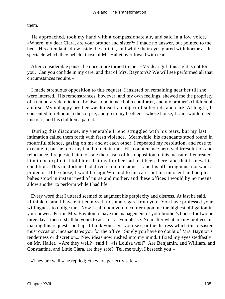them.

 He approached, took my hand with a compassionate air, and said in a low voice, «Where, my dear Clara, are your brother and sister?» I made no answer, but pointed to the bed. His attendants drew aside the curtain, and while their eyes glared with horror at the spectacle which they beheld, those of Mr. Hallet overflowed with tears.

 After considerable pause, he once more turned to me. «My dear girl, this sight is not for you. Can you confide in my care, and that of Mrs. Baynton's? We will see performed all that circumstances require.»

 I made strenuous opposition to this request. I insisted on remaining near her till she were interred. His remonstrances, however, and my own feelings, shewed me the propriety of a temporary dereliction. Louisa stood in need of a comforter, and my brother's children of a nurse. My unhappy brother was himself an object of solicitude and care. At length, I consented to relinquish the corpse, and go to my brother's, whose house, I said, would need mistress, and his children a parent.

 During this discourse, my venerable friend struggled with his tears, but my last intimation called them forth with fresh violence. Meanwhile, his attendants stood round in mournful silence, gazing on me and at each other. I repeated my resolution, and rose to execute it; but he took my hand to detain me. His countenance betrayed irresolution and reluctance. I requested him to state the reason of his opposition to this measure. I entreated him to be explicit. I told him that my brother had just been there, and that I knew his condition. This misfortune had driven him to madness, and his offspring must not want a protector. If he chose, I would resign Wieland to his care; but his innocent and helpless babes stood in instant need of nurse and mother, and these offices I would by no means allow another to perform while I had life.

 Every word that I uttered seemed to augment his perplexity and distress. At last he said, «I think, Clara, I have entitled myself to some regard from you. You have professed your willingness to oblige me. Now I call upon you to confer upon me the highest obligation in your power. Permit Mrs. Baynton to have the management of your brother's house for two or three days; then it shall be yours to act in it as you please. No matter what are my motives in making this request: perhaps I think your age, your sex, or the distress which this disaster must occasion, incapacitates you for the office. Surely you have no doubt of Mrs. Baynton's tenderness or discretion.» New ideas now rushed into my mind. I fixed my eyes stedfastly on Mr. Hallet. «Are they well?» said I. «Is Louisa well? Are Benjamin, and William, and Constantine, and Little Clara, are they safe? Tell me truly, I beseech you!»

«They are well,» he replied; «they are perfectly safe.»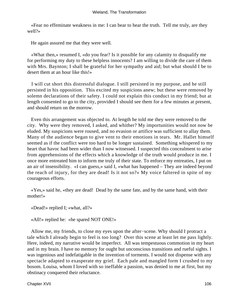«Fear no effeminate weakness in me: I can bear to hear the truth. Tell me truly, are they well?»

He again assured me that they were well.

 «What then,» resumed I, «do you fear? Is it possible for any calamity to disqualify me for performing my duty to these helpless innocents? I am willing to divide the care of them with Mrs. Baynton; I shall be grateful for her sympathy and aid; but what should I be to desert them at an hour like this!»

 I will cut short this distressful dialogue. I still persisted in my purpose, and he still persisted in his opposition. This excited my suspicions anew; but these were removed by solemn declarations of their safety. I could not explain this conduct in my friend; but at length consented to go to the city, provided I should see them for a few minutes at present, and should return on the morrow.

 Even this arrangement was objected to. At length he told me they were removed to the city. Why were they removed, I asked, and whither? My importunities would not now be eluded. My suspicions were roused, and no evasion or artifice was sufficient to allay them. Many of the audience began to give vent to their emotions in tears. Mr. Hallet himself seemed as if the conflict were too hard to be longer sustained. Something whispered to my heart that havoc had been wider than I now witnessed. I suspected this concealment to arise from apprehensions of the effects which a knowledge of the truth would produce in me. I once more entreated him to inform me truly of their state. To enforce my entreaties, I put on an air of insensibility. «I can guess,» said I, «what has happened – They are indeed beyond the reach of injury, for they are dead! Is it not so?» My voice faltered in spite of my courageous efforts.

 «Yes,» said he, «they are dead! Dead by the same fate, and by the same hand, with their mother!»

«Dead!» replied I; «what, all?»

«All!» replied he: «he spared NOT ONE!»

 Allow me, my friends, to close my eyes upon the after−scene. Why should I protract a tale which I already begin to feel is too long? Over this scene at least let me pass lightly. Here, indeed, my narrative would be imperfect. All was tempestuous commotion in my heart and in my brain. I have no memory for ought but unconscious transitions and rueful sights. I was ingenious and indefatigable in the invention of torments. I would not dispense with any spectacle adapted to exasperate my grief. Each pale and mangled form I crushed to my bosom. Louisa, whom I loved with so ineffable a passion, was denied to me at first, but my obstinacy conquered their reluctance.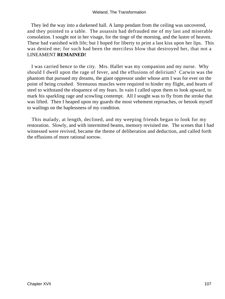They led the way into a darkened hall. A lamp pendant from the ceiling was uncovered, and they pointed to a table. The assassin had defrauded me of my last and miserable consolation. I sought not in her visage, for the tinge of the morning, and the lustre of heaven. These had vanished with life; but I hoped for liberty to print a last kiss upon her lips. This was denied me; for such had been the merciless blow that destroyed her, that not a LINEAMENT **REMAINED!**

 I was carried hence to the city. Mrs. Hallet was my companion and my nurse. Why should I dwell upon the rage of fever, and the effusions of delirium? Carwin was the phantom that pursued my dreams, the giant oppressor under whose arm I was for ever on the point of being crushed. Strenuous muscles were required to hinder my flight, and hearts of steel to withstand the eloquence of my fears. In vain I called upon them to look upward, to mark his sparkling rage and scowling contempt. All I sought was to fly from the stroke that was lifted. Then I heaped upon my guards the most vehement reproaches, or betook myself to wailings on the haplessness of my condition.

 This malady, at length, declined, and my weeping friends began to look for my restoration. Slowly, and with intermitted beams, memory revisited me. The scenes that I had witnessed were revived, became the theme of deliberation and deduction, and called forth the effusions of more rational sorrow.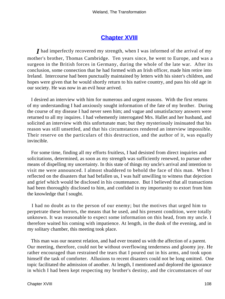#### **[Chapter XVIII](#page-172-0)**

*I* had imperfectly recovered my strength, when I was informed of the arrival of my mother's brother, Thomas Cambridge. Ten years since, he went to Europe, and was a surgeon in the British forces in Germany, during the whole of the late war. After its conclusion, some connection that he had formed with an Irish officer, made him retire into Ireland. Intercourse had been punctually maintained by letters with his sister's children, and hopes were given that he would shortly return to his native country, and pass his old age in our society. He was now in an evil hour arrived.

 I desired an interview with him for numerous and urgent reasons. With the first returns of my understanding I had anxiously sought information of the fate of my brother. During the course of my disease I had never seen him; and vague and unsatisfactory answers were returned to all my inquires. I had vehemently interrogated Mrs. Hallet and her husband, and solicited an interview with this unfortunate man; but they mysteriously insinuated that his reason was still unsettled, and that his circumstances rendered an interview impossible. Their reserve on the particulars of this destruction, and the author of it, was equally invincible.

 For some time, finding all my efforts fruitless, I had desisted from direct inquiries and solicitations, determined, as soon as my strength was sufficiently renewed, to pursue other means of dispelling my uncertainty. In this state of things my uncle's arrival and intention to visit me were announced. I almost shuddered to behold the face of this man. When I reflected on the disasters that had befallen us, I was half unwilling to witness that dejection and grief which would be disclosed in his countenance. But I believed that all transactions had been thoroughly disclosed to him, and confided in my importunity to extort from him the knowledge that I sought.

 I had no doubt as to the person of our enemy; but the motives that urged him to perpetrate these horrors, the means that he used, and his present condition, were totally unknown. It was reasonable to expect some information on this head, from my uncle. I therefore waited his coming with impatience. At length, in the dusk of the evening, and in my solitary chamber, this meeting took place.

 This man was our nearest relation, and had ever treated us with the affection of a parent. Our meeting, therefore, could not be without overflowing tenderness and gloomy joy. He rather encouraged than restrained the tears that I poured out in his arms, and took upon himself the task of comforter. Allusions to recent disasters could not be long omitted. One topic facilitated the admission of another. At length, I mentioned and deplored the ignorance in which I had been kept respecting my brother's destiny, and the circumstances of our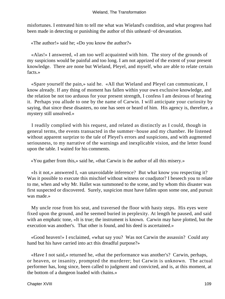misfortunes. I entreated him to tell me what was Wieland's condition, and what progress had been made in detecting or punishing the author of this unheard−of devastation.

«The author!» said he; «Do you know the author?»

 «Alas!» I answered, «I am too well acquainted with him. The story of the grounds of my suspicions would be painful and too long. I am not apprized of the extent of your present knowledge. There are none but Wieland, Pleyel, and myself, who are able to relate certain facts.»

 «Spare yourself the pain,» said he. «All that Wieland and Pleyel can communicate, I know already. If any thing of moment has fallen within your own exclusive knowledge, and the relation be not too arduous for your present strength, I confess I am desirous of hearing it. Perhaps you allude to one by the name of Carwin. I will anticipate your curiosity by saying, that since these disasters, no one has seen or heard of him. His agency is, therefore, a mystery still unsolved.»

 I readily complied with his request, and related as distinctly as I could, though in general terms, the events transacted in the summer−house and my chamber. He listened without apparent surprize to the tale of Pleyel's errors and suspicions, and with augmented seriousness, to my narrative of the warnings and inexplicable vision, and the letter found upon the table. I waited for his comments.

«You gather from this,» said he, «that Carwin is the author of all this misery.»

 «Is it not,» answered I, «an unavoidable inference? But what know you respecting it? Was it possible to execute this mischief without witness or coadjutor? I beseech you to relate to me, when and why Mr. Hallet was summoned to the scene, and by whom this disaster was first suspected or discovered. Surely, suspicion must have fallen upon some one, and pursuit was made.»

 My uncle rose from his seat, and traversed the floor with hasty steps. His eyes were fixed upon the ground, and he seemed buried in perplexity. At length he paused, and said with an emphatic tone, «It is true; the instrument is known. Carwin may have plotted, but the execution was another's. That other is found, and his deed is ascertained.»

 «Good heaven!» I exclaimed, «what say you? Was not Carwin the assassin? Could any hand but his have carried into act this dreadful purpose?»

 «Have I not said,» returned he, «that the performance was another's? Carwin, perhaps, or heaven, or insanity, prompted the murderer; but Carwin is unknown. The actual performer has, long since, been called to judgment and convicted, and is, at this moment, at the bottom of a dungeon loaded with chains.»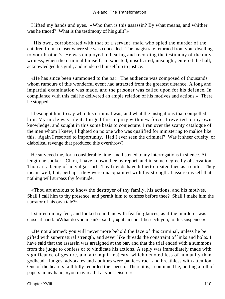I lifted my hands and eyes. «Who then is this assassin? By what means, and whither was he traced? What is the testimony of his guilt?»

 "His own, corroborated with that of a servant−maid who spied the murder of the children from a closet where she was concealed. The magistrate returned from your dwelling to your brother's. He was employed in hearing and recording the testimony of the only witness, when the criminal himself, unexpected, unsolicited, unsought, entered the hall, acknowledged his guilt, and rendered himself up to justice.

 «He has since been summoned to the bar. The audience was composed of thousands whom rumours of this wonderful event had attracted from the greatest distance. A long and impartial examination was made, and the prisoner was called upon for his defence. In compliance with this call he delivered an ample relation of his motives and actions.» There he stopped.

 I besought him to say who this criminal was, and what the instigations that compelled him. My uncle was silent. I urged this inquiry with new force. I reverted to my own knowledge, and sought in this some basis to conjecture. I ran over the scanty catalogue of the men whom I knew; I lighted on no one who was qualified for ministering to malice like this. Again I resorted to importunity. Had I ever seen the criminal? Was it sheer cruelty, or diabolical revenge that produced this overthrow?

 He surveyed me, for a considerable time, and listened to my interrogations in silence. At length he spoke: "Clara, I have known thee by report, and in some degree by observation. Thou art a being of no vulgar sort. Thy friends have hitherto treated thee as a child. They meant well, but, perhaps, they were unacquainted with thy strength. I assure myself that nothing will surpass thy fortitude.

 «Thou art anxious to know the destroyer of thy family, his actions, and his motives. Shall I call him to thy presence, and permit him to confess before thee? Shall I make him the narrator of his own tale?»

 I started on my feet, and looked round me with fearful glances, as if the murderer was close at hand. «What do you mean?» said I; «put an end, I beseech you, to this suspence.»

 «Be not alarmed; you will never more behold the face of this criminal, unless he be gifted with supernatural strength, and sever like threads the constraint of links and bolts. I have said that the assassin was arraigned at the bar, and that the trial ended with a summons from the judge to confess or to vindicate his actions. A reply was immediately made with significance of gesture, and a tranquil majesty, which denoted less of humanity than godhead. Judges, advocates and auditors were panic−struck and breathless with attention. One of the hearers faithfully recorded the speech. There it is,» continued he, putting a roll of papers in my hand, «you may read it at your leisure.»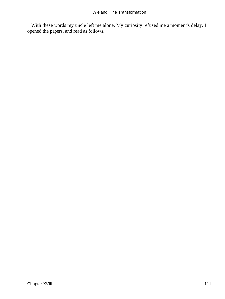With these words my uncle left me alone. My curiosity refused me a moment's delay. I opened the papers, and read as follows.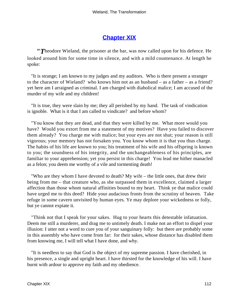## **[Chapter XIX](#page-172-0)**

*"T*heodore Wieland, the prisoner at the bar, was now called upon for his defence. He looked around him for some time in silence, and with a mild countenance. At length he spoke:

 "It is strange; I am known to my judges and my auditors. Who is there present a stranger to the character of Wieland? who knows him not as an husband – as a father – as a friend? yet here am I arraigned as criminal. I am charged with diabolical malice; I am accused of the murder of my wife and my children!

 "It is true, they were slain by me; they all perished by my hand. The task of vindication is ignoble. What is it that I am called to vindicate? and before whom?

 "You know that they are dead, and that they were killed by me. What more would you have? Would you extort from me a statement of my motives? Have you failed to discover them already? You charge me with malice; but your eyes are not shut; your reason is still vigorous; your memory has not forsaken you. You know whom it is that you thus charge. The habits of his life are known to you; his treatment of his wife and his offspring is known to you; the soundness of his integrity, and the unchangeableness of his principles, are familiar to your apprehension; yet you persist in this charge! You lead me hither manacled as a felon; you deem me worthy of a vile and tormenting death!

 "Who are they whom I have devoted to death? My wife – the little ones, that drew their being from me – that creature who, as she surpassed them in excellence, claimed a larger affection than those whom natural affinities bound to my heart. Think ye that malice could have urged me to this deed? Hide your audacious fronts from the scrutiny of heaven. Take refuge in some cavern unvisited by human eyes. Ye may deplore your wickedness or folly, but ye cannot expiate it.

 "Think not that I speak for your sakes. Hug to your hearts this detestable infatuation. Deem me still a murderer, and drag me to untimely death. I make not an effort to dispel your illusion: I utter not a word to cure you of your sanguinary folly: but there are probably some in this assembly who have come from far: for their sakes, whose distance has disabled them from knowing me, I will tell what I have done, and why.

 "It is needless to say that God is the object of my supreme passion. I have cherished, in his presence, a single and upright heart. I have thirsted for the knowledge of his will. I have burnt with ardour to approve my faith and my obedience.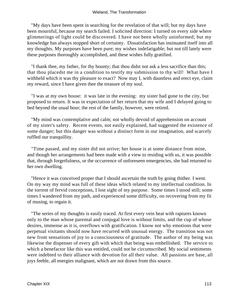"My days have been spent in searching for the revelation of that will; but my days have been mournful, because my search failed. I solicited direction: I turned on every side where glimmerings of light could be discovered. I have not been wholly uninformed; but my knowledge has always stopped short of certainty. Dissatisfaction has insinuated itself into all my thoughts. My purposes have been pure; my wishes indefatigable; but not till lately were these purposes thoroughly accomplished, and these wishes fully gratified.

 "I thank thee, my father, for thy bounty; that thou didst not ask a less sacrifice than this; that thou placedst me in a condition to testify my submission to thy will! What have I withheld which it was thy pleasure to exact? Now may I, with dauntless and erect eye, claim my reward, since I have given thee the treasure of my soul.

 "I was at my own house: it was late in the evening: my sister had gone to the city, but proposed to return. It was in expectation of her return that my wife and I delayed going to bed beyond the usual hour; the rest of the family, however, were retired.

 "My mind was contemplative and calm; not wholly devoid of apprehension on account of my sister's safety. Recent events, not easily explained, had suggested the existence of some danger; but this danger was without a distinct form in our imagination, and scarcely ruffled our tranquillity.

 "Time passed, and my sister did not arrive; her house is at some distance from mine, and though her arrangements had been made with a view to residing with us, it was possible that, through forgetfulness, or the occurrence of unforeseen emergencies, she had returned to her own dwelling.

 "Hence it was conceived proper that I should ascertain the truth by going thither. I went. On my way my mind was full of these ideas which related to my intellectual condition. In the torrent of fervid conceptions, I lost sight of my purpose. Some times I stood still; some times I wandered from my path, and experienced some difficulty, on recovering from my fit of musing, to regain it.

 "The series of my thoughts is easily traced. At first every vein beat with raptures known only to the man whose parental and conjugal love is without limits, and the cup of whose desires, immense as it is, overflows with gratification. I know not why emotions that were perpetual visitants should now have recurred with unusual energy. The transition was not new from sensations of joy to a consciousness of gratitude. The author of my being was likewise the dispenser of every gift with which that being was embellished. The service to which a benefactor like this was entitled, could not be circumscribed. My social sentiments were indebted to their alliance with devotion for all their value. All passions are base, all joys feeble, all energies malignant, which are not drawn from this source.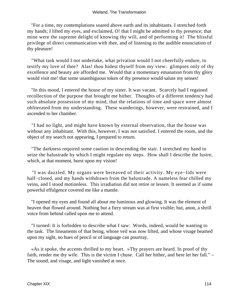"For a time, my contemplations soared above earth and its inhabitants. I stretched forth my hands; I lifted my eyes, and exclaimed, O! that I might be admitted to thy presence; that mine were the supreme delight of knowing thy will, and of performing it! The blissful privilege of direct communication with thee, and of listening to the audible enunciation of thy pleasure!

 "What task would I not undertake, what privation would I not cheerfully endure, to testify my love of thee? Alas! thou hidest thyself from my view: glimpses only of thy excellence and beauty are afforded me. Would that a momentary emanation from thy glory would visit me! that some unambiguous token of thy presence would salute my senses!

 "In this mood, I entered the house of my sister. It was vacant. Scarcely had I regained recollection of the purpose that brought me hither. Thoughts of a different tendency had such absolute possession of my mind, that the relations of time and space were almost obliterated from my understanding. These wanderings, however, were restrained, and I ascended to her chamber.

 "I had no light, and might have known by external observation, that the house was without any inhabitant. With this, however, I was not satisfied. I entered the room, and the object of my search not appearing, I prepared to return.

 "The darkness required some caution in descending the stair. I stretched my hand to seize the balustrade by which I might regulate my steps. How shall I describe the lustre, which, at that moment, burst upon my vision!

 "I was dazzled. My organs were bereaved of their activity. My eye−lids were half−closed, and my hands withdrawn from the balustrade. A nameless fear chilled my veins, and I stood motionless. This irradiation did not retire or lessen. It seemed as if some powerful effulgence covered me like a mantle.

 "I opened my eyes and found all about me luminous and glowing. It was the element of heaven that flowed around. Nothing but a fiery stream was at first visible; but, anon, a shrill voice from behind called upon me to attend.

 "I turned: It is forbidden to describe what I saw: Words, indeed, would be wanting to the task. The lineaments of that being, whose veil was now lifted, and whose visage beamed upon my sight, no hues of pencil or of language can pourtray.

 «As it spoke, the accents thrilled to my heart. »Thy prayers are heard. In proof of thy faith, render me thy wife. This is the victim I chuse. Call her hither, and here let her fall." – The sound, and visage, and light vanished at once.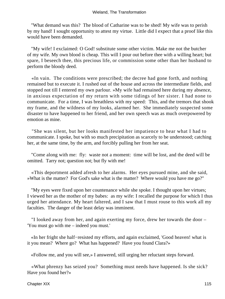"What demand was this? The blood of Catharine was to be shed! My wife was to perish by my hand! I sought opportunity to attest my virtue. Little did I expect that a proof like this would have been demanded.

 "My wife! I exclaimed: O God! substitute some other victim. Make me not the butcher of my wife. My own blood is cheap. This will I pour out before thee with a willing heart; but spare, I beseech thee, this precious life, or commission some other than her husband to perform the bloody deed.

 «In vain. The conditions were prescribed; the decree had gone forth, and nothing remained but to execute it. I rushed out of the house and across the intermediate fields, and stopped not till I entered my own parlour. »My wife had remained here during my absence, in anxious expectation of my return with some tidings of her sister. I had none to communicate. For a time, I was breathless with my speed: This, and the tremors that shook my frame, and the wildness of my looks, alarmed her. She immediately suspected some disaster to have happened to her friend, and her own speech was as much overpowered by emotion as mine.

 "She was silent, but her looks manifested her impatience to hear what I had to communicate. I spoke, but with so much precipitation as scarcely to be understood; catching her, at the same time, by the arm, and forcibly pulling her from her seat.

 "Come along with me: fly: waste not a moment: time will be lost, and the deed will be omitted. Tarry not; question not; but fly with me!

 «This deportment added afresh to her alarms. Her eyes pursued mine, and she said, »What is the matter? For God's sake what is the matter? Where would you have me go?"

 "My eyes were fixed upon her countenance while she spoke. I thought upon her virtues; I viewed her as the mother of my babes: as my wife: I recalled the purpose for which I thus urged her attendance. My heart faltered, and I saw that I must rouse to this work all my faculties. The danger of the least delay was imminent.

 "I looked away from her, and again exerting my force, drew her towards the door – 'You must go with me – indeed you must.'

 «In her fright she half−resisted my efforts, and again exclaimed, 'Good heaven! what is it you mean? Where go? What has happened? Have you found Clara?»

«Follow me, and you will see,» I answered, still urging her reluctant steps forward.

 «What phrenzy has seized you? Something must needs have happened. Is she sick? Have you found her?»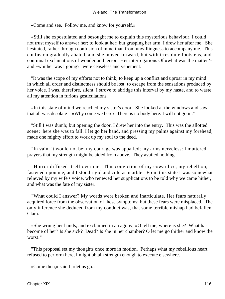«Come and see. Follow me, and know for yourself.»

 «Still she expostulated and besought me to explain this mysterious behaviour. I could not trust myself to answer her; to look at her; but grasping her arm, I drew her after me. She hesitated, rather through confusion of mind than from unwillingness to accompany me. This confusion gradually abated, and she moved forward, but with irresolute footsteps, and continual exclamations of wonder and terror. Her interrogations Of »what was the matter?« and »whither was I going?" were ceaseless and vehement.

 "It was the scope of my efforts not to think; to keep up a conflict and uproar in my mind in which all order and distinctness should be lost; to escape from the sensations produced by her voice. I was, therefore, silent. I strove to abridge this interval by my haste, and to waste all my attention in furious gesticulations.

 «In this state of mind we reached my sister's door. She looked at the windows and saw that all was desolate – »Why come we here? There is no body here. I will not go in."

 "Still I was dumb; but opening the door, I drew her into the entry. This was the allotted scene: here she was to fall. I let go her hand, and pressing my palms against my forehead, made one mighty effort to work up my soul to the deed.

 "In vain; it would not be; my courage was appalled; my arms nerveless: I muttered prayers that my strength might be aided from above. They availed nothing.

 "Horror diffused itself over me. This conviction of my cowardice, my rebellion, fastened upon me, and I stood rigid and cold as marble. From this state I was somewhat relieved by my wife's voice, who renewed her supplications to be told why we came hither, and what was the fate of my sister.

 "What could I answer? My words were broken and inarticulate. Her fears naturally acquired force from the observation of these symptoms; but these fears were misplaced. The only inference she deduced from my conduct was, that some terrible mishap had befallen Clara.

 «She wrung her hands, and exclaimed in an agony, »O tell me, where is she? What has become of her? Is she sick? Dead? Is she in her chamber? O let me go thither and know the worst!"

 "This proposal set my thoughts once more in motion. Perhaps what my rebellious heart refused to perform here, I might obtain strength enough to execute elsewhere.

«Come then,» said I, «let us go.»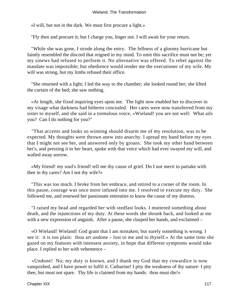«I will, but not in the dark. We must first procure a light.»

"Fly then and procure it; but I charge you, linger not. I will await for your return.

 "While she was gone, I strode along the entry. The fellness of a gloomy hurricane but faintly resembled the discord that reigned in my mind. To omit this sacrifice must not be; yet my sinews had refused to perform it. No alternative was offered. To rebel against the mandate was impossible; but obedience would render me the executioner of my wife. My will was strong, but my limbs refused their office.

 "She returned with a light; I led the way to the chamber; she looked round her; she lifted the curtain of the bed; she saw nothing.

 «At length, she fixed inquiring eyes upon me. The light now enabled her to discover in my visage what darkness had hitherto concealed. Her cares were now transferred from my sister to myself, and she said in a tremulous voice, »Wieland! you are not well: What ails you? Can I do nothing for you?"

 "That accents and looks so winning should disarm me of my resolution, was to be expected. My thoughts were thrown anew into anarchy. I spread my hand before my eyes that I might not see her, and answered only by groans. She took my other hand between her's, and pressing it to her heart, spoke with that voice which had ever swayed my will, and wafted away sorrow.

 «My friend! my soul's friend! tell me thy cause of grief. Do I not merit to partake with thee in thy cares? Am I not thy wife?»

 "This was too much. I broke from her embrace, and retired to a corner of the room. In this pause, courage was once more infused into me. I resolved to execute my duty. She followed me, and renewed her passionate entreaties to know the cause of my distress.

 "I raised my head and regarded her with stedfast looks. I muttered something about death, and the injunctions of my duty. At these words she shrunk back, and looked at me with a new expression of anguish. After a pause, she clasped her hands, and exclaimed –

 «O Wieland! Wieland! God grant that I am mistaken; but surely something is wrong. I see it: it is too plain: thou art undone – lost to me and to thyself.» At the same time she gazed on my features with intensest anxiety, in hope that different symptoms would take place. I replied to her with vehemence –

 «Undone! No; my duty is known, and I thank my God that my cowardice is now vanquished, and I have power to fulfil it. Catharine! I pity the weakness of thy nature: I pity thee, but must not spare. Thy life is claimed from my hands: thou must die!»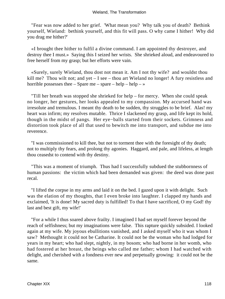#### Wieland, The Transformation

 "Fear was now added to her grief. 'What mean you? Why talk you of death? Bethink yourself, Wieland: bethink yourself, and this fit will pass. O why came I hither! Why did you drag me hither?'

 «I brought thee hither to fulfil a divine command. I am appointed thy destroyer, and destroy thee I must.» Saying this I seized her wrists. She shrieked aloud, and endeavoured to free herself from my grasp; but her efforts were vain.

 «Surely, surely Wieland, thou dost not mean it. Am I not thy wife? and wouldst thou kill me? Thou wilt not; and yet – I see – thou art Wieland no longer! A fury resistless and horrible possesses thee  $-$  Spare me  $-$  spare  $-$  help  $\gg$ 

 "Till her breath was stopped she shrieked for help – for mercy. When she could speak no longer, her gestures, her looks appealed to my compassion. My accursed hand was irresolute and tremulous. I meant thy death to be sudden, thy struggles to be brief. Alas! my heart was infirm; my resolves mutable. Thrice I slackened my grasp, and life kept its hold, though in the midst of pangs. Her eye−balls started from their sockets. Grimness and distortion took place of all that used to bewitch me into transport, and subdue me into reverence.

 "I was commissioned to kill thee, but not to torment thee with the foresight of thy death; not to multiply thy fears, and prolong thy agonies. Haggard, and pale, and lifeless, at length thou ceasedst to contend with thy destiny.

 "This was a moment of triumph. Thus had I successfully subdued the stubbornness of human passions: the victim which had been demanded was given: the deed was done past recal.

 "I lifted the corpse in my arms and laid it on the bed. I gazed upon it with delight. Such was the elation of my thoughts, that I even broke into laughter. I clapped my hands and exclaimed, 'It is done! My sacred duty is fulfilled! To that I have sacrificed, O my God! thy last and best gift, my wife!'

 "For a while I thus soared above frailty. I imagined I had set myself forever beyond the reach of selfishness; but my imaginations were false. This rapture quickly subsided. I looked again at my wife. My joyous ebullitions vanished, and I asked myself who it was whom I saw? Methought it could not be Catharine. It could not be the woman who had lodged for years in my heart; who had slept, nightly, in my bosom; who had borne in her womb, who had fostered at her breast, the beings who called me father; whom I had watched with delight, and cherished with a fondness ever new and perpetually growing: it could not be the same.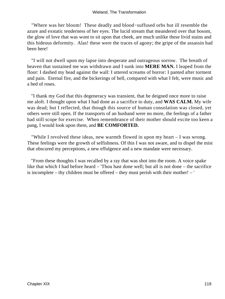"Where was her bloom! These deadly and blood−suffused orbs but ill resemble the azure and exstatic tenderness of her eyes. The lucid stream that meandered over that bosom, the glow of love that was wont to sit upon that cheek, are much unlike these livid stains and this hideous deformity. Alas! these were the traces of agony; the gripe of the assassin had been here!

 "I will not dwell upon my lapse into desperate and outrageous sorrow. The breath of heaven that sustained me was withdrawn and I sunk into **MERE MAN.** I leaped from the floor: I dashed my head against the wall: I uttered screams of horror: I panted after torment and pain. Eternal fire, and the bickerings of hell, compared with what I felt, were music and a bed of roses.

 "I thank my God that this degeneracy was transient, that he deigned once more to raise me aloft. I thought upon what I had done as a sacrifice to duty, and **WAS CALM.** My wife was dead; but I reflected, that though this source of human consolation was closed, yet others were still open. If the transports of an husband were no more, the feelings of a father had still scope for exercise. When remembrance of their mother should excite too keen a pang, I would look upon them, and **BE COMFORTED.**

 "While I revolved these ideas, new warmth flowed in upon my heart – I was wrong. These feelings were the growth of selfishness. Of this I was not aware, and to dispel the mist that obscured my perceptions, a new effulgence and a new mandate were necessary.

 "From these thoughts I was recalled by a ray that was shot into the room. A voice spake like that which I had before heard – 'Thou hast done well; but all is not done – the sacrifice is incomplete – thy children must be offered – they must perish with their mother! – '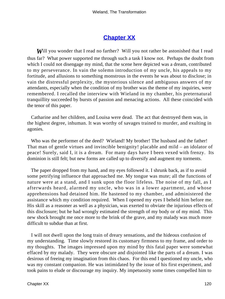# **[Chapter XX](#page-172-0)**

**Will you wonder that I read no farther?** Will you not rather be astonished that I read thus far? What power supported me through such a task I know not. Perhaps the doubt from which I could not disengage my mind, that the scene here depicted was a dream, contributed to my perseverance. In vain the solemn introduction of my uncle, his appeals to my fortitude, and allusions to something monstrous in the events he was about to disclose; in vain the distressful perplexity, the mysterious silence and ambiguous answers of my attendants, especially when the condition of my brother was the theme of my inquiries, were remembered. I recalled the interview with Wieland in my chamber, his preternatural tranquillity succeeded by bursts of passion and menacing actions. All these coincided with the tenor of this paper.

 Catharine and her children, and Louisa were dead. The act that destroyed them was, in the highest degree, inhuman. It was worthy of savages trained to murder, and exulting in agonies.

Who was the performer of the deed? Wieland! My brother! The husband and the father! That man of gentle virtues and invincible benignity! placable and mild – an idolator of peace! Surely, said I, it is a dream. For many days have I been vexed with frenzy. Its dominion is still felt; but new forms are called up to diversify and augment my torments.

 The paper dropped from my hand, and my eyes followed it. I shrunk back, as if to avoid some petrifying influence that approached me. My tongue was mute; all the functions of nature were at a stand, and I sunk upon the floor lifeless. The noise of my fall, as I afterwards heard, alarmed my uncle, who was in a lower apartment, and whose apprehensions had detained him. He hastened to my chamber, and administered the assistance which my condition required. When I opened my eyes I beheld him before me. His skill as a reasoner as well as a physician, was exerted to obviate the injurious effects of this disclosure; but he had wrongly estimated the strength of my body or of my mind. This new shock brought me once more to the brink of the grave, and my malady was much more difficult to subdue than at first.

 I will not dwell upon the long train of dreary sensations, and the hideous confusion of my understanding. Time slowly restored its customary firmness to my frame, and order to my thoughts. The images impressed upon my mind by this fatal paper were somewhat effaced by my malady. They were obscure and disjointed like the parts of a dream. I was desirous of freeing my imagination from this chaos. For this end I questioned my uncle, who was my constant companion. He was intimidated by the issue of his first experiment, and took pains to elude or discourage my inquiry. My impetuosity some times compelled him to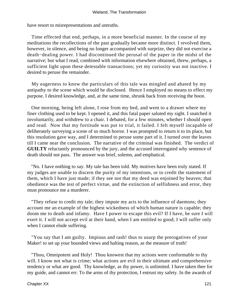have resort to misrepresentations and untruths.

 Time effected that end, perhaps, in a more beneficial manner. In the course of my meditations the recollections of the past gradually became more distinct. I revolved them, however, in silence, and being no longer accompanied with surprize, they did not exercise a death−dealing power. I had discontinued the perusal of the paper in the midst of the narrative; but what I read, combined with information elsewhere obtained, threw, perhaps, a sufficient light upon these detestable transactions; yet my curiosity was not inactive. I desired to peruse the remainder.

 My eagerness to know the particulars of this tale was mingled and abated by my antipathy to the scene which would be disclosed. Hence I employed no means to effect my purpose. I desired knowledge, and, at the same time, shrunk back from receiving the boon.

 One morning, being left alone, I rose from my bed, and went to a drawer where my finer clothing used to be kept. I opened it, and this fatal paper saluted my sight. I snatched it involuntarily, and withdrew to a chair. I debated, for a few minutes, whether I should open and read. Now that my fortitude was put to trial, it failed. I felt myself incapable of deliberately surveying a scene of so much horror. I was prompted to return it to its place, but this resolution gave way, and I determined to peruse some part of it. I turned over the leaves till I came near the conclusion. The narrative of the criminal was finished. The verdict of **GUILTY** reluctantly pronounced by the jury, and the accused interrogated why sentence of death should not pass. The answer was brief, solemn, and emphatical.

 "No. I have nothing to say. My tale has been told. My motives have been truly stated. If my judges are unable to discern the purity of my intentions, or to credit the statement of them, which I have just made; if they see not that my deed was enjoined by heaven; that obedience was the test of perfect virtue, and the extinction of selfishness and error, they must pronounce me a murderer.

 "They refuse to credit my tale; they impute my acts to the influence of daemons; they account me an example of the highest wickedness of which human nature is capable; they doom me to death and infamy. Have I power to escape this evil? If I have, be sure I will exert it. I will not accept evil at their hand, when I am entitled to good; I will suffer only when I cannot elude suffering.

 "You say that I am guilty. Impious and rash! thus to usurp the prerogatives of your Maker! to set up your bounded views and halting reason, as the measure of truth!

 "Thou, Omnipotent and Holy! Thou knowest that my actions were conformable to thy will. I know not what is crime; what actions are evil in their ultimate and comprehensive tendency or what are good. Thy knowledge, as thy power, is unlimited. I have taken thee for my guide, and cannot err. To the arms of thy protection, I entrust my safety. In the awards of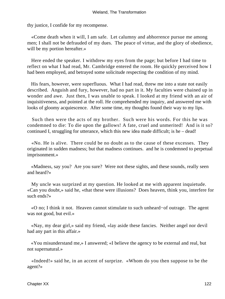thy justice, I confide for my recompense.

 «Come death when it will, I am safe. Let calumny and abhorrence pursue me among men; I shall not be defrauded of my dues. The peace of virtue, and the glory of obedience, will be my portion hereafter.»

 Here ended the speaker. I withdrew my eyes from the page; but before I had time to reflect on what I had read, Mr. Cambridge entered the room. He quickly perceived how I had been employed, and betrayed some solicitude respecting the condition of my mind.

 His fears, however, were superfluous. What I had read, threw me into a state not easily described. Anguish and fury, however, had no part in it. My faculties were chained up in wonder and awe. Just then, I was unable to speak. I looked at my friend with an air of inquisitiveness, and pointed at the roll. He comprehended my inquiry, and answered me with looks of gloomy acquiescence. After some time, my thoughts found their way to my lips.

 Such then were the acts of my brother. Such were his words. For this he was condemned to die: To die upon the gallows! A fate, cruel and unmerited! And is it so? continued I, struggling for utterance, which this new idea made difficult; is he – dead!

 «No. He is alive. There could be no doubt as to the cause of these excesses. They originated in sudden madness; but that madness continues. and he is condemned to perpetual imprisonment.»

 «Madness, say you? Are you sure? Were not these sights, and these sounds, really seen and heard?»

 My uncle was surprized at my question. He looked at me with apparent inquietude. «Can you doubt,» said he, «that these were illusions? Does heaven, think you, interfere for such ends?»

 «O no; I think it not. Heaven cannot stimulate to such unheard−of outrage. The agent was not good, but evil.»

 «Nay, my dear girl,» said my friend, «lay aside these fancies. Neither angel nor devil had any part in this affair.»

 «You misunderstand me,» I answered; «I believe the agency to be external and real, but not supernatural.»

 «Indeed!» said he, in an accent of surprize. «Whom do you then suppose to be the agent?»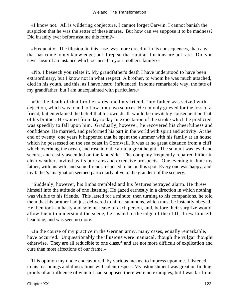«I know not. All is wildering conjecture. I cannot forget Carwin. I cannot banish the suspicion that he was the setter of these snares. But how can we suppose it to be madness? Did insanity ever before assume this form?»

 «Frequently. The illusion, in this case, was more dreadful in its consequences, than any that has come to my knowledge; but, I repeat that similar illusions are not rare. Did you never hear of an instance which occurred in your mother's family?»

 «No. I beseech you relate it. My grandfather's death I have understood to have been extraordinary, but I know not in what respect. A brother, to whom he was much attached, died in his youth, and this, as I have heard, influenced, in some remarkable way, the fate of my grandfather; but I am unacquainted with particulars.»

 «On the death of that brother,» resumed my friend, "my father was seized with dejection, which was found to flow from two sources. He not only grieved for the loss of a friend, but entertained the belief that his own death would be inevitably consequent on that of his brother. He waited from day to day in expectation of the stroke which he predicted was speedily to fall upon him. Gradually, however, he recovered his cheerfulness and confidence. He married, and performed his part in the world with spirit and activity. At the end of twenty−one years it happened that he spent the summer with his family at an house which he possessed on the sea coast in Cornwall. It was at no great distance from a cliff which overhung the ocean, and rose into the air to a great height. The summit was level and secure, and easily ascended on the land side. The company frequently repaired hither in clear weather, invited by its pure airs and extensive prospects. One evening in June my father, with his wife and some friends, chanced to be on this spot. Every one was happy, and my father's imagination seemed particularly alive to the grandeur of the scenery.

 "Suddenly, however, his limbs trembled and his features betrayed alarm. He threw himself into the attitude of one listening. He gazed earnestly in a direction in which nothing was visible to his friends. This lasted for a minute; then turning to his companions, he told them that his brother had just delivered to him a summons, which must be instantly obeyed. He then took an hasty and solemn leave of each person, and, before their surprize would allow them to understand the scene, he rushed to the edge of the cliff, threw himself headlong, and was seen no more.

 «In the course of my practice in the German army, many cases, equally remarkable, have occurred. Unquestionably the illusions were maniacal, though the vulgar thought otherwise. They are all reducible to one class,\* and are not more difficult of explication and cure than most affections of our frame.»

 This opinion my uncle endeavoured, by various means, to impress upon me. I listened to his reasonings and illustrations with silent respect. My astonishment was great on finding proofs of an influence of which I had supposed there were no examples; but I was far from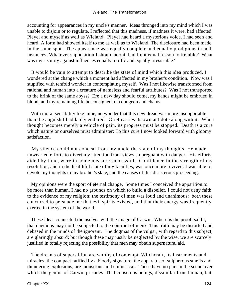accounting for appearances in my uncle's manner. Ideas thronged into my mind which I was unable to disjoin or to regulate. I reflected that this madness, if madness it were, had affected Pleyel and myself as well as Wieland. Pleyel had heard a mysterious voice. I had seen and heard. A form had showed itself to me as well as to Wieland. The disclosure had been made in the same spot. The appearance was equally complete and equally prodigious in both instances. Whatever supposition I should adopt, had I not equal reason to tremble? What was my security against influences equally terrific and equally irresistable?

 It would be vain to attempt to describe the state of mind which this idea produced. I wondered at the change which a moment had affected in my brother's condition. Now was I stupified with tenfold wonder in contemplating myself. Was I not likewise transformed from rational and human into a creature of nameless and fearful attributes? Was I not transported to the brink of the same abyss? Ere a new day should come, my hands might be embrued in blood, and my remaining life be consigned to a dungeon and chains.

 With moral sensibility like mine, no wonder that this new dread was more insupportable than the anguish I had lately endured. Grief carries its own antidote along with it. When thought becomes merely a vehicle of pain, its progress must be stopped. Death is a cure which nature or ourselves must administer: To this cure I now looked forward with gloomy satisfaction.

 My silence could not conceal from my uncle the state of my thoughts. He made unwearied efforts to divert my attention from views so pregnant with danger. His efforts, aided by time, were in some measure successful. Confidence in the strength of my resolution, and in the healthful state of my faculties, was once more revived. I was able to devote my thoughts to my brother's state, and the causes of this disasterous proceeding.

 My opinions were the sport of eternal change. Some times I conceived the apparition to be more than human. I had no grounds on which to build a disbelief. I could not deny faith to the evidence of my religion; the testimony of men was loud and unanimous: both these concurred to persuade me that evil spirits existed, and that their energy was frequently exerted in the system of the world.

 These ideas connected themselves with the image of Carwin. Where is the proof, said I, that daemons may not be subjected to the controul of men? This truth may be distorted and debased in the minds of the ignorant. The dogmas of the vulgar, with regard to this subject, are glaringly absurd; but though these may justly be neglected by the wise, we are scarcely justified in totally rejecting the possibility that men may obtain supernatural aid.

 The dreams of superstition are worthy of contempt. Witchcraft, its instruments and miracles, the compact ratified by a bloody signature, the apparatus of sulpherous smells and thundering explosions, are monstrous and chimerical. These have no part in the scene over which the genius of Carwin presides. That conscious beings, dissimilar from human, but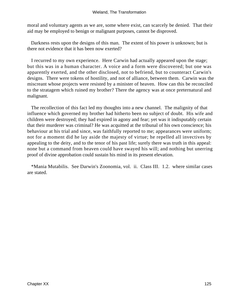moral and voluntary agents as we are, some where exist, can scarcely be denied. That their aid may be employed to benign or malignant purposes, cannot be disproved.

 Darkness rests upon the designs of this man. The extent of his power is unknown; but is there not evidence that it has been now exerted?

 I recurred to my own experience. Here Carwin had actually appeared upon the stage; but this was in a human character. A voice and a form were discovered; but one was apparently exerted, and the other disclosed, not to befriend, but to counteract Carwin's designs. There were tokens of hostility, and not of alliance, between them. Carwin was the miscreant whose projects were resisted by a minister of heaven. How can this be reconciled to the stratagem which ruined my brother? There the agency was at once preternatural and malignant.

 The recollection of this fact led my thoughts into a new channel. The malignity of that influence which governed my brother had hitherto been no subject of doubt. His wife and children were destroyed; they had expired in agony and fear; yet was it indisputably certain that their murderer was criminal? He was acquitted at the tribunal of his own conscience; his behaviour at his trial and since, was faithfully reported to me; appearances were uniform; not for a moment did he lay aside the majesty of virtue; he repelled all invectives by appealing to the deity, and to the tenor of his past life; surely there was truth in this appeal: none but a command from heaven could have swayed his will; and nothing but unerring proof of divine approbation could sustain his mind in its present elevation.

 \*Mania Mutabilis. See Darwin's Zoonomia, vol. ii. Class III. 1.2. where similar cases are stated.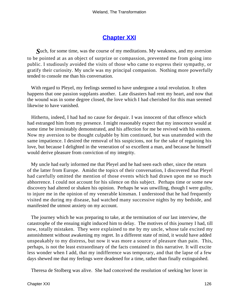## **[Chapter XXI](#page-173-0)**

*S*uch, for some time, was the course of my meditations. My weakness, and my aversion to be pointed at as an object of surprize or compassion, prevented me from going into public. I studiously avoided the visits of those who came to express their sympathy, or gratify their curiosity. My uncle was my principal companion. Nothing more powerfully tended to console me than his conversation.

 With regard to Pleyel, my feelings seemed to have undergone a total revolution. It often happens that one passion supplants another. Late disasters had rent my heart, and now that the wound was in some degree closed, the love which I had cherished for this man seemed likewise to have vanished.

 Hitherto, indeed, I had had no cause for despair. I was innocent of that offence which had estranged him from my presence. I might reasonably expect that my innocence would at some time be irresistably demonstrated, and his affection for me be revived with his esteem. Now my aversion to be thought culpable by him continued, but was unattended with the same impatience. I desired the removal of his suspicions, not for the sake of regaining his love, but because I delighted in the veneration of so excellent a man, and because he himself would derive pleasure from conviction of my integrity.

 My uncle had early informed me that Pleyel and he had seen each other, since the return of the latter from Europe. Amidst the topics of their conversation, I discovered that Pleyel had carefully omitted the mention of those events which had drawn upon me so much abhorrence. I could not account for his silence on this subject. Perhaps time or some new discovery had altered or shaken his opinion. Perhaps he was unwilling, though I were guilty, to injure me in the opinion of my venerable kinsman. I understood that he had frequently visited me during my disease, had watched many successive nights by my bedside, and manifested the utmost anxiety on my account.

 The journey which he was preparing to take, at the termination of our last interview, the catastrophe of the ensuing night induced him to delay. The motives of this journey I had, till now, totally mistaken. They were explained to me by my uncle, whose tale excited my astonishment without awakening my regret. In a different state of mind, it would have added unspeakably to my distress, but now it was more a source of pleasure than pain. This, perhaps, is not the least extraordinary of the facts contained in this narrative. It will excite less wonder when I add, that my indifference was temporary, and that the lapse of a few days shewed me that my feelings were deadened for a time, rather than finally extinguished.

Theresa de Stolberg was alive. She had conceived the resolution of seeking her lover in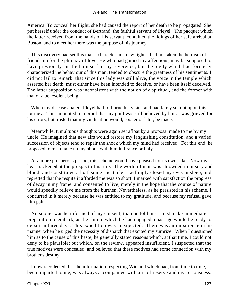America. To conceal her flight, she had caused the report of her death to be propagated. She put herself under the conduct of Bertrand, the faithful servant of Pleyel. The pacquet which the latter received from the hands of his servant, contained the tidings of her safe arrival at Boston, and to meet her there was the purpose of his journey.

 This discovery had set this man's character in a new light. I had mistaken the heroism of friendship for the phrenzy of love. He who had gained my affections, may be supposed to have previously entitled himself to my reverence; but the levity which had formerly characterized the behaviour of this man, tended to obscure the greatness of his sentiments. I did not fail to remark, that since this lady was still alive, the voice in the temple which asserted her death, must either have been intended to deceive, or have been itself deceived. The latter supposition was inconsistent with the notion of a spiritual, and the former with that of a benevolent being.

 When my disease abated, Pleyel had forborne his visits, and had lately set out upon this journey. This amounted to a proof that my guilt was still believed by him. I was grieved for his errors, but trusted that my vindication would, sooner or later, be made.

 Meanwhile, tumultuous thoughts were again set afloat by a proposal made to me by my uncle. He imagined that new airs would restore my languishing constitution, and a varied succession of objects tend to repair the shock which my mind had received. For this end, he proposed to me to take up my abode with him in France or Italy.

 At a more prosperous period, this scheme would have pleased for its own sake. Now my heart sickened at the prospect of nature. The world of man was shrowded in misery and blood, and constituted a loathsome spectacle. I willingly closed my eyes in sleep, and regretted that the respite it afforded me was so short. I marked with satisfaction the progress of decay in my frame, and consented to live, merely in the hope that the course of nature would speedily relieve me from the burthen. Nevertheless, as he persisted in his scheme, I concurred in it merely because he was entitled to my gratitude, and because my refusal gave him pain.

 No sooner was he informed of my consent, than he told me I must make immediate preparation to embark, as the ship in which he had engaged a passage would be ready to depart in three days. This expedition was unexpected. There was an impatience in his manner when he urged the necessity of dispatch that excited my surprize. When I questioned him as to the cause of this haste, he generally stated reasons which, at that time, I could not deny to be plausible; but which, on the review, appeared insufficient. I suspected that the true motives were concealed, and believed that these motives had some connection with my brother's destiny.

 I now recollected that the information respecting Wieland which had, from time to time, been imparted to me, was always accompanied with airs of reserve and mysteriousness.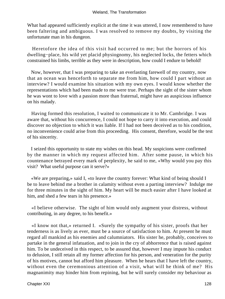What had appeared sufficiently explicit at the time it was uttered, I now remembered to have been faltering and ambiguous. I was resolved to remove my doubts, by visiting the unfortunate man in his dungeon.

 Heretofore the idea of this visit had occurred to me; but the horrors of his dwelling−place, his wild yet placid physiognomy, his neglected locks, the fetters which constrained his limbs, terrible as they were in description, how could I endure to behold!

 Now, however, that I was preparing to take an everlasting farewell of my country, now that an ocean was henceforth to separate me from him, how could I part without an interview? I would examine his situation with my own eyes. I would know whether the representations which had been made to me were true. Perhaps the sight of the sister whom he was wont to love with a passion more than fraternal, might have an auspicious influence on his malady.

 Having formed this resolution, I waited to communicate it to Mr. Cambridge. I was aware that, without his concurrence, I could not hope to carry it into execution, and could discover no objection to which it was liable. If I had not been deceived as to his condition, no inconvenience could arise from this proceeding. His consent, therefore, would be the test of his sincerity.

 I seized this opportunity to state my wishes on this head. My suspicions were confirmed by the manner in which my request affected him. After some pause, in which his countenance betrayed every mark of perplexity, he said to me, «Why would you pay this visit? What useful purpose can it serve?»

 «We are preparing,» said I, «to leave the country forever: What kind of being should I be to leave behind me a brother in calamity without even a parting interview? Indulge me for three minutes in the sight of him. My heart will be much easier after I have looked at him, and shed a few tears in his presence.»

 «I believe otherwise. The sight of him would only augment your distress, without contributing, in any degree, to his benefit.»

 «I know not that,» returned I. «Surely the sympathy of his sister, proofs that her tenderness is as lively as ever, must be a source of satisfaction to him. At present he must regard all mankind as his enemies and calumniators. His sister he, probably, conceives to partake in the general infatuation, and to join in the cry of abhorrence that is raised against him. To be undeceived in this respect, to be assured that, however I may impute his conduct to delusion, I still retain all my former affection for his person, and veneration for the purity of his motives, cannot but afford him pleasure. When he hears that I have left the country, without even the ceremonious attention of a visit, what will he think of me? His magnanimity may hinder him from repining, but he will surely consider my behaviour as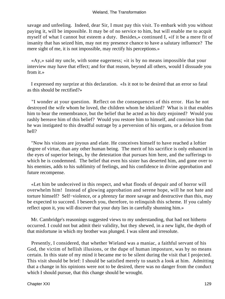savage and unfeeling. Indeed, dear Sir, I must pay this visit. To embark with you without paying it, will be impossible. It may be of no service to him, but will enable me to acquit myself of what I cannot but esteem a duty. Besides,» continued I, «if it be a mere fit of insanity that has seized him, may not my presence chance to have a salutary influence? The mere sight of me, it is not impossible, may rectify his perceptions.»

 «Ay,» said my uncle, with some eagerness; «it is by no means impossible that your interview may have that effect; and for that reason, beyond all others, would I dissuade you from it.»

 I expressed my surprize at this declaration. «Is it not to be desired that an error so fatal as this should be rectified?»

 "I wonder at your question. Reflect on the consequences of this error. Has he not destroyed the wife whom he loved, the children whom he idolized? What is it that enables him to bear the remembrance, but the belief that he acted as his duty enjoined? Would you rashly bereave him of this belief? Would you restore him to himself, and convince him that he was instigated to this dreadful outrage by a perversion of his organs, or a delusion from hell?

 "Now his visions are joyous and elate. He conceives himself to have reached a loftier degree of virtue, than any other human being. The merit of his sacrifice is only enhanced in the eyes of superior beings, by the detestation that pursues him here, and the sufferings to which he is condemned. The belief that even his sister has deserted him, and gone over to his enemies, adds to his sublimity of feelings, and his confidence in divine approbation and future recompense.

 «Let him be undeceived in this respect, and what floods of despair and of horror will overwhelm him! Instead of glowing approbation and serene hope, will he not hate and torture himself? Self−violence, or a phrenzy far more savage and destructive than this, may be expected to succeed. I beseech you, therefore, to relinquish this scheme. If you calmly reflect upon it, you will discover that your duty lies in carefully shunning him.»

 Mr. Cambridge's reasonings suggested views to my understanding, that had not hitherto occurred. I could not but admit their validity, but they shewed, in a new light, the depth of that misfortune in which my brother was plunged. I was silent and irresolute.

 Presently, I considered, that whether Wieland was a maniac, a faithful servant of his God, the victim of hellish illusions, or the dupe of human imposture, was by no means certain. In this state of my mind it became me to be silent during the visit that I projected. This visit should be brief: I should be satisfied merely to snatch a look at him. Admitting that a change in his opinions were not to be desired, there was no danger from the conduct which I should pursue, that this change should be wrought.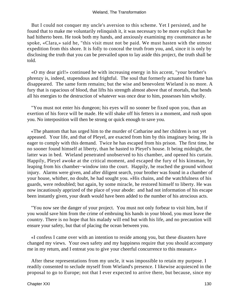But I could not conquer my uncle's aversion to this scheme. Yet I persisted, and he found that to make me voluntarily relinquish it, it was necessary to be more explicit than he had hitherto been. He took both my hands, and anxiously examining my countenance as he spoke, «Clara,» said he, "this visit must not be paid. We must hasten with the utmost expedition from this shore. It is folly to conceal the truth from you, and, since it is only by disclosing the truth that you can be prevailed upon to lay aside this project, the truth shall be told.

 «O my dear girl!» continued he with increasing energy in his accent, "your brother's phrenzy is, indeed, stupendous and frightful. The soul that formerly actuated his frame has disappeared. The same form remains; but the wise and benevolent Wieland is no more. A fury that is rapacious of blood, that lifts his strength almost above that of mortals, that bends all his energies to the destruction of whatever was once dear to him, possesses him wholly.

 "You must not enter his dungeon; his eyes will no sooner be fixed upon you, than an exertion of his force will be made. He will shake off his fetters in a moment, and rush upon you. No interposition will then be strong or quick enough to save you.

 «The phantom that has urged him to the murder of Catharine and her children is not yet appeased. Your life, and that of Pleyel, are exacted from him by this imaginary being. He is eager to comply with this demand. Twice he has escaped from his prison. The first time, he no sooner found himself at liberty, than he hasted to Pleyel's house. It being midnight, the latter was in bed. Wieland penetrated unobserved to his chamber, and opened his curtain. Happily, Pleyel awoke at the critical moment, and escaped the fury of his kinsman, by leaping from his chamber−window into the court. Happily, he reached the ground without injury. Alarms were given, and after diligent search, your brother was found in a chamber of your house, whither, no doubt, he had sought you. »His chains, and the watchfulness of his guards, were redoubled; but again, by some miracle, he restored himself to liberty. He was now incautiously apprized of the place of your abode: and had not information of his escape been instantly given, your death would have been added to the number of his atrocious acts.

 "You now see the danger of your project. You must not only forbear to visit him, but if you would save him from the crime of embruing his hands in your blood, you must leave the country. There is no hope that his malady will end but with his life, and no precaution will ensure your safety, but that of placing the ocean between you.

 «I confess I came over with an intention to reside among you, but these disasters have changed my views. Your own safety and my happiness require that you should accompany me in my return, and I entreat you to give your cheerful concurrence to this measure.»

 After these representations from my uncle, it was impossible to retain my purpose. I readily consented to seclude myself from Wieland's presence. I likewise acquiesced in the proposal to go to Europe; not that I ever expected to arrive there, but because, since my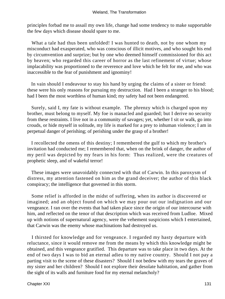principles forbad me to assail my own life, change had some tendency to make supportable the few days which disease should spare to me.

What a tale had thus been unfolded! I was hunted to death, not by one whom my misconduct had exasperated, who was conscious of illicit motives, and who sought his end by circumvention and surprize; but by one who deemed himself commissioned for this act by heaven; who regarded this career of horror as the last refinement of virtue; whose implacability was proportioned to the reverence and love which he felt for me, and who was inaccessible to the fear of punishment and ignominy!

 In vain should I endeavour to stay his hand by urging the claims of a sister or friend: these were his only reasons for pursuing my destruction. Had I been a stranger to his blood; had I been the most worthless of human kind; my safety had not been endangered.

 Surely, said I, my fate is without example. The phrenzy which is charged upon my brother, must belong to myself. My foe is manacled and guarded; but I derive no security from these restraints. I live not in a community of savages; yet, whether I sit or walk, go into crouds, or hide myself in solitude, my life is marked for a prey to inhuman violence; I am in perpetual danger of perishing; of perishing under the grasp of a brother!

 I recollected the omens of this destiny; I remembered the gulf to which my brother's invitation had conducted me; I remembered that, when on the brink of danger, the author of my peril was depicted by my fears in his form: Thus realized, were the creatures of prophetic sleep, and of wakeful terror!

 These images were unavoidably connected with that of Carwin. In this paroxysm of distress, my attention fastened on him as the grand deceiver; the author of this black conspiracy; the intelligence that governed in this storm.

 Some relief is afforded in the midst of suffering, when its author is discovered or imagined; and an object found on which we may pour out our indignation and our vengeance. I ran over the events that had taken place since the origin of our intercourse with him, and reflected on the tenor of that description which was received from Ludloe. Mixed up with notions of supernatural agency, were the vehement suspicions which I entertained, that Carwin was the enemy whose machinations had destroyed us.

 I thirsted for knowledge and for vengeance. I regarded my hasty departure with reluctance, since it would remove me from the means by which this knowledge might be obtained, and this vengeance gratified. This departure was to take place in two days. At the end of two days I was to bid an eternal adieu to my native country. Should I not pay a parting visit to the scene of these disasters? Should I not bedew with my tears the graves of my sister and her children? Should I not explore their desolate habitation, and gather from the sight of its walls and furniture food for my eternal melancholy?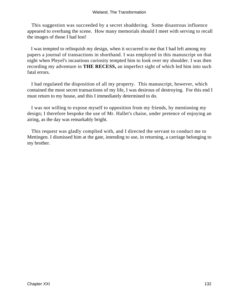This suggestion was succeeded by a secret shuddering. Some disastrous influence appeared to overhang the scene. How many memorials should I meet with serving to recall the images of those I had lost!

 I was tempted to relinquish my design, when it occurred to me that I had left among my papers a journal of transactions in shorthand. I was employed in this manuscript on that night when Pleyel's incautious curiosity tempted him to look over my shoulder. I was then recording my adventure in **THE RECESS,** an imperfect sight of which led him into such fatal errors.

 I had regulated the disposition of all my property. This manuscript, however, which contained the most secret transactions of my life, I was desirous of destroying. For this end I must return to my house, and this I immediately determined to do.

 I was not willing to expose myself to opposition from my friends, by mentioning my design; I therefore bespoke the use of Mr. Hallet's chaise, under pretence of enjoying an airing, as the day was remarkably bright.

 This request was gladly complied with, and I directed the servant to conduct me to Mettingen. I dismissed him at the gate, intending to use, in returning, a carriage belonging to my brother.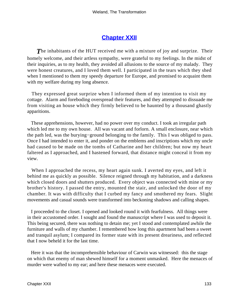## **[Chapter XXII](#page-173-0)**

**The inhabitants of the HUT received me with a mixture of joy and surprize. Their** homely welcome, and their artless sympathy, were grateful to my feelings. In the midst of their inquiries, as to my health, they avoided all allusions to the source of my malady. They were honest creatures, and I loved them well. I participated in the tears which they shed when I mentioned to them my speedy departure for Europe, and promised to acquaint them with my welfare during my long absence.

 They expressed great surprize when I informed them of my intention to visit my cottage. Alarm and foreboding overspread their features, and they attempted to dissuade me from visiting an house which they firmly believed to be haunted by a thousand ghastly apparitions.

 These apprehensions, however, had no power over my conduct. I took an irregular path which led me to my own house. All was vacant and forlorn. A small enclosure, near which the path led, was the burying−ground belonging to the family. This I was obliged to pass. Once I had intended to enter it, and ponder on the emblems and inscriptions which my uncle had caused to be made on the tombs of Catharine and her children; but now my heart faltered as I approached, and I hastened forward, that distance might conceal it from my view.

 When I approached the recess, my heart again sunk. I averted my eyes, and left it behind me as quickly as possible. Silence reigned through my habitation, and a darkness which closed doors and shutters produced. Every object was connected with mine or my brother's history. I passed the entry, mounted the stair, and unlocked the door of my chamber. It was with difficulty that I curbed my fancy and smothered my fears. Slight movements and casual sounds were transformed into beckoning shadows and calling shapes.

 I proceeded to the closet. I opened and looked round it with fearfulness. All things were in their accustomed order. I sought and found the manuscript where I was used to deposit it. This being secured, there was nothing to detain me; yet I stood and contemplated awhile the furniture and walls of my chamber. I remembered how long this apartment had been a sweet and tranquil asylum; I compared its former state with its present dreariness, and reflected that I now beheld it for the last time.

 Here it was that the incomprehensible behaviour of Carwin was witnessed: this the stage on which that enemy of man shewed himself for a moment unmasked. Here the menaces of murder were wafted to my ear; and here these menaces were executed.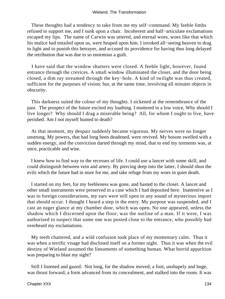These thoughts had a tendency to take from me my self−command. My feeble limbs refused to support me, and I sunk upon a chair. Incoherent and half−articulate exclamations escaped my lips. The name of Carwin was uttered, and eternal woes, woes like that which his malice had entailed upon us, were heaped upon him. I invoked all−seeing heaven to drag to light and to punish this betrayer, and accused its providence for having thus long delayed the retribution that was due to so enormous a guilt.

 I have said that the window shutters were closed. A feeble light, however, found entrance through the crevices. A small window illuminated the closet, and the door being closed, a dim ray streamed through the key−hole. A kind of twilight was thus created, sufficient for the purposes of vision; but, at the same time, involving all minuter objects in obscurity.

 This darkness suited the colour of my thoughts. I sickened at the remembrance of the past. The prospect of the future excited my loathing. I muttered in a low voice, Why should I live longer? Why should I drag a miserable being? All, for whom I ought to live, have perished. Am I not myself hunted to death?

 At that moment, my despair suddenly became vigorous. My nerves were no longer unstrung. My powers, that had long been deadened, were revived. My bosom swelled with a sudden energy, and the conviction darted through my mind, that to end my torments was, at once, practicable and wise.

 I knew how to find way to the recesses of life. I could use a lancet with some skill, and could distinguish between vein and artery. By piercing deep into the latter, I should shun the evils which the future had in store for me, and take refuge from my woes in quiet death.

 I started on my feet, for my feebleness was gone, and hasted to the closet. A lancet and other small instruments were preserved in a case which I had deposited here. Inattentive as I was to foreign considerations, my ears were still open to any sound of mysterious import that should occur. I thought I heard a step in the entry. My purpose was suspended, and I cast an eager glance at my chamber door, which was open. No one appeared, unless the shadow which I discerned upon the floor, was the outline of a man. If it were, I was authorized to suspect that some one was posted close to the entrance, who possibly had overheard my exclamations.

 My teeth chattered, and a wild confusion took place of my momentary calm. Thus it was when a terrific visage had disclosed itself on a former night. Thus it was when the evil destiny of Wieland assumed the lineaments of something human. What horrid apparition was preparing to blast my sight?

 Still I listened and gazed. Not long, for the shadow moved; a foot, unshapely and huge, was thrust forward; a form advanced from its concealment, and stalked into the room. It was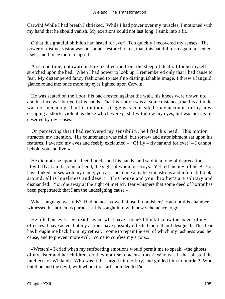#### Wieland, The Transformation

Carwin! While I had breath I shrieked. While I had power over my muscles, I motioned with my hand that he should vanish. My exertions could not last long; I sunk into a fit.

 O that this grateful oblivion had lasted for ever! Too quickly I recovered my senses. The power of distinct vision was no sooner restored to me, than this hateful form again presented itself, and I once more relapsed.

 A second time, untoward nature recalled me from the sleep of death. I found myself stretched upon the bed. When I had power to look up, I remembered only that I had cause to fear. My distempered fancy fashioned to itself no distinguishable image. I threw a languid glance round me; once more my eyes lighted upon Carwin.

 He was seated on the floor, his back rested against the wall, his knees were drawn up, and his face was buried in his hands. That his station was at some distance, that his attitude was not menacing, that his ominous visage was concealed, may account for my now escaping a shock, violent as those which were past. I withdrew my eyes, but was not again deserted by my senses.

 On perceiving that I had recovered my sensibility, he lifted his head. This motion attracted my attention. His countenance was mild, but sorrow and astonishment sat upon his features. I averted my eyes and feebly exclaimed – «O! fly – fly far and for ever! – I cannot behold you and live!»

 He did not rise upon his feet, but clasped his hands, and said in a tone of deprecation – «I will fly. I am become a fiend, the sight of whom destroys. Yet tell me my offence! You have linked curses with my name; you ascribe to me a malice monstrous and infernal. I look around; all is loneliness and desert! This house and your brother's are solitary and dismantled! You die away at the sight of me! My fear whispers that some deed of horror has been perpetrated; that I am the undesigning cause.»

 What language was this? Had he not avowed himself a ravisher? Had not this chamber witnessed his atrocious purposes? I besought him with new vehemence to go.

He lifted his eyes – «Great heaven! what have I done? I think I know the extent of my offences. I have acted, but my actions have possibly effected more than I designed. This fear has brought me back from my retreat. I come to repair the evil of which my rashness was the cause, and to prevent more evil. I come to confess my errors.»

 «Wretch!» I cried when my suffocating emotions would permit me to speak, «the ghosts of my sister and her children, do they not rise to accuse thee? Who was it that blasted the intellects of Wieland? Who was it that urged him to fury, and guided him to murder? Who, but thou and the devil, with whom thou art confederated?»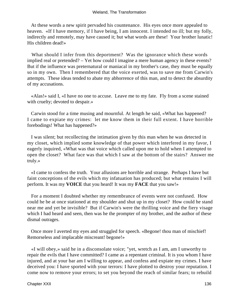At these words a new spirit pervaded his countenance. His eyes once more appealed to heaven. «If I have memory, if I have being, I am innocent. I intended no ill; but my folly, indirectly and remotely, may have caused it; but what words are these! Your brother lunatic! His children dead!»

 What should I infer from this deportment? Was the ignorance which these words implied real or pretended? – Yet how could I imagine a mere human agency in these events? But if the influence was preternatural or maniacal in my brother's case, they must be equally so in my own. Then I remembered that the voice exerted, was to save me from Carwin's attempts. These ideas tended to abate my abhorrence of this man, and to detect the absurdity of my accusations.

 «Alas!» said I, «I have no one to accuse. Leave me to my fate. Fly from a scene stained with cruelty; devoted to despair.»

 Carwin stood for a time musing and mournful. At length he said, «What has happened? I came to expiate my crimes: let me know them in their full extent. I have horrible forebodings! What has happened?»

 I was silent; but recollecting the intimation given by this man when he was detected in my closet, which implied some knowledge of that power which interfered in my favor, I eagerly inquired, «What was that voice which called upon me to hold when I attempted to open the closet? What face was that which I saw at the bottom of the stairs? Answer me truly.»

 «I came to confess the truth. Your allusions are horrible and strange. Perhaps I have but faint conceptions of the evils which my infatuation has produced; but what remains I will perform. It was my **VOICE** that you heard! It was my **FACE** that you saw!»

 For a moment I doubted whether my remembrance of events were not confused. How could he be at once stationed at my shoulder and shut up in my closet? How could he stand near me and yet be invisible? But if Carwin's were the thrilling voice and the fiery visage which I had heard and seen, then was he the prompter of my brother, and the author of these dismal outrages.

 Once more I averted my eyes and struggled for speech. «Begone! thou man of mischief! Remorseless and implacable miscreant! begone!»

 «I will obey,» said he in a disconsolate voice; "yet, wretch as I am, am I unworthy to repair the evils that I have committed? I came as a repentant criminal. It is you whom I have injured, and at your bar am I willing to appear, and confess and expiate my crimes. I have deceived you: I have sported with your terrors: I have plotted to destroy your reputation. I come now to remove your errors; to set you beyond the reach of similar fears; to rebuild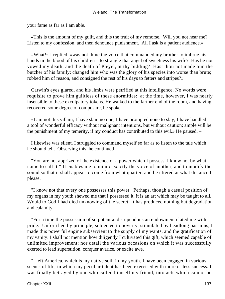your fame as far as I am able.

 «This is the amount of my guilt, and this the fruit of my remorse. Will you not hear me? Listen to my confession, and then denounce punishment. All I ask is a patient audience.»

 «What!» I replied, «was not thine the voice that commanded my brother to imbrue his hands in the blood of his children – to strangle that angel of sweetness his wife? Has he not vowed my death, and the death of Pleyel, at thy bidding? Hast thou not made him the butcher of his family; changed him who was the glory of his species into worse than brute; robbed him of reason, and consigned the rest of his days to fetters and stripes?»

 Carwin's eyes glared, and his limbs were petrified at this intelligence. No words were requisite to prove him guiltless of these enormities: at the time, however, I was nearly insensible to these exculpatory tokens. He walked to the farther end of the room, and having recovered some degree of composure, he spoke –

 «I am not this villain; I have slain no one; I have prompted none to slay; I have handled a tool of wonderful efficacy without malignant intentions, but without caution; ample will be the punishment of my temerity, if my conduct has contributed to this evil.» He paused. –

 I likewise was silent. I struggled to command myself so far as to listen to the tale which he should tell. Observing this, he continued –

 "You are not apprized of the existence of a power which I possess. I know not by what name to call it.\* It enables me to mimic exactly the voice of another, and to modify the sound so that it shall appear to come from what quarter, and be uttered at what distance I please.

 "I know not that every one possesses this power. Perhaps, though a casual position of my organs in my youth shewed me that I possessed it, it is an art which may be taught to all. Would to God I had died unknowing of the secret! It has produced nothing but degradation and calamity.

 "For a time the possession of so potent and stupendous an endowment elated me with pride. Unfortified by principle, subjected to poverty, stimulated by headlong passions, I made this powerful engine subservient to the supply of my wants, and the gratification of my vanity. I shall not mention how diligently I cultivated this gift, which seemed capable of unlimited improvement; nor detail the various occasions on which it was successfully exerted to lead superstition, conquer avarice, or excite awe.

 "I left America, which is my native soil, in my youth. I have been engaged in various scenes of life, in which my peculiar talent has been exercised with more or less success. I was finally betrayed by one who called himself my friend, into acts which cannot be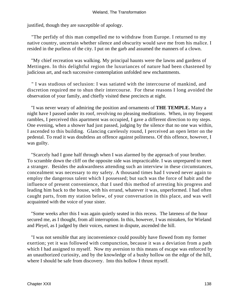justified, though they are susceptible of apology.

 "The perfidy of this man compelled me to withdraw from Europe. I returned to my native country, uncertain whether silence and obscurity would save me from his malice. I resided in the purlieus of the city. I put on the garb and assumed the manners of a clown.

 "My chief recreation was walking. My principal haunts were the lawns and gardens of Mettingen. In this delightful region the luxuriances of nature had been chastened by judicious art, and each successive contemplation unfolded new enchantments.

 " I was studious of seclusion: I was satiated with the intercourse of mankind, and discretion required me to shun their intercourse. For these reasons I long avoided the observation of your family, and chiefly visited these precincts at night.

 "I was never weary of admiring the position and ornaments of **THE TEMPLE.** Many a night have I passed under its roof, revolving no pleasing meditations. When, in my frequent rambles, I perceived this apartment was occupied, I gave a different direction to my steps. One evening, when a shower had just passed, judging by the silence that no one was within, I ascended to this building. Glancing carelessly round, I perceived an open letter on the pedestal. To read it was doubtless an offence against politeness. Of this offence, however, I was guilty.

 "Scarcely had I gone half through when I was alarmed by the approach of your brother. To scramble down the cliff on the opposite side was impracticable. I was unprepared to meet a stranger. Besides the aukwardness attending such an interview in these circumstances, concealment was necessary to my safety. A thousand times had I vowed never again to employ the dangerous talent which I possessed; but such was the force of habit and the influence of present convenience, that I used this method of arresting his progress and leading him back to the house, with his errand, whatever it was, unperformed. I had often caught parts, from my station below, of your conversation in this place, and was well acquainted with the voice of your sister.

 "Some weeks after this I was again quietly seated in this recess. The lateness of the hour secured me, as I thought, from all interruption. In this, however, I was mistaken, for Wieland and Pleyel, as I judged by their voices, earnest in dispute, ascended the hill.

 "I was not sensible that any inconvenience could possibly have flowed from my former exertion; yet it was followed with compunction, because it was a deviation from a path which I had assigned to myself. Now my aversion to this means of escape was enforced by an unauthorized curiosity, and by the knowledge of a bushy hollow on the edge of the hill, where I should be safe from discovery. Into this hollow I thrust myself.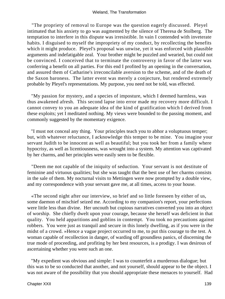"The propriety of removal to Europe was the question eagerly discussed. Pleyel intimated that his anxiety to go was augmented by the silence of Theresa de Stolberg. The temptation to interfere in this dispute was irresistible. In vain I contended with inveterate habits. I disguised to myself the impropriety of my conduct, by recollecting the benefits which it might produce. Pleyel's proposal was unwise, yet it was enforced with plausible arguments and indefatigable zeal. Your brother might be puzzled and wearied, but could not be convinced. I conceived that to terminate the controversy in favor of the latter was conferring a benefit on all parties. For this end I profited by an opening in the conversation, and assured them of Catharine's irreconcilable aversion to the scheme, and of the death of the Saxon baroness. The latter event was merely a conjecture, but rendered extremely probable by Pleyel's representations. My purpose, you need not be told, was effected.

 "My passion for mystery, and a species of imposture, which I deemed harmless, was thus awakened afresh. This second lapse into error made my recovery more difficult. I cannot convey to you an adequate idea of the kind of gratification which I derived from these exploits; yet I meditated nothing. My views were bounded to the passing moment, and commonly suggested by the momentary exigence.

 "I must not conceal any thing. Your principles teach you to abhor a voluptuous temper; but, with whatever reluctance, I acknowledge this temper to be mine. You imagine your servant Judith to be innocent as well as beautiful; but you took her from a family where hypocrisy, as well as licentiousness, was wrought into a system. My attention was captivated by her charms, and her principles were easily seen to be flexible.

 "Deem me not capable of the iniquity of seduction. Your servant is not destitute of feminine and virtuous qualities; but she was taught that the best use of her charms consists in the sale of them. My nocturnal visits to Mettingen were now prompted by a double view, and my correspondence with your servant gave me, at all times, access to your house.

 «The second night after our interview, so brief and so little foreseen by either of us, some daemon of mischief seized me. According to my companion's report, your perfections were little less than divine. Her uncouth but copious narratives converted you into an object of worship. She chiefly dwelt upon your courage, because she herself was deficient in that quality. You held apparitions and goblins in contempt. You took no precautions against robbers. You were just as tranquil and secure in this lonely dwelling, as if you were in the midst of a crowd. »Hence a vague project occurred to me, to put this courage to the test. A woman capable of recollection in danger, of warding off groundless panics, of discerning the true mode of proceeding, and profiting by her best resources, is a prodigy. I was desirous of ascertaining whether you were such an one.

 "My expedient was obvious and simple: I was to counterfeit a murderous dialogue; but this was to be so conducted that another, and not yourself, should appear to be the object. I was not aware of the possibility that you should appropriate these menaces to yourself. Had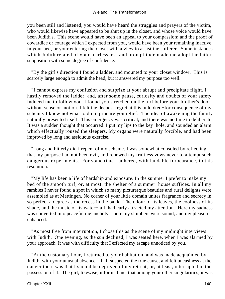you been still and listened, you would have heard the struggles and prayers of the victim, who would likewise have appeared to be shut up in the closet, and whose voice would have been Judith's. This scene would have been an appeal to your compassion; and the proof of cowardice or courage which I expected from you, would have been your remaining inactive in your bed, or your entering the closet with a view to assist the sufferer. Some instances which Judith related of your fearlessness and promptitude made me adopt the latter supposition with some degree of confidence.

 "By the girl's direction I found a ladder, and mounted to your closet window. This is scarcely large enough to admit the head, but it answered my purpose too well.

 "I cannot express my confusion and surprize at your abrupt and precipitate flight. I hastily removed the ladder; and, after some pause, curiosity and doubts of your safety induced me to follow you. I found you stretched on the turf before your brother's door, without sense or motion. I felt the deepest regret at this unlooked−for consequence of my scheme. I knew not what to do to procure you relief. The idea of awakening the family naturally presented itself. This emergency was critical, and there was no time to deliberate. It was a sudden thought that occurred. I put my lips to the key−hole, and sounded an alarm which effectually roused the sleepers. My organs were naturally forcible, and had been improved by long and assiduous exercise.

 "Long and bitterly did I repent of my scheme. I was somewhat consoled by reflecting that my purpose had not been evil, and renewed my fruitless vows never to attempt such dangerous experiments. For some time I adhered, with laudable forbearance, to this resolution.

 "My life has been a life of hardship and exposure. In the summer I prefer to make my bed of the smooth turf, or, at most, the shelter of a summer−house suffices. In all my rambles I never found a spot in which so many picturesque beauties and rural delights were assembled as at Mettingen. No corner of your little domain unites fragrance and secrecy in so perfect a degree as the recess in the bank. The odour of its leaves, the coolness of its shade, and the music of its water−fall, had early attracted my attention. Here my sadness was converted into peaceful melancholy – here my slumbers were sound, and my pleasures enhanced.

 "As most free from interruption, I chose this as the scene of my midnight interviews with Judith. One evening, as the sun declined, I was seated here, when I was alarmed by your approach. It was with difficulty that I effected my escape unnoticed by you.

 "At the customary hour, I returned to your habitation, and was made acquainted by Judith, with your unusual absence. I half suspected the true cause, and felt uneasiness at the danger there was that I should be deprived of my retreat; or, at least, interrupted in the possession of it. The girl, likewise, informed me, that among your other singularities, it was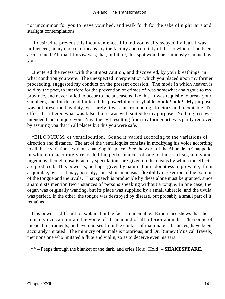not uncommon for you to leave your bed, and walk forth for the sake of night−airs and starlight contemplations.

 "I desired to prevent this inconvenience. I found you easily swayed by fear. I was influenced, in my choice of means, by the facility and certainty of that to which I had been accustomed. All that I forsaw was, that, in future, this spot would be cautiously shunned by you.

 «I entered the recess with the utmost caution, and discovered, by your breathings, in what condition you were. The unexpected interpretation which you placed upon my former proceeding, suggested my conduct on the present occasion. The mode in which heaven is said by the poet, to interfere for the prevention of crimes,\*\* was somewhat analogous to my province, and never failed to occur to me at seasons like this. It was requisite to break your slumbers, and for this end I uttered the powerful monosyllable, »hold! hold!" My purpose was not prescribed by duty, yet surely it was far from being atrocious and inexpiable. To effect it, I uttered what was false, but it was well suited to my purpose. Nothing less was intended than to injure you. Nay, the evil resulting from my former act, was partly removed by assuring you that in all places but this you were safe.

 \*BILOQUIUM, or ventrilocution. Sound is varied according to the variations of direction and distance. The art of the ventriloquist consists in modifying his voice according to all these variations, without changing his place. See the work of the Abbe de la Chappelle, in which are accurately recorded the performances of one of these artists, and some ingenious, though unsatisfactory speculations are given on the means by which the effects are produced. This power is, perhaps, given by nature, but is doubtless improvable, if not acquirable, by art. It may, possibly, consist in an unusual flexibility or exertion of the bottom of the tongue and the uvula. That speech is producible by these alone must be granted, since anatomists mention two instances of persons speaking without a tongue. In one case, the organ was originally wanting, but its place was supplied by a small tubercle, and the uvula was perfect. In the other, the tongue was destroyed by disease, but probably a small part of it remained.

 This power is difficult to explain, but the fact is undeniable. Experience shews that the human voice can imitate the voice of all men and of all inferior animals. The sound of musical instruments, and even noises from the contact of inanimate substances, have been accurately imitated. The mimicry of animals is notorious; and Dr. Burney (Musical Travels) mentions one who imitated a flute and violin, so as to deceive even his ears.

\*\* – Peeps through the blanket of the dark, and cries Hold! Hold! – **SHAKESPEARE.**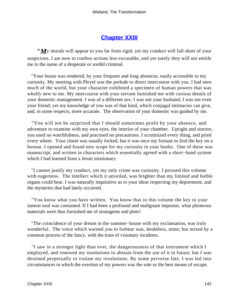#### **[Chapter XXIII](#page-173-0)**

*"M*y morals will appear to you far from rigid, yet my conduct will fall short of your suspicions. I am now to confess actions less excusable, and yet surely they will not entitle me to the name of a desperate or sordid criminal.

 "Your house was rendered, by your frequent and long absences, easily accessible to my curiosity. My meeting with Pleyel was the prelude to direct intercourse with you. I had seen much of the world, but your character exhibited a specimen of human powers that was wholly new to me. My intercourse with your servant furnished me with curious details of your domestic management. I was of a different sex: I was not your husband; I was not even your friend; yet my knowledge of you was of that kind, which conjugal intimacies can give, and, in some respects, more accurate. The observation of your domestic was guided by me.

 "You will not be surprized that I should sometimes profit by your absence, and adventure to examine with my own eyes, the interior of your chamber. Upright and sincere, you used no watchfulness, and practised no precautions. I scrutinized every thing, and pried every where. Your closet was usually locked, but it was once my fortune to find the key on a bureau. I opened and found new scope for my curiosity in your books. One of these was manuscript, and written in characters which essentially agreed with a short−hand system which I had learned from a Jesuit missionary.

 "I cannot justify my conduct, yet my only crime was curiosity. I perused this volume with eagerness. The intellect which it unveiled, was brighter than my limited and feeble organs could bear. I was naturally inquisitive as to your ideas respecting my deportment, and the mysteries that had lately occurred.

 "You know what you have written. You know that in this volume the key to your inmost soul was contained. If I had been a profound and malignant impostor, what plenteous materials were thus furnished me of stratagems and plots!

 "The coincidence of your dream in the summer−house with my exclamation, was truly wonderful. The voice which warned you to forbear was, doubtless, mine; but mixed by a common process of the fancy, with the train of visionary incidents.

 "I saw in a stronger light than ever, the dangerousness of that instrument which I employed, and renewed my resolutions to abstain from the use of it in future; but I was destined perpetually to violate my resolutions. By some perverse fate, I was led into circumstances in which the exertion of my powers was the sole or the best means of escape.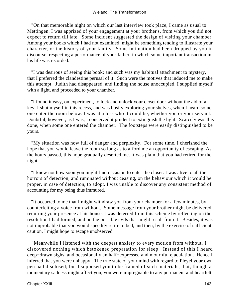"On that memorable night on which our last interview took place, I came as usual to Mettingen. I was apprized of your engagement at your brother's, from which you did not expect to return till late. Some incident suggested the design of visiting your chamber. Among your books which I had not examined, might be something tending to illustrate your character, or the history of your family. Some intimation had been dropped by you in discourse, respecting a performance of your father, in which some important transaction in his life was recorded.

 "I was desirous of seeing this book; and such was my habitual attachment to mystery, that I preferred the clandestine perusal of it. Such were the motives that induced me to make this attempt. Judith had disappeared, and finding the house unoccupied, I supplied myself with a light, and proceeded to your chamber.

 "I found it easy, on experiment, to lock and unlock your closet door without the aid of a key. I shut myself in this recess, and was busily exploring your shelves, when I heard some one enter the room below. I was at a loss who it could be, whether you or your servant. Doubtful, however, as I was, I conceived it prudent to extinguish the light. Scarcely was this done, when some one entered the chamber. The footsteps were easily distinguished to be yours.

 "My situation was now full of danger and perplexity. For some time, I cherished the hope that you would leave the room so long as to afford me an opportunity of escaping. As the hours passed, this hope gradually deserted me. It was plain that you had retired for the night.

 "I knew not how soon you might find occasion to enter the closet. I was alive to all the horrors of detection, and ruminated without ceasing, on the behaviour which it would be proper, in case of detection, to adopt. I was unable to discover any consistent method of accounting for my being thus immured.

 "It occurred to me that I might withdraw you from your chamber for a few minutes, by counterfeiting a voice from without. Some message from your brother might be delivered, requiring your presence at his house. I was deterred from this scheme by reflecting on the resolution I had formed, and on the possible evils that might result from it. Besides, it was not improbable that you would speedily retire to bed, and then, by the exercise of sufficient caution, I might hope to escape unobserved.

 "Meanwhile I listened with the deepest anxiety to every motion from without. I discovered nothing which betokened preparation for sleep. Instead of this I heard deep−drawn sighs, and occasionally an half−expressed and mournful ejaculation. Hence I inferred that you were unhappy. The true state of your mind with regard to Pleyel your own pen had disclosed; but I supposed you to be framed of such materials, that, though a momentary sadness might affect you, you were impregnable to any permanent and heartfelt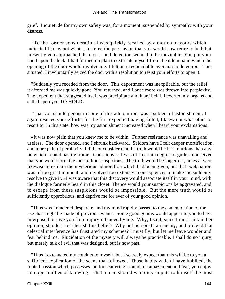grief. Inquietude for my own safety was, for a moment, suspended by sympathy with your distress.

 "To the former consideration I was quickly recalled by a motion of yours which indicated I knew not what. I fostered the persuasion that you would now retire to bed; but presently you approached the closet, and detection seemed to be inevitable. You put your hand upon the lock. I had formed no plan to extricate myself from the dilemma in which the opening of the door would involve me. I felt an irreconcilable aversion to detection. Thus situated, I involuntarily seized the door with a resolution to resist your efforts to open it.

 "Suddenly you receded from the door. This deportment was inexplicable, but the relief it afforded me was quickly gone. You returned, and I once more was thrown into perplexity. The expedient that suggested itself was precipitate and inartificial. I exerted my organs and called upon you **TO HOLD.**

 "That you should persist in spite of this admonition, was a subject of astonishment. I again resisted your efforts; for the first expedient having failed, I knew not what other to resort to. In this state, how was my astonishment increased when I heard your exclamations!

 «It was now plain that you knew me to be within. Further resistance was unavailing and useless. The door opened, and I shrunk backward. Seldom have I felt deeper mortification, and more painful perplexity. I did not consider that the truth would be less injurious than any lie which I could hastily frame. Conscious as I was of a certain degree of guilt, I conceived that you would form the most odious suspicions. The truth would be imperfect, unless I were likewise to explain the mysterious admonition which had been given; but that explanation was of too great moment, and involved too extensive consequences to make me suddenly resolve to give it. »I was aware that this discovery would associate itself in your mind, with the dialogue formerly heard in this closet. Thence would your suspicions be aggravated, and to escape from these suspicions would be impossible. But the mere truth would be sufficiently opprobrious, and deprive me for ever of your good opinion.

 "Thus was I rendered desperate, and my mind rapidly passed to the contemplation of the use that might be made of previous events. Some good genius would appear to you to have interposed to save you from injury intended by me. Why, I said, since I must sink in her opinion, should I not cherish this belief? Why not personate an enemy, and pretend that celestial interference has frustrated my schemes? I must fly, but let me leave wonder and fear behind me. Elucidation of the mystery will always be practicable. I shall do no injury, but merely talk of evil that was designed, but is now past.

 "Thus I extenuated my conduct to myself, but I scarcely expect that this will be to you a sufficient explication of the scene that followed. Those habits which I have imbibed, the rooted passion which possesses me for scattering around me amazement and fear, you enjoy no opportunities of knowing. That a man should wantonly impute to himself the most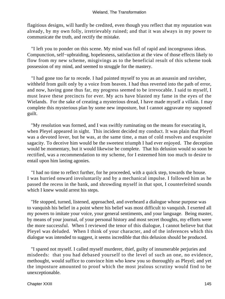flagitious designs, will hardly be credited, even though you reflect that my reputation was already, by my own folly, irretrievably ruined; and that it was always in my power to communicate the truth, and rectify the mistake.

 "I left you to ponder on this scene. My mind was full of rapid and incongruous ideas. Compunction, self−upbraiding, hopelesness, satisfaction at the view of those effects likely to flow from my new scheme, misgivings as to the beneficial result of this scheme took possession of my mind, and seemed to struggle for the mastery.

 "I had gone too far to recede. I had painted myself to you as an assassin and ravisher, withheld from guilt only by a voice from heaven. I had thus reverted into the path of error, and now, having gone thus far, my progress seemed to be irrevocable. I said to myself, I must leave these precincts for ever. My acts have blasted my fame in the eyes of the Wielands. For the sake of creating a mysterious dread, I have made myself a villain. I may complete this mysterious plan by some new imposture, but I cannot aggravate my supposed guilt.

 "My resolution was formed, and I was swiftly ruminating on the means for executing it, when Pleyel appeared in sight. This incident decided my conduct. It was plain that Pleyel was a devoted lover, but he was, at the same time, a man of cold resolves and exquisite sagacity. To deceive him would be the sweetest triumph I had ever enjoyed. The deception would be momentary, but it would likewise be complete. That his delusion would so soon be rectified, was a recommendation to my scheme, for I esteemed him too much to desire to entail upon him lasting agonies.

 "I had no time to reflect further, for he proceeded, with a quick step, towards the house. I was hurried onward involuntarily and by a mechanical impulse. I followed him as he passed the recess in the bank, and shrowding myself in that spot, I counterfeited sounds which I knew would arrest his steps.

 "He stopped, turned, listened, approached, and overheard a dialogue whose purpose was to vanquish his belief in a point where his belief was most difficult to vanquish. I exerted all my powers to imitate your voice, your general sentiments, and your language. Being master, by means of your journal, of your personal history and most secret thoughts, my efforts were the more successful. When I reviewed the tenor of this dialogue, I cannot believe but that Pleyel was deluded. When I think of your character, and of the inferences which this dialogue was intended to suggest, it seems incredible that this delusion should be produced.

 "I spared not myself. I called myself murderer, thief, guilty of innumerable perjuries and misdeeds: that you had debased yourself to the level of such an one, no evidence, methought, would suffice to convince him who knew you so thoroughly as Pleyel; and yet the imposture amounted to proof which the most jealous scrutiny would find to be unexceptionable.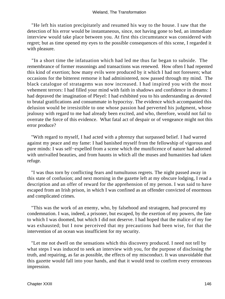"He left his station precipitately and resumed his way to the house. I saw that the detection of his error would be instantaneous, since, not having gone to bed, an immediate interview would take place between you. At first this circumstance was considered with regret; but as time opened my eyes to the possible consequences of this scene, I regarded it with pleasure.

 "In a short time the infatuation which had led me thus far began to subside. The remembrance of former reasonings and transactions was renewed. How often I had repented this kind of exertion; how many evils were produced by it which I had not foreseen; what occasions for the bitterest remorse it had administered, now passed through my mind. The black catalogue of stratagems was now increased. I had inspired you with the most vehement terrors: I had filled your mind with faith in shadows and confidence in dreams: I had depraved the imagination of Pleyel: I had exhibited you to his understanding as devoted to brutal gratifications and consummate in hypocrisy. The evidence which accompanied this delusion would be irresistible to one whose passion had perverted his judgment, whose jealousy with regard to me had already been excited, and who, therefore, would not fail to overrate the force of this evidence. What fatal act of despair or of vengeance might not this error produce?

 "With regard to myself, I had acted with a phrenzy that surpassed belief. I had warred against my peace and my fame: I had banished myself from the fellowship of vigorous and pure minds: I was self−expelled from a scene which the munificence of nature had adorned with unrivalled beauties, and from haunts in which all the muses and humanities had taken refuge.

 "I was thus torn by conflicting fears and tumultuous regrets. The night passed away in this state of confusion; and next morning in the gazette left at my obscure lodging, I read a description and an offer of reward for the apprehension of my person. I was said to have escaped from an Irish prison, in which I was confined as an offender convicted of enormous and complicated crimes.

 "This was the work of an enemy, who, by falsehood and stratagem, had procured my condemnation. I was, indeed, a prisoner, but escaped, by the exertion of my powers, the fate to which I was doomed, but which I did not deserve. I had hoped that the malice of my foe was exhausted; but I now perceived that my precautions had been wise, for that the intervention of an ocean was insufficient for my security.

 "Let me not dwell on the sensations which this discovery produced. I need not tell by what steps I was induced to seek an interview with you, for the purpose of disclosing the truth, and repairing, as far as possible, the effects of my misconduct. It was unavoidable that this gazette would fall into your hands, and that it would tend to confirm every erroneous impression.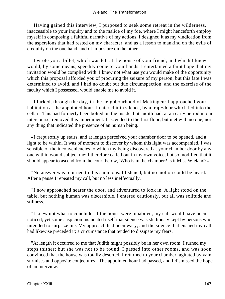"Having gained this interview, I purposed to seek some retreat in the wilderness, inaccessible to your inquiry and to the malice of my foe, where I might henceforth employ myself in composing a faithful narrative of my actions. I designed it as my vindication from the aspersions that had rested on my character, and as a lesson to mankind on the evils of credulity on the one hand, and of imposture on the other.

 "I wrote you a billet, which was left at the house of your friend, and which I knew would, by some means, speedily come to your hands. I entertained a faint hope that my invitation would be complied with. I knew not what use you would make of the opportunity which this proposal afforded you of procuring the seizure of my person; but this fate I was determined to avoid, and I had no doubt but due circumspection, and the exercise of the faculty which I possessed, would enable me to avoid it.

 "I lurked, through the day, in the neighbourhood of Mettingen: I approached your habitation at the appointed hour: I entered it in silence, by a trap−door which led into the cellar. This had formerly been bolted on the inside, but Judith had, at an early period in our intercourse, removed this impediment. I ascended to the first floor, but met with no one, nor any thing that indicated the presence of an human being.

 «I crept softly up stairs, and at length perceived your chamber door to be opened, and a light to be within. It was of moment to discover by whom this light was accompanied. I was sensible of the inconveniencies to which my being discovered at your chamber door by any one within would subject me; I therefore called out in my own voice, but so modified that it should appear to ascend from the court below, 'Who is in the chamber? Is it Miss Wieland?»

 "No answer was returned to this summons. I listened, but no motion could be heard. After a pause I repeated my call, but no less ineffectually.

 "I now approached nearer the door, and adventured to look in. A light stood on the table, but nothing human was discernible. I entered cautiously, but all was solitude and stillness.

 "I knew not what to conclude. If the house were inhabited, my call would have been noticed; yet some suspicion insinuated itself that silence was studiously kept by persons who intended to surprize me. My approach had been wary, and the silence that ensued my call had likewise preceded it; a circumstance that tended to dissipate my fears.

 "At length it occurred to me that Judith might possibly be in her own room. I turned my steps thither; but she was not to be found. I passed into other rooms, and was soon convinced that the house was totally deserted. I returned to your chamber, agitated by vain surmises and opposite conjectures. The appointed hour had passed, and I dismissed the hope of an interview.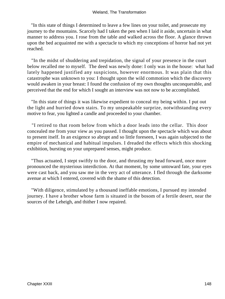"In this state of things I determined to leave a few lines on your toilet, and prosecute my journey to the mountains. Scarcely had I taken the pen when I laid it aside, uncertain in what manner to address you. I rose from the table and walked across the floor. A glance thrown upon the bed acquainted me with a spectacle to which my conceptions of horror had not yet reached.

 "In the midst of shuddering and trepidation, the signal of your presence in the court below recalled me to myself. The deed was newly done: I only was in the house: what had lately happened justified any suspicions, however enormous. It was plain that this catastrophe was unknown to you: I thought upon the wild commotion which the discovery would awaken in your breast: I found the confusion of my own thoughts unconquerable, and perceived that the end for which I sought an interview was not now to be accomplished.

 "In this state of things it was likewise expedient to conceal my being within. I put out the light and hurried down stairs. To my unspeakable surprize, notwithstanding every motive to fear, you lighted a candle and proceeded to your chamber.

 "I retired to that room below from which a door leads into the cellar. This door concealed me from your view as you passed. I thought upon the spectacle which was about to present itself. In an exigence so abrupt and so little foreseen, I was again subjected to the empire of mechanical and habitual impulses. I dreaded the effects which this shocking exhibition, bursting on your unprepared senses, might produce.

 "Thus actuated, I stept swiftly to the door, and thrusting my head forward, once more pronounced the mysterious interdiction. At that moment, by some untoward fate, your eyes were cast back, and you saw me in the very act of utterance. I fled through the darksome avenue at which I entered, covered with the shame of this detection.

 "With diligence, stimulated by a thousand ineffable emotions, I pursued my intended journey. I have a brother whose farm is situated in the bosom of a fertile desert, near the sources of the Leheigh, and thither I now repaired.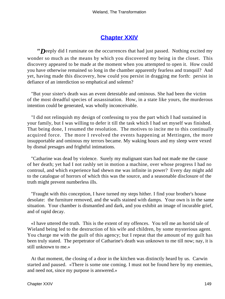## **[Chapter XXIV](#page-173-0)**

<span id="page-149-0"></span>*"D*eeply did I ruminate on the occurrences that had just passed. Nothing excited my wonder so much as the means by which you discovered my being in the closet. This discovery appeared to be made at the moment when you attempted to open it. How could you have otherwise remained so long in the chamber apparently fearless and tranquil? And yet, having made this discovery, how could you persist in dragging me forth: persist in defiance of an interdiction so emphatical and solemn?

 "But your sister's death was an event detestable and ominous. She had been the victim of the most dreadful species of assassination. How, in a state like yours, the murderous intention could be generated, was wholly inconceivable.

 "I did not relinquish my design of confessing to you the part which I had sustained in your family, but I was willing to defer it till the task which I had set myself was finished. That being done, I resumed the resolution. The motives to incite me to this continually acquired force. The more I revolved the events happening at Mettingen, the more insupportable and ominous my terrors became. My waking hours and my sleep were vexed by dismal presages and frightful intimations.

 "Catharine was dead by violence. Surely my malignant stars had not made me the cause of her death; yet had I not rashly set in motion a machine, over whose progress I had no controul, and which experience had shewn me was infinite in power? Every day might add to the catalogue of horrors of which this was the source, and a seasonable disclosure of the truth might prevent numberless ills.

 "Fraught with this conception, I have turned my steps hither. I find your brother's house desolate: the furniture removed, and the walls stained with damps. Your own is in the same situation. Your chamber is dismantled and dark, and you exhibit an image of incurable grief, and of rapid decay.

 «I have uttered the truth. This is the extent of my offences. You tell me an horrid tale of Wieland being led to the destruction of his wife and children, by some mysterious agent. You charge me with the guilt of this agency; but I repeat that the amount of my guilt has been truly stated. The perpetrator of Catharine's death was unknown to me till now; nay, it is still unknown to me.»

 At that moment, the closing of a door in the kitchen was distinctly heard by us. Carwin started and paused. «There is some one coming. I must not be found here by my enemies, and need not, since my purpose is answered.»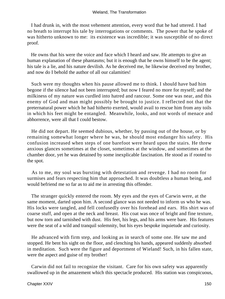I had drunk in, with the most vehement attention, every word that he had uttered. I had no breath to interrupt his tale by interrogations or comments. The power that he spoke of was hitherto unknown to me: its existence was incredible; it was susceptible of no direct proof.

 He owns that his were the voice and face which I heard and saw. He attempts to give an human explanation of these phantasms; but it is enough that he owns himself to be the agent; his tale is a lie, and his nature devilish. As he deceived me, he likewise deceived my brother, and now do I behold the author of all our calamities!

 Such were my thoughts when his pause allowed me to think. I should have bad him begone if the silence had not been interrupted; but now I feared no more for myself; and the milkiness of my nature was curdled into hatred and rancour. Some one was near, and this enemy of God and man might possibly be brought to justice. I reflected not that the preternatural power which he had hitherto exerted, would avail to rescue him from any toils in which his feet might be entangled. Meanwhile, looks, and not words of menace and abhorrence, were all that I could bestow.

 He did not depart. He seemed dubious, whether, by passing out of the house, or by remaining somewhat longer where he was, he should most endanger his safety. His confusion increased when steps of one barefoot were heard upon the stairs. He threw anxious glances sometimes at the closet, sometimes at the window, and sometimes at the chamber door, yet he was detained by some inexplicable fascination. He stood as if rooted to the spot.

 As to me, my soul was bursting with detestation and revenge. I had no room for surmises and fears respecting him that approached. It was doubtless a human being, and would befriend me so far as to aid me in arresting this offender.

 The stranger quickly entered the room. My eyes and the eyes of Carwin were, at the same moment, darted upon him. A second glance was not needed to inform us who he was. His locks were tangled, and fell confusedly over his forehead and ears. His shirt was of coarse stuff, and open at the neck and breast. His coat was once of bright and fine texture, but now torn and tarnished with dust. His feet, his legs, and his arms were bare. His features were the seat of a wild and tranquil solemnity, but his eyes bespoke inquietude and curiosity.

 He advanced with firm step, and looking as in search of some one. He saw me and stopped. He bent his sight on the floor, and clenching his hands, appeared suddenly absorbed in meditation. Such were the figure and deportment of Wieland! Such, in his fallen state, were the aspect and guise of my brother!

 Carwin did not fail to recognize the visitant. Care for his own safety was apparently swallowed up in the amazement which this spectacle produced. His station was conspicuous,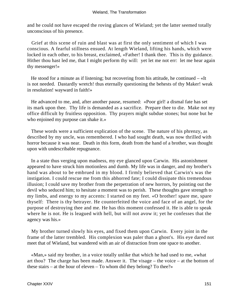and he could not have escaped the roving glances of Wieland; yet the latter seemed totally unconscious of his presence.

 Grief at this scene of ruin and blast was at first the only sentiment of which I was conscious. A fearful stillness ensued. At length Wieland, lifting his hands, which were locked in each other, to his breast, exclaimed, «Father! I thank thee. This is thy guidance. Hither thou hast led me, that I might perform thy will: yet let me not err: let me hear again thy messenger!»

 He stood for a minute as if listening; but recovering from his attitude, he continued – «It is not needed. Dastardly wretch! thus eternally questioning the behests of thy Maker! weak in resolution! wayward in faith!»

 He advanced to me, and, after another pause, resumed: «Poor girl! a dismal fate has set its mark upon thee. Thy life is demanded as a sacrifice. Prepare thee to die. Make not my office difficult by fruitless opposition. Thy prayers might subdue stones; but none but he who enjoined my purpose can shake it.»

 These words were a sufficient explication of the scene. The nature of his phrenzy, as described by my uncle, was remembered. I who had sought death, was now thrilled with horror because it was near. Death in this form, death from the hand of a brother, was thought upon with undescribable repugnance.

 In a state thus verging upon madness, my eye glanced upon Carwin. His astonishment appeared to have struck him motionless and dumb. My life was in danger, and my brother's hand was about to be embrued in my blood. I firmly believed that Carwin's was the instigation. I could rescue me from this abhorred fate; I could dissipate this tremendous illusion; I could save my brother from the perpetration of new horrors, by pointing out the devil who seduced him; to hesitate a moment was to perish. These thoughts gave strength to my limbs, and energy to my accents: I started on my feet. «O brother! spare me, spare thyself: There is thy betrayer. He counterfeited the voice and face of an angel, for the purpose of destroying thee and me. He has this moment confessed it. He is able to speak where he is not. He is leagued with hell, but will not avow it; yet he confesses that the agency was his.»

 My brother turned slowly his eyes, and fixed them upon Carwin. Every joint in the frame of the latter trembled. His complexion was paler than a ghost's. His eye dared not meet that of Wieland, but wandered with an air of distraction from one space to another.

 «Man,» said my brother, in a voice totally unlike that which he had used to me, «what art thou? The charge has been made. Answer it. The visage – the voice – at the bottom of these stairs – at the hour of eleven – To whom did they belong? To thee?»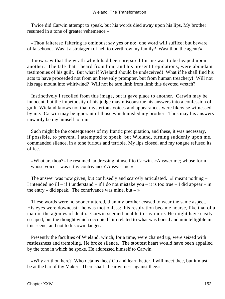Twice did Carwin attempt to speak, but his words died away upon his lips. My brother resumed in a tone of greater vehemence –

 «Thou falterest; faltering is ominous; say yes or no: one word will suffice; but beware of falsehood. Was it a stratagem of hell to overthrow my family? Wast thou the agent?»

 I now saw that the wrath which had been prepared for me was to be heaped upon another. The tale that I heard from him, and his present trepidations, were abundant testimonies of his guilt. But what if Wieland should be undeceived! What if he shall find his acts to have proceeded not from an heavenly prompter, but from human treachery! Will not his rage mount into whirlwind? Will not he tare limb from limb this devoted wretch?

 Instinctively I recoiled from this image, but it gave place to another. Carwin may be innocent, but the impetuosity of his judge may misconstrue his answers into a confession of guilt. Wieland knows not that mysterious voices and appearances were likewise witnessed by me. Carwin may be ignorant of those which misled my brother. Thus may his answers unwarily betray himself to ruin.

 Such might be the consequences of my frantic precipitation, and these, it was necessary, if possible, to prevent. I attempted to speak, but Wieland, turning suddenly upon me, commanded silence, in a tone furious and terrible. My lips closed, and my tongue refused its office.

 «What art thou?» he resumed, addressing himself to Carwin. «Answer me; whose form – whose voice – was it thy contrivance? Answer me.»

 The answer was now given, but confusedly and scarcely articulated. «I meant nothing – I intended no ill – if I understand – if I do not mistake you – it is too true – I did appear – in the entry – did speak. The contrivance was mine, but –  $\rightarrow$ 

 These words were no sooner uttered, than my brother ceased to wear the same aspect. His eyes were downcast: he was motionless: his respiration became hoarse, like that of a man in the agonies of death. Carwin seemed unable to say more. He might have easily escaped, but the thought which occupied him related to what was horrid and unintelligible in this scene, and not to his own danger.

 Presently the faculties of Wieland, which, for a time, were chained up, were seized with restlessness and trembling. He broke silence. The stoutest heart would have been appalled by the tone in which he spoke. He addressed himself to Carwin.

 «Why art thou here? Who detains thee? Go and learn better. I will meet thee, but it must be at the bar of thy Maker. There shall I bear witness against thee.»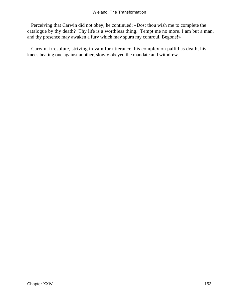Perceiving that Carwin did not obey, he continued; «Dost thou wish me to complete the catalogue by thy death? Thy life is a worthless thing. Tempt me no more. I am but a man, and thy presence may awaken a fury which may spurn my controul. Begone!»

 Carwin, irresolute, striving in vain for utterance, his complexion pallid as death, his knees beating one against another, slowly obeyed the mandate and withdrew.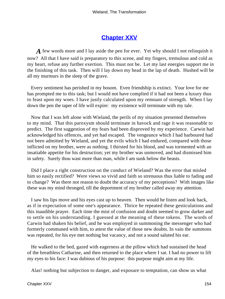## **[Chapter XXV](#page-173-0)**

<span id="page-154-0"></span>*A* few words more and I lay aside the pen for ever. Yet why should I not relinquish it now? All that I have said is preparatory to this scene, and my fingers, tremulous and cold as my heart, refuse any further exertion. This must not be. Let my last energies support me in the finishing of this task. Then will I lay down my head in the lap of death. Hushed will be all my murmurs in the sleep of the grave.

 Every sentiment has perished in my bosom. Even friendship is extinct. Your love for me has prompted me to this task; but I would not have complied if it had not been a luxury thus to feast upon my woes. I have justly calculated upon my remnant of strength. When I lay down the pen the taper of life will expire: my existence will terminate with my tale.

 Now that I was left alone with Wieland, the perils of my situation presented themselves to my mind. That this paroxysm should terminate in havock and rage it was reasonable to predict. The first suggestion of my fears had been disproved by my experience. Carwin had acknowledged his offences, and yet had escaped. The vengeance which I had harboured had not been admitted by Wieland, and yet the evils which I had endured, compared with those inflicted on my brother, were as nothing. I thirsted for his blood, and was tormented with an insatiable appetite for his destruction; yet my brother was unmoved, and had dismissed him in safety. Surely thou wast more than man, while I am sunk below the beasts.

 Did I place a right construction on the conduct of Wieland? Was the error that misled him so easily rectified? Were views so vivid and faith so strenuous thus liable to fading and to change? Was there not reason to doubt the accuracy of my perceptions? With images like these was my mind thronged, till the deportment of my brother called away my attention.

 I saw his lips move and his eyes cast up to heaven. Then would he listen and look back, as if in expectation of some one's appearance. Thrice he repeated these gesticulations and this inaudible prayer. Each time the mist of confusion and doubt seemed to grow darker and to settle on his understanding. I guessed at the meaning of these tokens. The words of Carwin had shaken his belief, and he was employed in summoning the messenger who had formerly communed with him, to attest the value of those new doubts. In vain the summons was repeated, for his eye met nothing but vacancy, and not a sound saluted his ear.

 He walked to the bed, gazed with eagerness at the pillow which had sustained the head of the breathless Catharine, and then returned to the place where I sat. I had no power to lift my eyes to his face: I was dubious of his purpose: this purpose might aim at my life.

Alas! nothing but subjection to danger, and exposure to temptation, can show us what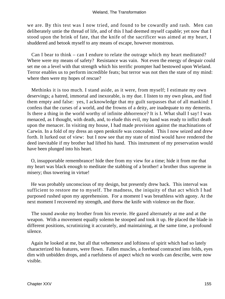#### Wieland, The Transformation

we are. By this test was I now tried, and found to be cowardly and rash. Men can deliberately untie the thread of life, and of this I had deemed myself capable; yet now that I stood upon the brink of fate, that the knife of the sacrificer was aimed at my heart, I shuddered and betook myself to any means of escape, however monstrous.

 Can I bear to think – can I endure to relate the outrage which my heart meditated? Where were my means of safety? Resistance was vain. Not even the energy of despair could set me on a level with that strength which his terrific prompter had bestowed upon Wieland. Terror enables us to perform incredible feats; but terror was not then the state of my mind: where then were my hopes of rescue?

 Methinks it is too much. I stand aside, as it were, from myself; I estimate my own deservings; a hatred, immortal and inexorable, is my due. I listen to my own pleas, and find them empty and false: yes, I acknowledge that my guilt surpasses that of all mankind: I confess that the curses of a world, and the frowns of a deity, are inadequate to my demerits. Is there a thing in the world worthy of infinite abhorrence? It is I. What shall I say! I was menaced, as I thought, with death, and, to elude this evil, my hand was ready to inflict death upon the menacer. In visiting my house, I had made provision against the machinations of Carwin. In a fold of my dress an open penknife was concealed. This I now seized and drew forth. It lurked out of view: but I now see that my state of mind would have rendered the deed inevitable if my brother had lifted his hand. This instrument of my preservation would have been plunged into his heart.

 O, insupportable remembrance! hide thee from my view for a time; hide it from me that my heart was black enough to meditate the stabbing of a brother! a brother thus supreme in misery; thus towering in virtue!

 He was probably unconscious of my design, but presently drew back. This interval was sufficient to restore me to myself. The madness, the iniquity of that act which I had purposed rushed upon my apprehension. For a moment I was breathless with agony. At the next moment I recovered my strength, and threw the knife with violence on the floor.

 The sound awoke my brother from his reverie. He gazed alternately at me and at the weapon. With a movement equally solemn he stooped and took it up. He placed the blade in different positions, scrutinizing it accurately, and maintaining, at the same time, a profound silence.

 Again he looked at me, but all that vehemence and loftiness of spirit which had so lately characterized his features, were flown. Fallen muscles, a forehead contracted into folds, eyes dim with unbidden drops, and a ruefulness of aspect which no words can describe, were now visible.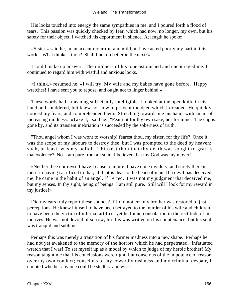His looks touched into energy the same sympathies in me, and I poured forth a flood of tears. This passion was quickly checked by fear, which had now, no longer, my own, but his safety for their object. I watched his deportment in silence. At length he spoke:

 «Sister,» said he, in an accent mournful and mild, «I have acted poorly my part in this world. What thinkest thou? Shall I not do better in the next?»

 I could make no answer. The mildness of his tone astonished and encouraged me. I continued to regard him with wistful and anxious looks.

 «I think,» resumed he, «I will try. My wife and my babes have gone before. Happy wretches! I have sent you to repose, and ought not to linger behind.»

 These words had a meaning sufficiently intelligible. I looked at the open knife in his hand and shuddered, but knew not how to prevent the deed which I dreaded. He quickly noticed my fears, and comprehended them. Stretching towards me his hand, with an air of increasing mildness: «Take it,» said he: "Fear not for thy own sake, nor for mine. The cup is gone by, and its transient inebriation is succeeded by the soberness of truth.

 "Thou angel whom I was wont to worship! fearest thou, my sister, for thy life? Once it was the scope of my labours to destroy thee, but I was prompted to the deed by heaven; such, at least, was my belief. Thinkest thou that thy death was sought to gratify malevolence? No. I am pure from all stain. I believed that my God was my mover!

 «Neither thee nor myself have I cause to injure. I have done my duty, and surely there is merit in having sacrificed to that, all that is dear to the heart of man. If a devil has deceived me, he came in the habit of an angel. If I erred, it was not my judgment that deceived me, but my senses. In thy sight, being of beings! I am still pure. Still will I look for my reward in thy justice!»

 Did my ears truly report these sounds? If I did not err, my brother was restored to just perceptions. He knew himself to have been betrayed to the murder of his wife and children, to have been the victim of infernal artifice; yet he found consolation in the rectitude of his motives. He was not devoid of sorrow, for this was written on his countenance; but his soul was tranquil and sublime.

 Perhaps this was merely a transition of his former madness into a new shape. Perhaps he had not yet awakened to the memory of the horrors which he had perpetrated. Infatuated wretch that I was! To set myself up as a model by which to judge of my heroic brother! My reason taught me that his conclusions were right; but conscious of the impotence of reason over my own conduct; conscious of my cowardly rashness and my criminal despair, I doubted whether any one could be stedfast and wise.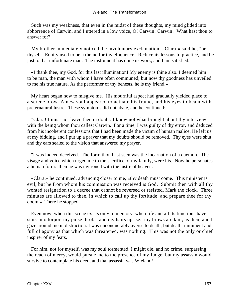Such was my weakness, that even in the midst of these thoughts, my mind glided into abhorrence of Carwin, and I uttered in a low voice, O! Carwin! Carwin! What hast thou to answer for?

 My brother immediately noticed the involuntary exclamation: «Clara!» said he, "be thyself. Equity used to be a theme for thy eloquence. Reduce its lessons to practice, and be just to that unfortunate man. The instrument has done its work, and I am satisfied.

 «I thank thee, my God, for this last illumination! My enemy is thine also. I deemed him to be man, the man with whom I have often communed; but now thy goodness has unveiled to me his true nature. As the performer of thy behests, he is my friend.»

 My heart began now to misgive me. His mournful aspect had gradually yielded place to a serene brow. A new soul appeared to actuate his frame, and his eyes to beam with preternatural lustre. These symptoms did not abate, and he continued:

 "Clara! I must not leave thee in doubt. I know not what brought about thy interview with the being whom thou callest Carwin. For a time, I was guilty of thy error, and deduced from his incoherent confessions that I had been made the victim of human malice. He left us at my bidding, and I put up a prayer that my doubts should be removed. Thy eyes were shut, and thy ears sealed to the vision that answered my prayer.

 "I was indeed deceived. The form thou hast seen was the incarnation of a daemon. The visage and voice which urged me to the sacrifice of my family, were his. Now he personates a human form: then he was invironed with the lustre of heaven. –

 «Clara,» he continued, advancing closer to me, «thy death must come. This minister is evil, but he from whom his commission was received is God. Submit then with all thy wonted resignation to a decree that cannot be reversed or resisted. Mark the clock. Three minutes are allowed to thee, in which to call up thy fortitude, and prepare thee for thy doom.» There he stopped.

 Even now, when this scene exists only in memory, when life and all its functions have sunk into torpor, my pulse throbs, and my hairs uprise: my brows are knit, as then; and I gaze around me in distraction. I was unconquerably averse to death; but death, imminent and full of agony as that which was threatened, was nothing. This was not the only or chief inspirer of my fears.

 For him, not for myself, was my soul tormented. I might die, and no crime, surpassing the reach of mercy, would pursue me to the presence of my Judge; but my assassin would survive to contemplate his deed, and that assassin was Wieland!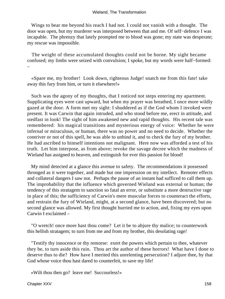Wings to bear me beyond his reach I had not. I could not vanish with a thought. The door was open, but my murderer was interposed between that and me. Of self−defence I was incapable. The phrenzy that lately prompted me to blood was gone; my state was desperate; my rescue was impossible.

 The weight of these accumulated thoughts could not be borne. My sight became confused; my limbs were seized with convulsion; I spoke, but my words were half−formed: –

 «Spare me, my brother! Look down, righteous Judge! snatch me from this fate! take away this fury from him, or turn it elsewhere!»

 Such was the agony of my thoughts, that I noticed not steps entering my apartment. Supplicating eyes were cast upward, but when my prayer was breathed, I once more wildly gazed at the door. A form met my sight: I shuddered as if the God whom I invoked were present. It was Carwin that again intruded, and who stood before me, erect in attitude, and stedfast in look! The sight of him awakened new and rapid thoughts. His recent tale was remembered: his magical transitions and mysterious energy of voice: Whether he were infernal or miraculous, or human, there was no power and no need to decide. Whether the contriver or not of this spell, he was able to unbind it, and to check the fury of my brother. He had ascribed to himself intentions not malignant. Here now was afforded a test of his truth. Let him interpose, as from above; revoke the savage decree which the madness of Wieland has assigned to heaven, and extinguish for ever this passion for blood!

 My mind detected at a glance this avenue to safety. The recommendations it possessed thronged as it were together, and made but one impression on my intellect. Remoter effects and collateral dangers I saw not. Perhaps the pause of an instant had sufficed to call them up. The improbability that the influence which governed Wieland was external or human; the tendency of this stratagem to sanction so fatal an error, or substitute a more destructive rage in place of this; the sufficiency of Carwin's mere muscular forces to counteract the efforts, and restrain the fury of Wieland, might, at a second glance, have been discovered; but no second glance was allowed. My first thought hurried me to action, and, fixing my eyes upon Carwin I exclaimed –

 "O wretch! once more hast thou come? Let it be to abjure thy malice; to counterwork this hellish stratagem; to turn from me and from my brother, this desolating rage!

 "Testify thy innocence or thy remorse: exert the powers which pertain to thee, whatever they be, to turn aside this ruin. Thou art the author of these horrors! What have I done to deserve thus to die? How have I merited this unrelenting persecution? I adjure thee, by that God whose voice thou hast dared to counterfeit, to save my life!

«Wilt thou then go? leave me! Succourless!»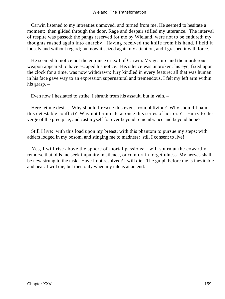Carwin listened to my intreaties unmoved, and turned from me. He seemed to hesitate a moment: then glided through the door. Rage and despair stifled my utterance. The interval of respite was passed; the pangs reserved for me by Wieland, were not to be endured; my thoughts rushed again into anarchy. Having received the knife from his hand, I held it loosely and without regard; but now it seized again my attention, and I grasped it with force.

 He seemed to notice not the entrance or exit of Carwin. My gesture and the murderous weapon appeared to have escaped his notice. His silence was unbroken; his eye, fixed upon the clock for a time, was now withdrawn; fury kindled in every feature; all that was human in his face gave way to an expression supernatural and tremendous. I felt my left arm within his grasp. –

Even now I hesitated to strike. I shrunk from his assault, but in vain. –

 Here let me desist. Why should I rescue this event from oblivion? Why should I paint this detestable conflict? Why not terminate at once this series of horrors? – Hurry to the verge of the precipice, and cast myself for ever beyond remembrance and beyond hope?

 Still I live: with this load upon my breast; with this phantom to pursue my steps; with adders lodged in my bosom, and stinging me to madness: still I consent to live!

 Yes, I will rise above the sphere of mortal passions: I will spurn at the cowardly remorse that bids me seek impunity in silence, or comfort in forgetfulness. My nerves shall be new strung to the task. Have I not resolved? I will die. The gulph before me is inevitable and near. I will die, but then only when my tale is at an end.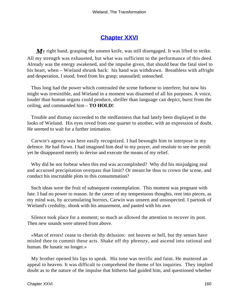## **[Chapter XXVI](#page-173-0)**

<span id="page-160-0"></span>*My* right hand, grasping the unseen knife, was still disengaged. It was lifted to strike. All my strength was exhausted, but what was sufficient to the performance of this deed. Already was the energy awakened, and the impulse given, that should bear the fatal steel to his heart, when – Wieland shrunk back: his hand was withdrawn. Breathless with affright and desperation, I stood, freed from his grasp; unassailed; untouched.

 Thus long had the power which controuled the scene forborne to interfere; but now his might was irresistible, and Wieland in a moment was disarmed of all his purposes. A voice, louder than human organs could produce, shriller than language can depict, burst from the ceiling, and commanded him – **TO HOLD!**

 Trouble and dismay succeeded to the stedfastness that had lately been displayed in the looks of Wieland. His eyes roved from one quarter to another, with an expression of doubt. He seemed to wait for a further intimation.

 Carwin's agency was here easily recognized. I had besought him to interpose in my defence. He had flown. I had imagined him deaf to my prayer, and resolute to see me perish: yet he disappeared merely to devise and execute the means of my relief.

 Why did he not forbear when this end was accomplished? Why did his misjudging zeal and accursed precipitation overpass that limit? Or meant he thus to crown the scene, and conduct his inscrutable plots to this consummation?

 Such ideas were the fruit of subsequent contemplation. This moment was pregnant with fate. I had no power to reason. In the career of my tempestuous thoughts, rent into pieces, as my mind was, by accumulating horrors, Carwin was unseen and unsuspected. I partook of Wieland's credulity, shook with his amazement, and panted with his awe.

 Silence took place for a moment; so much as allowed the attention to recover its post. Then new sounds were uttered from above.

 «Man of errors! cease to cherish thy delusion: not heaven or hell, but thy senses have misled thee to commit these acts. Shake off thy phrenzy, and ascend into rational and human. Be lunatic no longer.»

 My brother opened his lips to speak. His tone was terrific and faint. He muttered an appeal to heaven. It was difficult to comprehend the theme of his inquiries. They implied doubt as to the nature of the impulse that hitherto had guided him, and questioned whether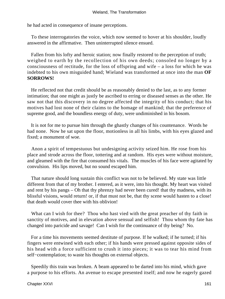he had acted in consequence of insane perceptions.

 To these interrogatories the voice, which now seemed to hover at his shoulder, loudly answered in the affirmative. Then uninterrupted silence ensued.

 Fallen from his lofty and heroic station; now finally restored to the perception of truth; weighed to earth by the recollection of his own deeds; consoled no longer by a consciousness of rectitude, for the loss of offspring and wife – a loss for which he was indebted to his own misguided hand; Wieland was transformed at once into the man **OF SORROWS!**

 He reflected not that credit should be as reasonably denied to the last, as to any former intimation; that one might as justly be ascribed to erring or diseased senses as the other. He saw not that this discovery in no degree affected the integrity of his conduct; that his motives had lost none of their claims to the homage of mankind; that the preference of supreme good, and the boundless energy of duty, were undiminished in his bosom.

 It is not for me to pursue him through the ghastly changes of his countenance. Words he had none. Now he sat upon the floor, motionless in all his limbs, with his eyes glazed and fixed; a monument of woe.

 Anon a spirit of tempestuous but undesigning activity seized him. He rose from his place and strode across the floor, tottering and at random. His eyes were without moisture, and gleamed with the fire that consumed his vitals. The muscles of his face were agitated by convulsion. His lips moved, but no sound escaped him.

 That nature should long sustain this conflict was not to be believed. My state was little different from that of my brother. I entered, as it were, into his thought. My heart was visited and rent by his pangs – Oh that thy phrenzy had never been cured! that thy madness, with its blissful visions, would return! or, if that must not be, that thy scene would hasten to a close! that death would cover thee with his oblivion!

What can I wish for thee? Thou who hast vied with the great preacher of thy faith in sanctity of motives, and in elevation above sensual and selfish! Thou whom thy fate has changed into paricide and savage! Can I wish for the continuance of thy being? No.

 For a time his movements seemed destitute of purpose. If he walked; if he turned; if his fingers were entwined with each other; if his hands were pressed against opposite sides of his head with a force sufficient to crush it into pieces; it was to tear his mind from self–contemplation; to waste his thoughts on external objects.

 Speedily this train was broken. A beam appeared to be darted into his mind, which gave a purpose to his efforts. An avenue to escape presented itself; and now he eagerly gazed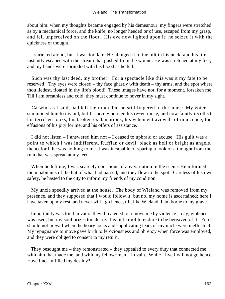about him: when my thoughts became engaged by his demeanour, my fingers were stretched as by a mechanical force, and the knife, no longer heeded or of use, escaped from my grasp, and fell unperceived on the floor. His eye now lighted upon it; he seized it with the quickness of thought.

 I shrieked aloud, but it was too late. He plunged it to the hilt in his neck; and his life instantly escaped with the stream that gushed from the wound. He was stretched at my feet; and my hands were sprinkled with his blood as he fell.

 Such was thy last deed, my brother! For a spectacle like this was it my fate to be reserved! Thy eyes were closed – thy face ghastly with death – thy arms, and the spot where thou liedest, floated in thy life's blood! These images have not, for a moment, forsaken me. Till I am breathless and cold, they must continue to hover in my sight.

 Carwin, as I said, had left the room, but he still lingered in the house. My voice summoned him to my aid; but I scarcely noticed his re−entrance, and now faintly recollect his terrified looks, his broken exclamations, his vehement avowals of innocence, the effusions of his pity for me, and his offers of assistance.

 I did not listen – I answered him not – I ceased to upbraid or accuse. His guilt was a point to which I was indifferent. Ruffian or devil, black as hell or bright as angels, thenceforth he was nothing to me. I was incapable of sparing a look or a thought from the ruin that was spread at my feet.

 When he left me, I was scarcely conscious of any variation in the scene. He informed the inhabitants of the hut of what had passed, and they flew to the spot. Careless of his own safety, he hasted to the city to inform my friends of my condition.

 My uncle speedily arrived at the house. The body of Wieland was removed from my presence, and they supposed that I would follow it; but no, my home is ascertained; here I have taken up my rest, and never will I go hence, till, like Wieland, I am borne to my grave.

 Importunity was tried in vain: they threatened to remove me by violence – nay, violence was used; but my soul prizes too dearly this little roof to endure to be bereaved of it. Force should not prevail when the hoary locks and supplicating tears of my uncle were ineffectual. My repugnance to move gave birth to ferociousness and phrenzy when force was employed, and they were obliged to consent to my return.

 They besought me – they remonstrated – they appealed to every duty that connected me with him that made me, and with my fellow−men – in vain. While I live I will not go hence. Have I not fulfilled my destiny?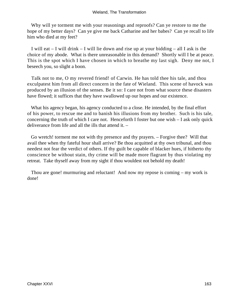Why will ye torment me with your reasonings and reproofs? Can ye restore to me the hope of my better days? Can ye give me back Catharine and her babes? Can ye recall to life him who died at my feet?

 I will eat – I will drink – I will lie down and rise up at your bidding – all I ask is the choice of my abode. What is there unreasonable in this demand? Shortly will I be at peace. This is the spot which I have chosen in which to breathe my last sigh. Deny me not, I beseech you, so slight a boon.

 Talk not to me, O my revered friend! of Carwin. He has told thee his tale, and thou exculpatest him from all direct concern in the fate of Wieland. This scene of havock was produced by an illusion of the senses. Be it so: I care not from what source these disasters have flowed; it suffices that they have swallowed up our hopes and our existence.

 What his agency began, his agency conducted to a close. He intended, by the final effort of his power, to rescue me and to banish his illusions from my brother. Such is his tale, concerning the truth of which I care not. Henceforth I foster but one wish – I ask only quick deliverance from life and all the ills that attend it. –

 Go wretch! torment me not with thy presence and thy prayers. – Forgive thee? Will that avail thee when thy fateful hour shall arrive? Be thou acquitted at thy own tribunal, and thou needest not fear the verdict of others. If thy guilt be capable of blacker hues, if hitherto thy conscience be without stain, thy crime will be made more flagrant by thus violating my retreat. Take thyself away from my sight if thou wouldest not behold my death!

 Thou are gone! murmuring and reluctant! And now my repose is coming – my work is done!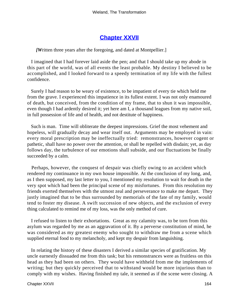## **[Chapter XXVII](#page-173-0)**

### <span id="page-164-0"></span>*[W*ritten three years after the foregoing, and dated at Montpellier.]

 I imagined that I had forever laid aside the pen; and that I should take up my abode in this part of the world, was of all events the least probable. My destiny I believed to be accomplished, and I looked forward to a speedy termination of my life with the fullest confidence.

 Surely I had reason to be weary of existence, to be impatient of every tie which held me from the grave. I experienced this impatience in its fullest extent. I was not only enamoured of death, but conceived, from the condition of my frame, that to shun it was impossible, even though I had ardently desired it; yet here am I, a thousand leagues from my native soil, in full possession of life and of health, and not destitute of happiness.

 Such is man. Time will obliterate the deepest impressions. Grief the most vehement and hopeless, will gradually decay and wear itself out. Arguments may be employed in vain: every moral prescription may be ineffectually tried: remonstrances, however cogent or pathetic, shall have no power over the attention, or shall be repelled with disdain; yet, as day follows day, the turbulence of our emotions shall subside, and our fluctuations be finally succeeded by a calm.

 Perhaps, however, the conquest of despair was chiefly owing to an accident which rendered my continuance in my own house impossible. At the conclusion of my long, and, as I then supposed, my last letter to you, I mentioned my resolution to wait for death in the very spot which had been the principal scene of my misfortunes. From this resolution my friends exerted themselves with the utmost zeal and perseverance to make me depart. They justly imagined that to be thus surrounded by memorials of the fate of my family, would tend to foster my disease. A swift succession of new objects, and the exclusion of every thing calculated to remind me of my loss, was the only method of cure.

 I refused to listen to their exhortations. Great as my calamity was, to be torn from this asylum was regarded by me as an aggravation of it. By a perverse constitution of mind, he was considered as my greatest enemy who sought to withdraw me from a scene which supplied eternal food to my melancholy, and kept my despair from languishing.

 In relating the history of these disasters I derived a similar species of gratification. My uncle earnestly dissuaded me from this task; but his remonstrances were as fruitless on this head as they had been on others. They would have withheld from me the implements of writing; but they quickly perceived that to withstand would be more injurious than to comply with my wishes. Having finished my tale, it seemed as if the scene were closing. A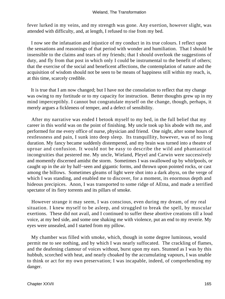#### Wieland, The Transformation

fever lurked in my veins, and my strength was gone. Any exertion, however slight, was attended with difficulty, and, at length, I refused to rise from my bed.

 I now see the infatuation and injustice of my conduct in its true colours. I reflect upon the sensations and reasonings of that period with wonder and humiliation. That I should be insensible to the claims and tears of my friends; that I should overlook the suggestions of duty, and fly from that post in which only I could be instrumental to the benefit of others; that the exercise of the social and beneficent affections, the contemplation of nature and the acquisition of wisdom should not be seen to be means of happiness still within my reach, is, at this time, scarcely credible.

 It is true that I am now changed; but I have not the consolation to reflect that my change was owing to my fortitude or to my capacity for instruction. Better thoughts grew up in my mind imperceptibly. I cannot but congratulate myself on the change, though, perhaps, it merely argues a fickleness of temper, and a defect of sensibility.

 After my narrative was ended I betook myself to my bed, in the full belief that my career in this world was on the point of finishing. My uncle took up his abode with me, and performed for me every office of nurse, physician and friend. One night, after some hours of restlessness and pain, I sunk into deep sleep. Its tranquillity, however, was of no long duration. My fancy became suddenly distempered, and my brain was turned into a theatre of uproar and confusion. It would not be easy to describe the wild and phantastical incongruities that pestered me. My uncle, Wieland, Pleyel and Carwin were successively and momently discerned amidst the storm. Sometimes I was swallowed up by whirlpools, or caught up in the air by half−seen and gigantic forms, and thrown upon pointed rocks, or cast among the billows. Sometimes gleams of light were shot into a dark abyss, on the verge of which I was standing, and enabled me to discover, for a moment, its enormous depth and hideous precipices. Anon, I was transported to some ridge of AEtna, and made a terrified spectator of its fiery torrents and its pillars of smoke.

 However strange it may seem, I was conscious, even during my dream, of my real situation. I knew myself to be asleep, and struggled to break the spell, by muscular exertions. These did not avail, and I continued to suffer these abortive creations till a loud voice, at my bed side, and some one shaking me with violence, put an end to my reverie. My eyes were unsealed, and I started from my pillow.

 My chamber was filled with smoke, which, though in some degree luminous, would permit me to see nothing, and by which I was nearly suffocated. The crackling of flames, and the deafening clamour of voices without, burst upon my ears. Stunned as I was by this hubbub, scorched with heat, and nearly choaked by the accumulating vapours, I was unable to think or act for my own preservation; I was incapable, indeed, of comprehending my danger.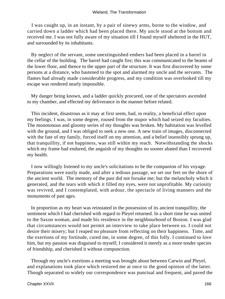I was caught up, in an instant, by a pair of sinewy arms, borne to the window, and carried down a ladder which had been placed there. My uncle stood at the bottom and received me. I was not fully aware of my situation till I found myself sheltered in the HUT, and surrounded by its inhabitants.

 By neglect of the servant, some unextinguished embers had been placed in a barrel in the cellar of the building. The barrel had caught fire; this was communicated to the beams of the lower floor, and thence to the upper part of the structure. It was first discovered by some persons at a distance, who hastened to the spot and alarmed my uncle and the servants. The flames had already made considerable progress, and my condition was overlooked till my escape was rendered nearly impossible.

 My danger being known, and a ladder quickly procured, one of the spectators ascended to my chamber, and effected my deliverance in the manner before related.

 This incident, disastrous as it may at first seem, had, in reality, a beneficial effect upon my feelings. I was, in some degree, roused from the stupor which had seized my faculties. The monotonous and gloomy series of my thoughts was broken. My habitation was levelled with the ground, and I was obliged to seek a new one. A new train of images, disconnected with the fate of my family, forced itself on my attention, and a belief insensibly sprung up, that tranquillity, if not happiness, was still within my reach. Notwithstanding the shocks which my frame had endured, the anguish of my thoughts no sooner abated than I recovered my health.

 I now willingly listened to my uncle's solicitations to be the companion of his voyage. Preparations were easily made, and after a tedious passage, we set our feet on the shore of the ancient world. The memory of the past did not forsake me; but the melancholy which it generated, and the tears with which it filled my eyes, were not unprofitable. My curiosity was revived, and I contemplated, with ardour, the spectacle of living manners and the monuments of past ages.

 In proportion as my heart was reinstated in the possession of its ancient tranquillity, the sentiment which I had cherished with regard to Pleyel returned. In a short time he was united to the Saxon woman, and made his residence in the neighbourhood of Boston. I was glad that circumstances would not permit an interview to take place between us. I could not desire their misery; but I reaped no pleasure from reflecting on their happiness. Time, and the exertions of my fortitude, cured me, in some degree, of this folly. I continued to love him, but my passion was disguised to myself; I considered it merely as a more tender species of friendship, and cherished it without compunction.

 Through my uncle's exertions a meeting was brought about between Carwin and Pleyel, and explanations took place which restored me at once to the good opinion of the latter. Though separated so widely our correspondence was punctual and frequent, and paved the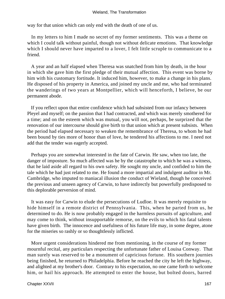way for that union which can only end with the death of one of us.

 In my letters to him I made no secret of my former sentiments. This was a theme on which I could talk without painful, though not without delicate emotions. That knowledge which I should never have imparted to a lover, I felt little scruple to communicate to a friend.

 A year and an half elapsed when Theresa was snatched from him by death, in the hour in which she gave him the first pledge of their mutual affection. This event was borne by him with his customary fortitude. It induced him, however, to make a change in his plans. He disposed of his property in America, and joined my uncle and me, who had terminated the wanderings of two years at Montpellier, which will henceforth, I believe, be our permanent abode.

 If you reflect upon that entire confidence which had subsisted from our infancy between Pleyel and myself; on the passion that I had contracted, and which was merely smothered for a time; and on the esteem which was mutual, you will not, perhaps, be surprized that the renovation of our intercourse should give birth to that union which at present subsists. When the period had elapsed necessary to weaken the remembrance of Theresa, to whom he had been bound by ties more of honor than of love, he tendered his affections to me. I need not add that the tender was eagerly accepted.

 Perhaps you are somewhat interested in the fate of Carwin. He saw, when too late, the danger of imposture. So much affected was he by the catastrophe to which he was a witness, that he laid aside all regard to his own safety. He sought my uncle, and confided to him the tale which he had just related to me. He found a more impartial and indulgent auditor in Mr. Cambridge, who imputed to maniacal illusion the conduct of Wieland, though he conceived the previous and unseen agency of Carwin, to have indirectly but powerfully predisposed to this deplorable perversion of mind.

 It was easy for Carwin to elude the persecutions of Ludloe. It was merely requisite to hide himself in a remote district of Pennsylvania. This, when he parted from us, he determined to do. He is now probably engaged in the harmless pursuits of agriculture, and may come to think, without insupportable remorse, on the evils to which his fatal talents have given birth. The innocence and usefulness of his future life may, in some degree, atone for the miseries so rashly or so thoughtlessly inflicted.

 More urgent considerations hindered me from mentioning, in the course of my former mournful recital, any particulars respecting the unfortunate father of Louisa Conway. That man surely was reserved to be a monument of capricious fortune. His southern journies being finished, he returned to Philadelphia. Before he reached the city he left the highway, and alighted at my brother's door. Contrary to his expectation, no one came forth to welcome him, or hail his approach. He attempted to enter the house, but bolted doors, barred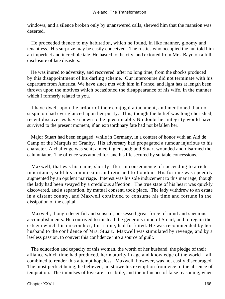windows, and a silence broken only by unanswered calls, shewed him that the mansion was deserted.

 He proceeded thence to my habitation, which he found, in like manner, gloomy and tenantless. His surprize may be easily conceived. The rustics who occupied the hut told him an imperfect and incredible tale. He hasted to the city, and extorted from Mrs. Baynton a full disclosure of late disasters.

 He was inured to adversity, and recovered, after no long time, from the shocks produced by this disappointment of his darling scheme. Our intercourse did not terminate with his departure from America. We have since met with him in France, and light has at length been thrown upon the motives which occasioned the disappearance of his wife, in the manner which I formerly related to you.

 I have dwelt upon the ardour of their conjugal attachment, and mentioned that no suspicion had ever glanced upon her purity. This, though the belief was long cherished, recent discoveries have shewn to be questionable. No doubt her integrity would have survived to the present moment, if an extraordinary fate had not befallen her.

 Major Stuart had been engaged, while in Germany, in a contest of honor with an Aid de Camp of the Marquis of Granby. His adversary had propagated a rumour injurious to his character. A challenge was sent; a meeting ensued; and Stuart wounded and disarmed the calumniator. The offence was atoned for, and his life secured by suitable concessions.

 Maxwell, that was his name, shortly after, in consequence of succeeding to a rich inheritance, sold his commission and returned to London. His fortune was speedily augmented by an opulent marriage. Interest was his sole inducement to this marriage, though the lady had been swayed by a credulous affection. The true state of his heart was quickly discovered, and a separation, by mutual consent, took place. The lady withdrew to an estate in a distant county, and Maxwell continued to consume his time and fortune in the dissipation of the capital.

 Maxwell, though deceitful and sensual, possessed great force of mind and specious accomplishments. He contrived to mislead the generous mind of Stuart, and to regain the esteem which his misconduct, for a time, had forfeited. He was recommended by her husband to the confidence of Mrs. Stuart. Maxwell was stimulated by revenge, and by a lawless passion, to convert this confidence into a source of guilt.

 The education and capacity of this woman, the worth of her husband, the pledge of their alliance which time had produced, her maturity in age and knowledge of the world – all combined to render this attempt hopeless. Maxwell, however, was not easily discouraged. The most perfect being, he believed, must owe his exemption from vice to the absence of temptation. The impulses of love are so subtile, and the influence of false reasoning, when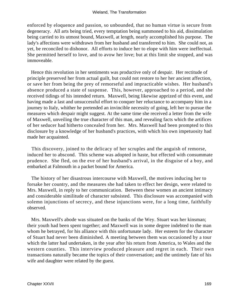enforced by eloquence and passion, so unbounded, that no human virtue is secure from degeneracy. All arts being tried, every temptation being summoned to his aid, dissimulation being carried to its utmost bound, Maxwell, at length, nearly accomplished his purpose. The lady's affections were withdrawn from her husband and transferred to him. She could not, as yet, be reconciled to dishonor. All efforts to induce her to elope with him were ineffectual. She permitted herself to love, and to avow her love; but at this limit she stopped, and was immoveable.

 Hence this revolution in her sentiments was productive only of despair. Her rectitude of principle preserved her from actual guilt, but could not restore to her her ancient affection, or save her from being the prey of remorseful and impracticable wishes. Her husband's absence produced a state of suspense. This, however, approached to a period, and she received tidings of his intended return. Maxwell, being likewise apprized of this event, and having made a last and unsuccessful effort to conquer her reluctance to accompany him in a journey to Italy, whither he pretended an invincible necessity of going, left her to pursue the measures which despair might suggest. At the same time she received a letter from the wife of Maxwell, unveiling the true character of this man, and revealing facts which the artifices of her seducer had hitherto concealed from her. Mrs. Maxwell had been prompted to this disclosure by a knowledge of her husband's practices, with which his own impetuosity had made her acquainted.

 This discovery, joined to the delicacy of her scruples and the anguish of remorse, induced her to abscond. This scheme was adopted in haste, but effected with consummate prudence. She fled, on the eve of her husband's arrival, in the disguise of a boy, and embarked at Falmouth in a packet bound for America.

 The history of her disastrous intercourse with Maxwell, the motives inducing her to forsake her country, and the measures she had taken to effect her design, were related to Mrs. Maxwell, in reply to her communication. Between these women an ancient intimacy and considerable similitude of character subsisted. This disclosure was accompanied with solemn injunctions of secrecy, and these injunctions were, for a long time, faithfully observed.

 Mrs. Maxwell's abode was situated on the banks of the Wey. Stuart was her kinsman; their youth had been spent together; and Maxwell was in some degree indebted to the man whom he betrayed, for his alliance with this unfortunate lady. Her esteem for the character of Stuart had never been diminished. A meeting between them was occasioned by a tour which the latter had undertaken, in the year after his return from America, to Wales and the western counties. This interview produced pleasure and regret in each. Their own transactions naturally became the topics of their conversation; and the untimely fate of his wife and daughter were related by the guest.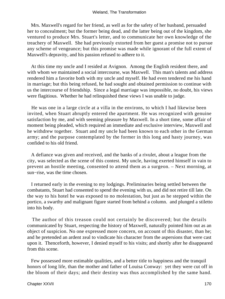Mrs. Maxwell's regard for her friend, as well as for the safety of her husband, persuaded her to concealment; but the former being dead, and the latter being out of the kingdom, she ventured to produce Mrs. Stuart's letter, and to communicate her own knowledge of the treachery of Maxwell. She had previously extorted from her guest a promise not to pursue any scheme of vengeance; but this promise was made while ignorant of the full extent of Maxwell's depravity, and his passion refused to adhere to it.

 At this time my uncle and I resided at Avignon. Among the English resident there, and with whom we maintained a social intercourse, was Maxwell. This man's talents and address rendered him a favorite both with my uncle and myself. He had even tendered me his hand in marriage; but this being refused, he had sought and obtained permission to continue with us the intercourse of friendship. Since a legal marriage was impossible, no doubt, his views were flagitious. Whether he had relinquished these views I was unable to judge.

 He was one in a large circle at a villa in the environs, to which I had likewise been invited, when Stuart abruptly entered the apartment. He was recognized with genuine satisfaction by me, and with seeming pleasure by Maxwell. In a short time, some affair of moment being pleaded, which required an immediate and exclusive interview, Maxwell and he withdrew together. Stuart and my uncle had been known to each other in the German army; and the purpose contemplated by the former in this long and hasty journey, was confided to his old friend.

 A defiance was given and received, and the banks of a rivulet, about a league from the city, was selected as the scene of this contest. My uncle, having exerted himself in vain to prevent an hostile meeting, consented to attend them as a surgeon. – Next morning, at sun−rise, was the time chosen.

 I returned early in the evening to my lodgings. Preliminaries being settled between the combatants, Stuart had consented to spend the evening with us, and did not retire till late. On the way to his hotel he was exposed to no molestation, but just as he stepped within the portico, a swarthy and malignant figure started from behind a column. and plunged a stiletto into his body.

 The author of this treason could not certainly be discovered; but the details communicated by Stuart, respecting the history of Maxwell, naturally pointed him out as an object of suspicion. No one expressed more concern, on account of this disaster, than he; and he pretended an ardent zeal to vindicate his character from the aspersions that were cast upon it. Thenceforth, however, I denied myself to his visits; and shortly after he disappeared from this scene.

 Few possessed more estimable qualities, and a better title to happiness and the tranquil honors of long life, than the mother and father of Louisa Conway: yet they were cut off in the bloom of their days; and their destiny was thus accomplished by the same hand.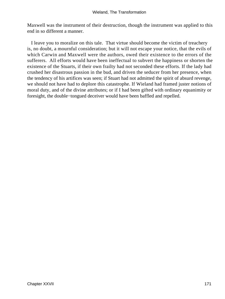Maxwell was the instrument of their destruction, though the instrument was applied to this end in so different a manner.

 I leave you to moralize on this tale. That virtue should become the victim of treachery is, no doubt, a mournful consideration; but it will not escape your notice, that the evils of which Carwin and Maxwell were the authors, owed their existence to the errors of the sufferers. All efforts would have been ineffectual to subvert the happiness or shorten the existence of the Stuarts, if their own frailty had not seconded these efforts. If the lady had crushed her disastrous passion in the bud, and driven the seducer from her presence, when the tendency of his artifices was seen; if Stuart had not admitted the spirit of absurd revenge, we should not have had to deplore this catastrophe. If Wieland had framed juster notions of moral duty, and of the divine attributes; or if I had been gifted with ordinary equanimity or foresight, the double−tongued deceiver would have been baffled and repelled.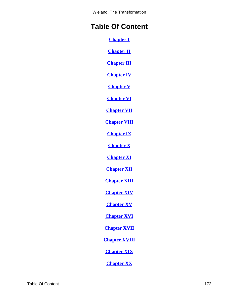Wieland, The Transformation

# **Table Of Content**

**[Chapter I](#page-3-0)**

**[Chapter II](#page-9-0)**

**[Chapter III](#page-13-0)**

**[Chapter IV](#page-17-0)**

**[Chapter V](#page-24-0)**

**[Chapter VI](#page-32-0)**

**[Chapter VII](#page-40-0)**

**[Chapter VIII](#page-47-0)**

**[Chapter IX](#page-52-0)**

**[Chapter X](#page-62-0)**

**[Chapter XI](#page-68-0)**

**[Chapter XII](#page-76-0)**

**[Chapter XIII](#page-81-0)**

**[Chapter XIV](#page-86-0)**

**[Chapter XV](#page-93-0)**

**[Chapter XVI](#page-98-0)**

**[Chapter XVII](#page-103-0)**

**[Chapter XVIII](#page-108-0)**

**[Chapter XIX](#page-112-0)**

**[Chapter XX](#page-120-0)**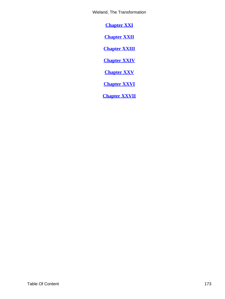<span id="page-173-0"></span>Wieland, The Transformation

**[Chapter XXI](#page-126-0)**

**[Chapter XXII](#page-133-0)**

**[Chapter XXIII](#page-142-0)**

**[Chapter XXIV](#page-149-0)**

**[Chapter XXV](#page-154-0)**

**[Chapter XXVI](#page-160-0)**

**[Chapter XXVII](#page-164-0)**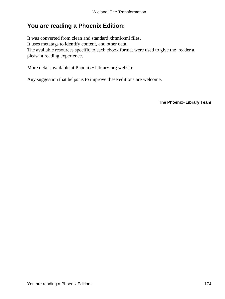## **You are reading a Phoenix Edition:**

It was converted from clean and standard xhtml/xml files. It uses metatags to identify content, and other data. The available resources specific to each ebook format were used to give the reader a pleasant reading experience.

More detais available at Phoenix−Library.org website.

Any suggestion that helps us to improve these editions are welcome.

**The Phoenix−Library Team**